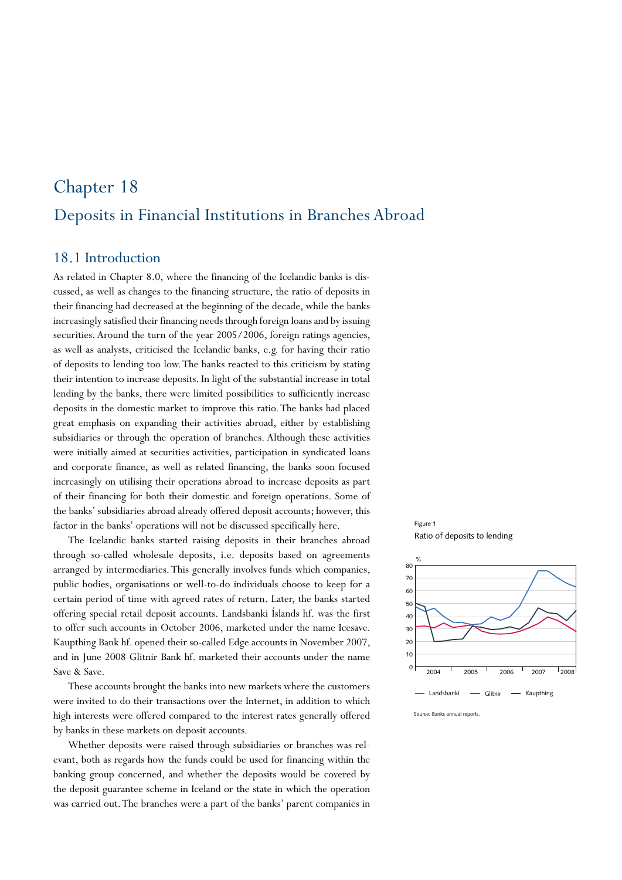# Deposits in Financial Institutions in Branches Abroad Chapter 18

#### 18.1 Introduction

As related in Chapter 8.0, where the financing of the Icelandic banks is discussed, as well as changes to the financing structure, the ratio of deposits in their financing had decreased at the beginning of the decade, while the banks increasingly satisfied their financing needs through foreign loans and by issuing securities. Around the turn of the year 2005/2006, foreign ratings agencies, as well as analysts, criticised the Icelandic banks, e.g. for having their ratio of deposits to lending too low. The banks reacted to this criticism by stating their intention to increase deposits. In light of the substantial increase in total lending by the banks, there were limited possibilities to sufficiently increase deposits in the domestic market to improve this ratio. The banks had placed great emphasis on expanding their activities abroad, either by establishing subsidiaries or through the operation of branches. Although these activities were initially aimed at securities activities, participation in syndicated loans and corporate finance, as well as related financing, the banks soon focused increasingly on utilising their operations abroad to increase deposits as part of their financing for both their domestic and foreign operations. Some of the banks' subsidiaries abroad already offered deposit accounts; however, this factor in the banks' operations will not be discussed specifically here.

The Icelandic banks started raising deposits in their branches abroad through so-called wholesale deposits, i.e. deposits based on agreements arranged by intermediaries. This generally involves funds which companies, public bodies, organisations or well-to-do individuals choose to keep for a certain period of time with agreed rates of return. Later, the banks started offering special retail deposit accounts. Landsbanki Íslands hf. was the first to offer such accounts in October 2006, marketed under the name Icesave. Kaupthing Bank hf. opened their so-called Edge accounts in November 2007, and in June 2008 Glitnir Bank hf. marketed their accounts under the name Save & Save.

These accounts brought the banks into new markets where the customers were invited to do their transactions over the Internet, in addition to which high interests were offered compared to the interest rates generally offered by banks in these markets on deposit accounts.

Whether deposits were raised through subsidiaries or branches was relevant, both as regards how the funds could be used for financing within the banking group concerned, and whether the deposits would be covered by the deposit guarantee scheme in Iceland or the state in which the operation was carried out. The branches were a part of the banks' parent companies in





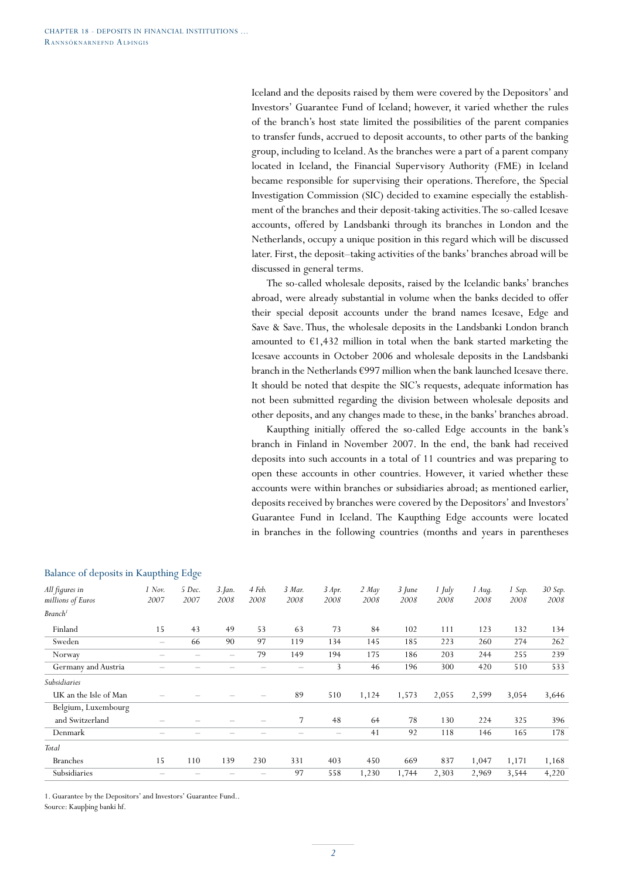Iceland and the deposits raised by them were covered by the Depositors' and Investors' Guarantee Fund of Iceland; however, it varied whether the rules of the branch's host state limited the possibilities of the parent companies to transfer funds, accrued to deposit accounts, to other parts of the banking group, including to Iceland. As the branches were a part of a parent company located in Iceland, the Financial Supervisory Authority (FME) in Iceland became responsible for supervising their operations. Therefore, the Special Investigation Commission (SIC) decided to examine especially the establishment of the branches and their deposit-taking activities. The so-called Icesave accounts, offered by Landsbanki through its branches in London and the Netherlands, occupy a unique position in this regard which will be discussed later. First, the deposit–taking activities of the banks' branches abroad will be discussed in general terms.

The so-called wholesale deposits, raised by the Icelandic banks' branches abroad, were already substantial in volume when the banks decided to offer their special deposit accounts under the brand names Icesave, Edge and Save & Save. Thus, the wholesale deposits in the Landsbanki London branch amounted to  $\epsilon$ 1,432 million in total when the bank started marketing the Icesave accounts in October 2006 and wholesale deposits in the Landsbanki branch in the Netherlands €997 million when the bank launched Icesave there. It should be noted that despite the SIC's requests, adequate information has not been submitted regarding the division between wholesale deposits and other deposits, and any changes made to these, in the banks' branches abroad.

Kaupthing initially offered the so-called Edge accounts in the bank's branch in Finland in November 2007. In the end, the bank had received deposits into such accounts in a total of 11 countries and was preparing to open these accounts in other countries. However, it varied whether these accounts were within branches or subsidiaries abroad; as mentioned earlier, deposits received by branches were covered by the Depositors' and Investors' Guarantee Fund in Iceland. The Kaupthing Edge accounts were located in branches in the following countries (months and years in parentheses

| All figures in<br>millions of Euros | $1$ Nov.<br>2007  | 5 Dec.<br>2007 | $3.$ Jan.<br>2008 | 4 Feb.<br>2008 | 3 Mar.<br>2008           | 3 Apr.<br>2008 | $2$ May<br>2008 | $3$ June<br>2008 | $1$ July<br>2008 | $1$ Aug.<br>2008 | 1 Sep.<br>2008 | 30 Sep.<br>2008 |
|-------------------------------------|-------------------|----------------|-------------------|----------------|--------------------------|----------------|-----------------|------------------|------------------|------------------|----------------|-----------------|
|                                     |                   |                |                   |                |                          |                |                 |                  |                  |                  |                |                 |
| Branch <sup>1</sup>                 |                   |                |                   |                |                          |                |                 |                  |                  |                  |                |                 |
| Finland                             | 15                | 43             | 49                | 53             | 63                       | 73             | 84              | 102              | 111              | 123              | 132            | 134             |
| Sweden                              | $\qquad \qquad -$ | 66             | 90                | 97             | 119                      | 134            | 145             | 185              | 223              | 260              | 274            | 262             |
| Norway                              |                   |                |                   | 79             | 149                      | 194            | 175             | 186              | 203              | 244              | 255            | 239             |
| Germany and Austria                 |                   |                |                   |                | $\overline{\phantom{m}}$ | 3              | 46              | 196              | 300              | 420              | 510            | 533             |
| Subsidiaries                        |                   |                |                   |                |                          |                |                 |                  |                  |                  |                |                 |
| UK an the Isle of Man               |                   |                |                   |                | 89                       | 510            | 1,124           | 1,573            | 2,055            | 2,599            | 3,054          | 3,646           |
| Belgium, Luxembourg                 |                   |                |                   |                |                          |                |                 |                  |                  |                  |                |                 |
| and Switzerland                     |                   |                |                   |                | 7                        | 48             | 64              | 78               | 130              | 224              | 325            | 396             |
| Denmark                             |                   |                |                   |                |                          |                | 41              | 92               | 118              | 146              | 165            | 178             |
| Total                               |                   |                |                   |                |                          |                |                 |                  |                  |                  |                |                 |
| <b>Branches</b>                     | 15                | 110            | 139               | 230            | 331                      | 403            | 450             | 669              | 837              | 1,047            | 1,171          | 1,168           |
| Subsidiaries                        |                   |                |                   |                | 97                       | 558            | 1,230           | 1,744            | 2,303            | 2,969            | 3,544          | 4,220           |
|                                     |                   |                |                   |                |                          |                |                 |                  |                  |                  |                |                 |

#### Balance of deposits in Kaupthing Edge

1. Guarantee by the Depositors' and Investors' Guarantee Fund..

Source: Kaupþing banki hf.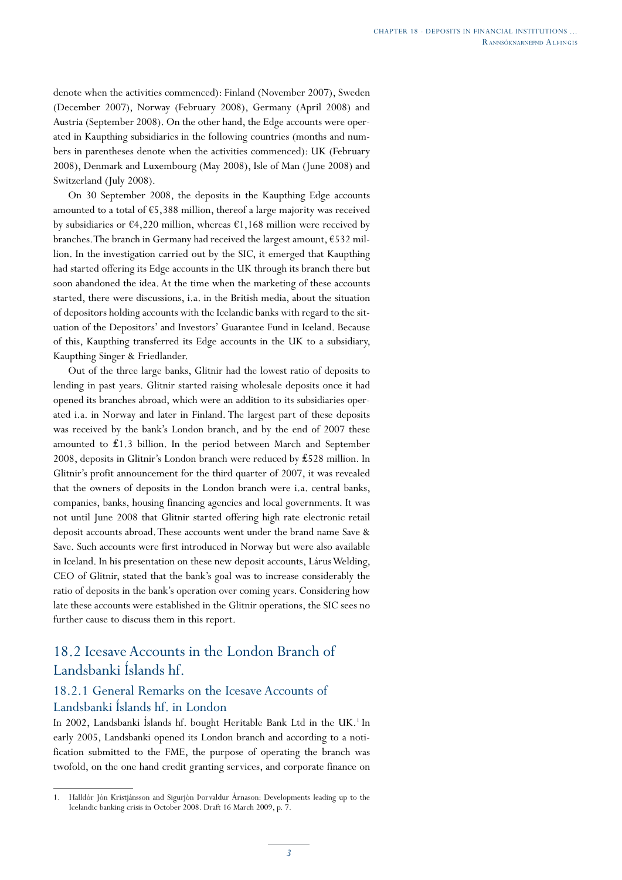denote when the activities commenced): Finland (November 2007), Sweden (December 2007), Norway (February 2008), Germany (April 2008) and Austria (September 2008). On the other hand, the Edge accounts were operated in Kaupthing subsidiaries in the following countries (months and numbers in parentheses denote when the activities commenced): UK (February 2008), Denmark and Luxembourg (May 2008), Isle of Man (June 2008) and Switzerland (July 2008).

On 30 September 2008, the deposits in the Kaupthing Edge accounts amounted to a total of  $65,388$  million, thereof a large majority was received by subsidiaries or  $\epsilon$ 4,220 million, whereas  $\epsilon$ 1,168 million were received by branches. The branch in Germany had received the largest amount, €532 million. In the investigation carried out by the SIC, it emerged that Kaupthing had started offering its Edge accounts in the UK through its branch there but soon abandoned the idea. At the time when the marketing of these accounts started, there were discussions, i.a. in the British media, about the situation of depositors holding accounts with the Icelandic banks with regard to the situation of the Depositors' and Investors' Guarantee Fund in Iceland. Because of this, Kaupthing transferred its Edge accounts in the UK to a subsidiary, Kaupthing Singer & Friedlander.

Out of the three large banks, Glitnir had the lowest ratio of deposits to lending in past years. Glitnir started raising wholesale deposits once it had opened its branches abroad, which were an addition to its subsidiaries operated i.a. in Norway and later in Finland. The largest part of these deposits was received by the bank's London branch, and by the end of 2007 these amounted to ₤1.3 billion. In the period between March and September 2008, deposits in Glitnir's London branch were reduced by ₤528 million. In Glitnir's profit announcement for the third quarter of 2007, it was revealed that the owners of deposits in the London branch were i.a. central banks, companies, banks, housing financing agencies and local governments. It was not until June 2008 that Glitnir started offering high rate electronic retail deposit accounts abroad. These accounts went under the brand name Save & Save. Such accounts were first introduced in Norway but were also available in Iceland. In his presentation on these new deposit accounts, Lárus Welding, CEO of Glitnir, stated that the bank's goal was to increase considerably the ratio of deposits in the bank's operation over coming years. Considering how late these accounts were established in the Glitnir operations, the SIC sees no further cause to discuss them in this report.

# 18.2 Icesave Accounts in the London Branch of Landsbanki Íslands hf.

# 18.2.1 General Remarks on the Icesave Accounts of Landsbanki Íslands hf. in London

In 2002, Landsbanki Íslands hf. bought Heritable Bank Ltd in the UK.<sup>1</sup> In early 2005, Landsbanki opened its London branch and according to a notification submitted to the FME, the purpose of operating the branch was twofold, on the one hand credit granting services, and corporate finance on

<sup>1.</sup> Halldór Jón Kristjánsson and Sigurjón Þorvaldur Árnason: Developments leading up to the Icelandic banking crisis in October 2008. Draft 16 March 2009, p. 7.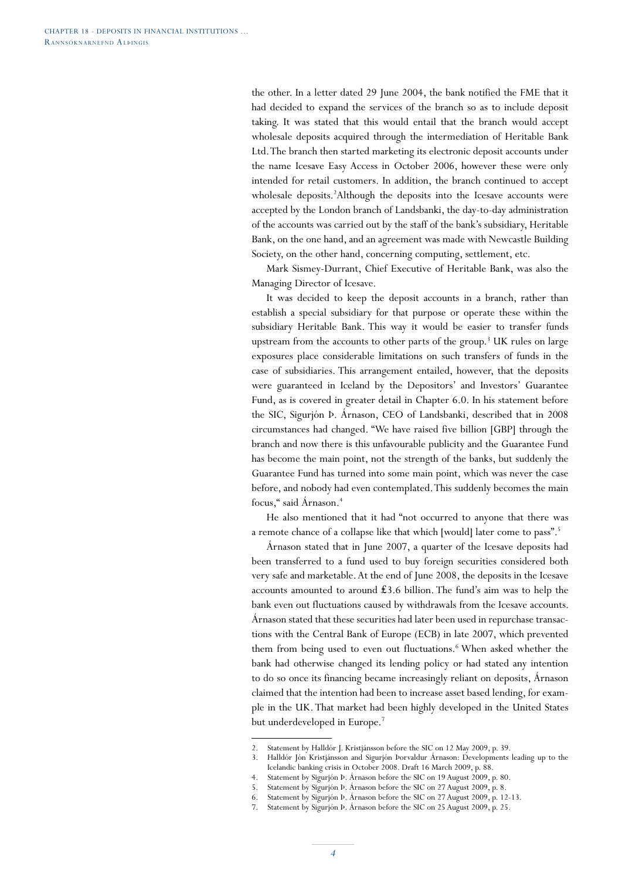the other. In a letter dated 29 June 2004, the bank notified the FME that it had decided to expand the services of the branch so as to include deposit taking. It was stated that this would entail that the branch would accept wholesale deposits acquired through the intermediation of Heritable Bank Ltd. The branch then started marketing its electronic deposit accounts under the name Icesave Easy Access in October 2006, however these were only intended for retail customers. In addition, the branch continued to accept wholesale deposits.<sup>2</sup>Although the deposits into the Icesave accounts were accepted by the London branch of Landsbanki, the day-to-day administration of the accounts was carried out by the staff of the bank's subsidiary, Heritable Bank, on the one hand, and an agreement was made with Newcastle Building Society, on the other hand, concerning computing, settlement, etc.

Mark Sismey-Durrant, Chief Executive of Heritable Bank, was also the Managing Director of Icesave.

It was decided to keep the deposit accounts in a branch, rather than establish a special subsidiary for that purpose or operate these within the subsidiary Heritable Bank. This way it would be easier to transfer funds upstream from the accounts to other parts of the group.<sup>3</sup> UK rules on large exposures place considerable limitations on such transfers of funds in the case of subsidiaries. This arrangement entailed, however, that the deposits were guaranteed in Iceland by the Depositors' and Investors' Guarantee Fund, as is covered in greater detail in Chapter 6.0. In his statement before the SIC, Sigurjón Þ. Árnason, CEO of Landsbanki, described that in 2008 circumstances had changed. "We have raised five billion [GBP] through the branch and now there is this unfavourable publicity and the Guarantee Fund has become the main point, not the strength of the banks, but suddenly the Guarantee Fund has turned into some main point, which was never the case before, and nobody had even contemplated. This suddenly becomes the main focus," said Árnason.4

He also mentioned that it had "not occurred to anyone that there was a remote chance of a collapse like that which [would] later come to pass".5

Árnason stated that in June 2007, a quarter of the Icesave deposits had been transferred to a fund used to buy foreign securities considered both very safe and marketable. At the end of June 2008, the deposits in the Icesave accounts amounted to around ₤3.6 billion. The fund's aim was to help the bank even out fluctuations caused by withdrawals from the Icesave accounts. Árnason stated that these securities had later been used in repurchase transactions with the Central Bank of Europe (ECB) in late 2007, which prevented them from being used to even out fluctuations.<sup>6</sup> When asked whether the bank had otherwise changed its lending policy or had stated any intention to do so once its financing became increasingly reliant on deposits, Árnason claimed that the intention had been to increase asset based lending, for example in the UK. That market had been highly developed in the United States but underdeveloped in Europe.7

<sup>2.</sup> Statement by Halldór J. Kristjánsson before the SIC on 12 May 2009, p. 39.

<sup>3.</sup> Halldór Jón Kristjánsson and Sigurjón Þorvaldur Árnason: Developments leading up to the Icelandic banking crisis in October 2008. Draft 16 March 2009, p. 88.

<sup>4.</sup> Statement by Sigurjón Þ. Árnason before the SIC on 19 August 2009, p. 80.

<sup>5.</sup> Statement by Sigurjón Þ. Árnason before the SIC on 27 August 2009, p. 8.

<sup>6.</sup> Statement by Sigurjón Þ. Árnason before the SIC on 27 August 2009, p. 12-13.

<sup>7.</sup> Statement by Sigurjón Þ. Árnason before the SIC on 25 August 2009, p. 25.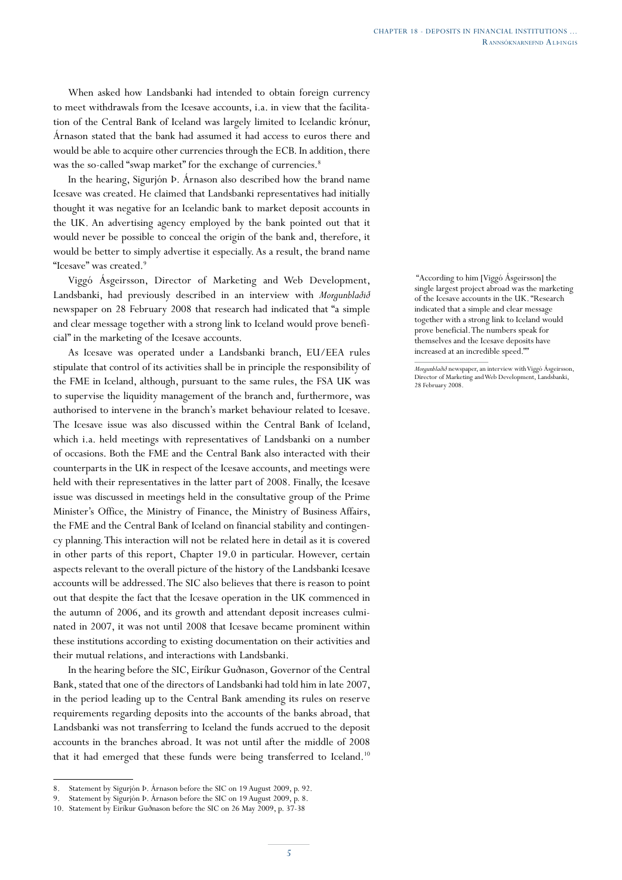When asked how Landsbanki had intended to obtain foreign currency to meet withdrawals from the Icesave accounts, i.a. in view that the facilitation of the Central Bank of Iceland was largely limited to Icelandic krónur, Árnason stated that the bank had assumed it had access to euros there and would be able to acquire other currencies through the ECB. In addition, there was the so-called "swap market" for the exchange of currencies.<sup>8</sup>

In the hearing, Sigurjón Þ. Árnason also described how the brand name Icesave was created. He claimed that Landsbanki representatives had initially thought it was negative for an Icelandic bank to market deposit accounts in the UK. An advertising agency employed by the bank pointed out that it would never be possible to conceal the origin of the bank and, therefore, it would be better to simply advertise it especially. As a result, the brand name "Icesave" was created.

Viggó Ásgeirsson, Director of Marketing and Web Development, Landsbanki, had previously described in an interview with *Morgunblaðið* newspaper on 28 February 2008 that research had indicated that "a simple and clear message together with a strong link to Iceland would prove beneficial" in the marketing of the Icesave accounts.

As Icesave was operated under a Landsbanki branch, EU/EEA rules stipulate that control of its activities shall be in principle the responsibility of the FME in Iceland, although, pursuant to the same rules, the FSA UK was to supervise the liquidity management of the branch and, furthermore, was authorised to intervene in the branch's market behaviour related to Icesave. The Icesave issue was also discussed within the Central Bank of Iceland, which i.a. held meetings with representatives of Landsbanki on a number of occasions. Both the FME and the Central Bank also interacted with their counterparts in the UK in respect of the Icesave accounts, and meetings were held with their representatives in the latter part of 2008. Finally, the Icesave issue was discussed in meetings held in the consultative group of the Prime Minister's Office, the Ministry of Finance, the Ministry of Business Affairs, the FME and the Central Bank of Iceland on financial stability and contingency planning. This interaction will not be related here in detail as it is covered in other parts of this report, Chapter 19.0 in particular. However, certain aspects relevant to the overall picture of the history of the Landsbanki Icesave accounts will be addressed. The SIC also believes that there is reason to point out that despite the fact that the Icesave operation in the UK commenced in the autumn of 2006, and its growth and attendant deposit increases culminated in 2007, it was not until 2008 that Icesave became prominent within these institutions according to existing documentation on their activities and their mutual relations, and interactions with Landsbanki.

In the hearing before the SIC, Eiríkur Guðnason, Governor of the Central Bank, stated that one of the directors of Landsbanki had told him in late 2007, in the period leading up to the Central Bank amending its rules on reserve requirements regarding deposits into the accounts of the banks abroad, that Landsbanki was not transferring to Iceland the funds accrued to the deposit accounts in the branches abroad. It was not until after the middle of 2008 that it had emerged that these funds were being transferred to Iceland.<sup>10</sup>

 "According to him [Viggó Ásgeirsson] the single largest project abroad was the marketing of the Icesave accounts in the UK. "Research indicated that a simple and clear message together with a strong link to Iceland would prove beneficial. The numbers speak for themselves and the Icesave deposits have increased at an incredible speed.""

*Morgunblaðið* newspaper, an interview with Viggó Ásgeirsson, Director of Marketing and Web Development, Landsbanki, 28 February 2008.

<sup>8.</sup> Statement by Sigurjón Þ. Árnason before the SIC on 19 August 2009, p. 92.

<sup>9.</sup> Statement by Sigurjón Þ. Árnason before the SIC on 19 August 2009, p. 8.

<sup>10.</sup> Statement by Eiríkur Guðnason before the SIC on 26 May 2009, p. 37-38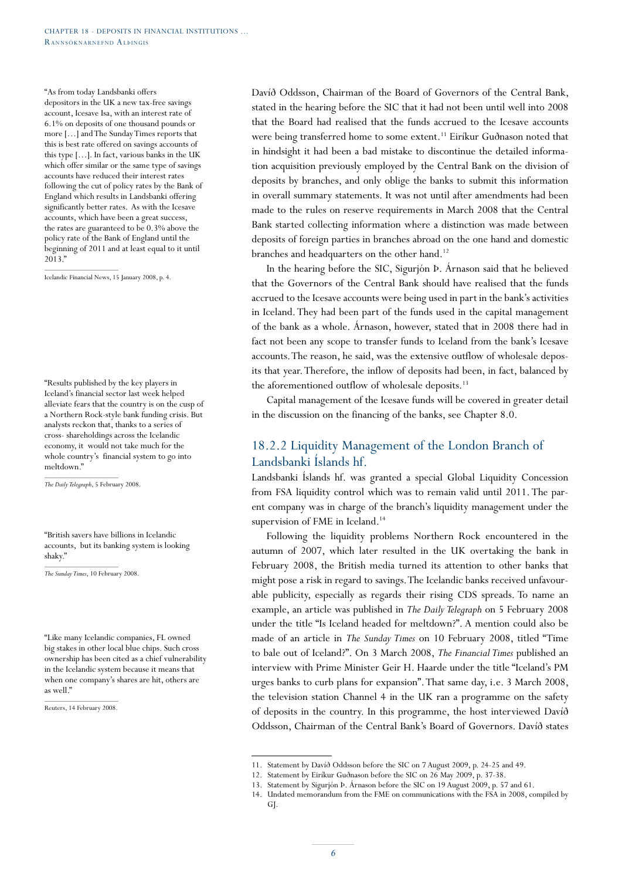"As from today Landsbanki offers depositors in the UK a new tax-free savings account, Icesave Isa, with an interest rate of 6.1% on deposits of one thousand pounds or more […] and The Sunday Times reports that this is best rate offered on savings accounts of this type […]. In fact, various banks in the UK which offer similar or the same type of savings accounts have reduced their interest rates following the cut of policy rates by the Bank of England which results in Landsbanki offering significantly better rates. As with the Icesave accounts, which have been a great success, the rates are guaranteed to be 0.3% above the policy rate of the Bank of England until the beginning of 2011 and at least equal to it until 2013."

Icelandic Financial News, 15 January 2008, p. 4.

"Results published by the key players in Iceland's financial sector last week helped alleviate fears that the country is on the cusp of a Northern Rock-style bank funding crisis. But analysts reckon that, thanks to a series of cross- shareholdings across the Icelandic economy, it would not take much for the whole country's financial system to go into meltdown."

*The Daily Telegraph*, 5 February 2008.

"British savers have billions in Icelandic accounts, but its banking system is looking shaky."

*The Sunday Times*, 10 February 2008.

"Like many Icelandic companies, FL owned big stakes in other local blue chips. Such cross ownership has been cited as a chief vulnerability in the Icelandic system because it means that when one company's shares are hit, others are as well."

Reuters, 14 February 2008.

Davíð Oddsson, Chairman of the Board of Governors of the Central Bank, stated in the hearing before the SIC that it had not been until well into 2008 that the Board had realised that the funds accrued to the Icesave accounts were being transferred home to some extent.<sup>11</sup> Eiríkur Guðnason noted that in hindsight it had been a bad mistake to discontinue the detailed information acquisition previously employed by the Central Bank on the division of deposits by branches, and only oblige the banks to submit this information in overall summary statements. It was not until after amendments had been made to the rules on reserve requirements in March 2008 that the Central Bank started collecting information where a distinction was made between deposits of foreign parties in branches abroad on the one hand and domestic branches and headquarters on the other hand.<sup>12</sup>

In the hearing before the SIC, Sigurjón Þ. Árnason said that he believed that the Governors of the Central Bank should have realised that the funds accrued to the Icesave accounts were being used in part in the bank's activities in Iceland. They had been part of the funds used in the capital management of the bank as a whole. Árnason, however, stated that in 2008 there had in fact not been any scope to transfer funds to Iceland from the bank's Icesave accounts. The reason, he said, was the extensive outflow of wholesale deposits that year. Therefore, the inflow of deposits had been, in fact, balanced by the aforementioned outflow of wholesale deposits.<sup>13</sup>

Capital management of the Icesave funds will be covered in greater detail in the discussion on the financing of the banks, see Chapter 8.0.

## 18.2.2 Liquidity Management of the London Branch of Landsbanki Íslands hf.

Landsbanki Íslands hf. was granted a special Global Liquidity Concession from FSA liquidity control which was to remain valid until 2011. The parent company was in charge of the branch's liquidity management under the supervision of FME in Iceland.<sup>14</sup>

Following the liquidity problems Northern Rock encountered in the autumn of 2007, which later resulted in the UK overtaking the bank in February 2008, the British media turned its attention to other banks that might pose a risk in regard to savings. The Icelandic banks received unfavourable publicity, especially as regards their rising CDS spreads. To name an example, an article was published in *The Daily Telegraph* on 5 February 2008 under the title "Is Iceland headed for meltdown?". A mention could also be made of an article in *The Sunday Times* on 10 February 2008, titled "Time to bale out of Iceland?". On 3 March 2008, *The Financial Times* published an interview with Prime Minister Geir H. Haarde under the title "Iceland's PM urges banks to curb plans for expansion". That same day, i.e. 3 March 2008, the television station Channel 4 in the UK ran a programme on the safety of deposits in the country. In this programme, the host interviewed Davíð Oddsson, Chairman of the Central Bank's Board of Governors. Davíð states

<sup>11.</sup> Statement by Davíð Oddsson before the SIC on 7 August 2009, p. 24-25 and 49.

<sup>12.</sup> Statement by Eiríkur Guðnason before the SIC on 26 May 2009, p. 37-38.

<sup>13.</sup> Statement by Sigurjón Þ. Árnason before the SIC on 19 August 2009, p. 57 and 61.

<sup>14.</sup> Undated memorandum from the FME on communications with the FSA in 2008, compiled by GJ.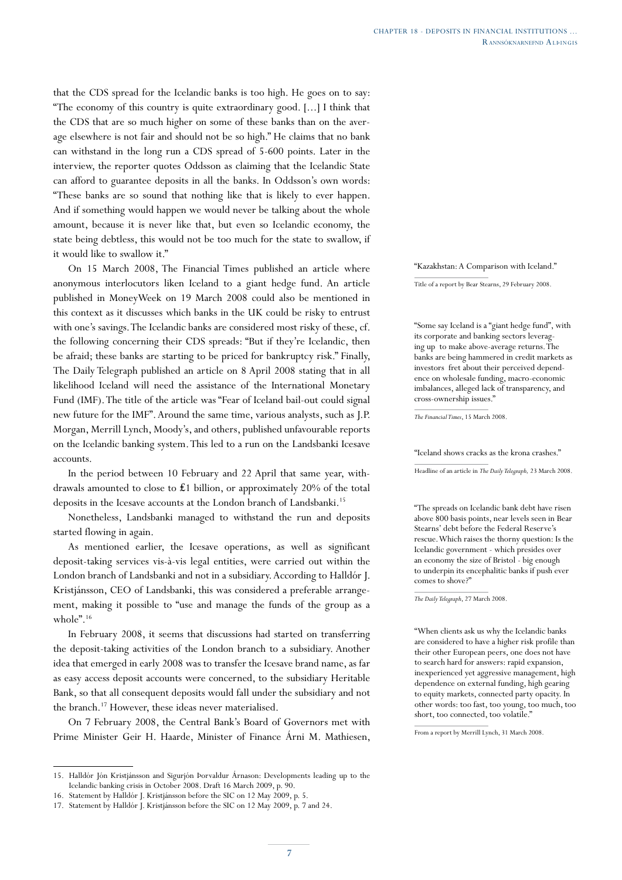that the CDS spread for the Icelandic banks is too high. He goes on to say: "The economy of this country is quite extraordinary good. [...] I think that the CDS that are so much higher on some of these banks than on the average elsewhere is not fair and should not be so high." He claims that no bank can withstand in the long run a CDS spread of 5-600 points. Later in the interview, the reporter quotes Oddsson as claiming that the Icelandic State can afford to guarantee deposits in all the banks. In Oddsson's own words: "These banks are so sound that nothing like that is likely to ever happen. And if something would happen we would never be talking about the whole amount, because it is never like that, but even so Icelandic economy, the state being debtless, this would not be too much for the state to swallow, if it would like to swallow it."

On 15 March 2008, The Financial Times published an article where anonymous interlocutors liken Iceland to a giant hedge fund. An article published in MoneyWeek on 19 March 2008 could also be mentioned in this context as it discusses which banks in the UK could be risky to entrust with one's savings. The Icelandic banks are considered most risky of these, cf. the following concerning their CDS spreads: "But if they're Icelandic, then be afraid; these banks are starting to be priced for bankruptcy risk." Finally, The Daily Telegraph published an article on 8 April 2008 stating that in all likelihood Iceland will need the assistance of the International Monetary Fund (IMF). The title of the article was "Fear of Iceland bail-out could signal new future for the IMF". Around the same time, various analysts, such as J.P. Morgan, Merrill Lynch, Moody's, and others, published unfavourable reports on the Icelandic banking system. This led to a run on the Landsbanki Icesave accounts.

In the period between 10 February and 22 April that same year, withdrawals amounted to close to ₤1 billion, or approximately 20% of the total deposits in the Icesave accounts at the London branch of Landsbanki.<sup>15</sup>

Nonetheless, Landsbanki managed to withstand the run and deposits started flowing in again.

As mentioned earlier, the Icesave operations, as well as significant deposit-taking services vis-à-vis legal entities, were carried out within the London branch of Landsbanki and not in a subsidiary. According to Halldór J. Kristjánsson, CEO of Landsbanki, this was considered a preferable arrangement, making it possible to "use and manage the funds of the group as a whole".16

In February 2008, it seems that discussions had started on transferring the deposit-taking activities of the London branch to a subsidiary. Another idea that emerged in early 2008 was to transfer the Icesave brand name, as far as easy access deposit accounts were concerned, to the subsidiary Heritable Bank, so that all consequent deposits would fall under the subsidiary and not the branch.<sup>17</sup> However, these ideas never materialised.

On 7 February 2008, the Central Bank's Board of Governors met with Prime Minister Geir H. Haarde, Minister of Finance Árni M. Mathiesen,

#### "Kazakhstan: A Comparison with Iceland."

Title of a report by Bear Stearns, 29 February 2008.

"Some say Iceland is a "giant hedge fund", with its corporate and banking sectors leveraging up to make above-average returns. The banks are being hammered in credit markets as investors fret about their perceived dependence on wholesale funding, macro-economic imbalances, alleged lack of transparency, and cross-ownership issues."

*The Financial Times*, 15 March 2008.

"Iceland shows cracks as the krona crashes."

Headline of an article in *The Daily Telegraph,* 23 March 2008.

"The spreads on Icelandic bank debt have risen above 800 basis points, near levels seen in Bear Stearns' debt before the Federal Reserve's rescue. Which raises the thorny question: Is the Icelandic government - which presides over an economy the size of Bristol - big enough to underpin its encephalitic banks if push ever comes to shove?"

*The Daily Telegraph*, 27 March 2008.

"When clients ask us why the Icelandic banks are considered to have a higher risk profile than their other European peers, one does not have to search hard for answers: rapid expansion, inexperienced yet aggressive management, high dependence on external funding, high gearing to equity markets, connected party opacity. In other words: too fast, too young, too much, too short, too connected, too volatile."

From a report by Merrill Lynch, 31 March 2008.

<sup>15.</sup> Halldór Jón Kristjánsson and Sigurjón Þorvaldur Árnason: Developments leading up to the Icelandic banking crisis in October 2008. Draft 16 March 2009, p. 90.

<sup>16.</sup> Statement by Halldór J. Kristjánsson before the SIC on 12 May 2009, p. 5.

<sup>17.</sup> Statement by Halldór J. Kristjánsson before the SIC on 12 May 2009, p. 7 and 24.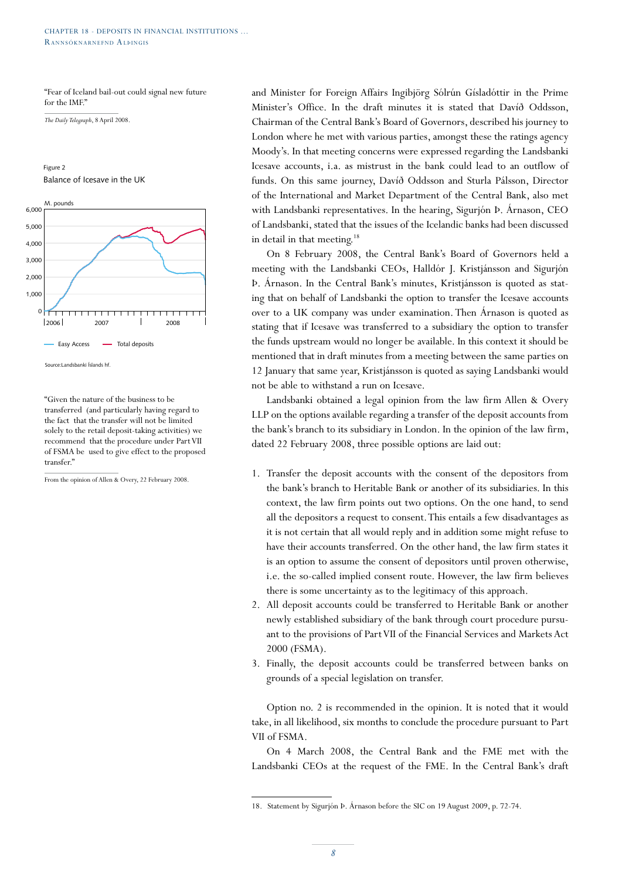"Fear of Iceland bail-out could signal new future for the IMF."

*The Daily Telegraph*, 8 April 2008.



Source:Landsbanki Íslands hf.

"Given the nature of the business to be transferred (and particularly having regard to the fact that the transfer will not be limited solely to the retail deposit-taking activities) we recommend that the procedure under Part VII of FSMA be used to give effect to the proposed transfer.'

From the opinion of Allen & Overy, 22 February 2008.

and Minister for Foreign Affairs Ingibjörg Sólrún Gísladóttir in the Prime Minister's Office. In the draft minutes it is stated that Davíð Oddsson, Chairman of the Central Bank's Board of Governors, described his journey to London where he met with various parties, amongst these the ratings agency Moody's. In that meeting concerns were expressed regarding the Landsbanki Icesave accounts, i.a. as mistrust in the bank could lead to an outflow of funds. On this same journey, Davíð Oddsson and Sturla Pálsson, Director of the International and Market Department of the Central Bank, also met with Landsbanki representatives. In the hearing, Sigurjón Þ. Árnason, CEO of Landsbanki, stated that the issues of the Icelandic banks had been discussed in detail in that meeting.<sup>18</sup>

On 8 February 2008, the Central Bank's Board of Governors held a meeting with the Landsbanki CEOs, Halldór J. Kristjánsson and Sigurjón Þ. Árnason. In the Central Bank's minutes, Kristjánsson is quoted as stating that on behalf of Landsbanki the option to transfer the Icesave accounts over to a UK company was under examination. Then Árnason is quoted as stating that if Icesave was transferred to a subsidiary the option to transfer the funds upstream would no longer be available. In this context it should be mentioned that in draft minutes from a meeting between the same parties on 12 January that same year, Kristjánsson is quoted as saying Landsbanki would not be able to withstand a run on Icesave.

Landsbanki obtained a legal opinion from the law firm Allen & Overy LLP on the options available regarding a transfer of the deposit accounts from the bank's branch to its subsidiary in London. In the opinion of the law firm, dated 22 February 2008, three possible options are laid out:

- 1. Transfer the deposit accounts with the consent of the depositors from the bank's branch to Heritable Bank or another of its subsidiaries. In this context, the law firm points out two options. On the one hand, to send all the depositors a request to consent. This entails a few disadvantages as it is not certain that all would reply and in addition some might refuse to have their accounts transferred. On the other hand, the law firm states it is an option to assume the consent of depositors until proven otherwise, i.e. the so-called implied consent route. However, the law firm believes there is some uncertainty as to the legitimacy of this approach.
- 2. All deposit accounts could be transferred to Heritable Bank or another newly established subsidiary of the bank through court procedure pursuant to the provisions of Part VII of the Financial Services and Markets Act 2000 (FSMA).
- 3. Finally, the deposit accounts could be transferred between banks on grounds of a special legislation on transfer.

Option no. 2 is recommended in the opinion. It is noted that it would take, in all likelihood, six months to conclude the procedure pursuant to Part VII of FSMA.

On 4 March 2008, the Central Bank and the FME met with the Landsbanki CEOs at the request of the FME. In the Central Bank's draft

<sup>18.</sup> Statement by Sigurjón Þ. Árnason before the SIC on 19 August 2009, p. 72-74.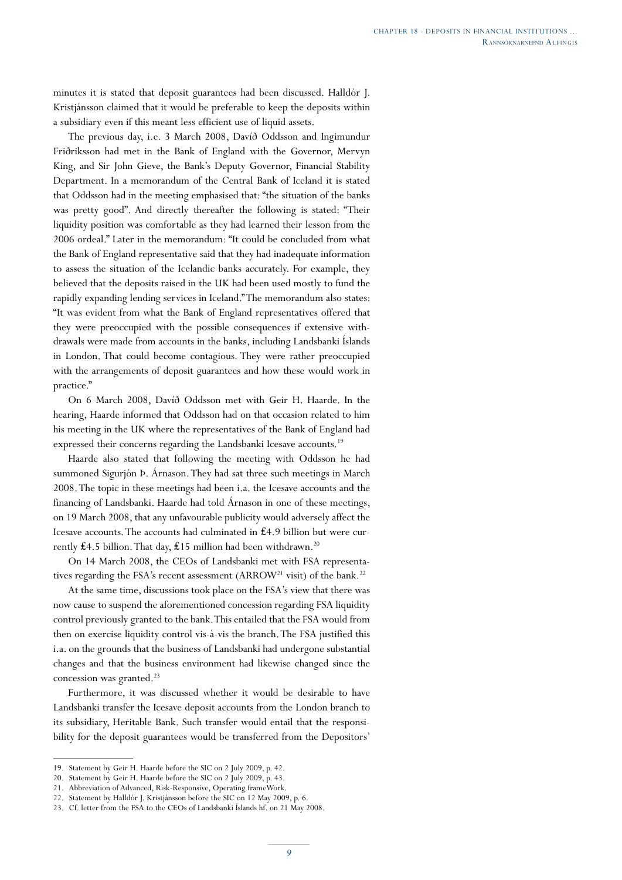minutes it is stated that deposit guarantees had been discussed. Halldór J. Kristjánsson claimed that it would be preferable to keep the deposits within a subsidiary even if this meant less efficient use of liquid assets.

The previous day, i.e. 3 March 2008, Davíð Oddsson and Ingimundur Friðriksson had met in the Bank of England with the Governor, Mervyn King, and Sir John Gieve, the Bank's Deputy Governor, Financial Stability Department. In a memorandum of the Central Bank of Iceland it is stated that Oddsson had in the meeting emphasised that: "the situation of the banks was pretty good". And directly thereafter the following is stated: "Their liquidity position was comfortable as they had learned their lesson from the 2006 ordeal." Later in the memorandum: "It could be concluded from what the Bank of England representative said that they had inadequate information to assess the situation of the Icelandic banks accurately. For example, they believed that the deposits raised in the UK had been used mostly to fund the rapidly expanding lending services in Iceland." The memorandum also states: "It was evident from what the Bank of England representatives offered that they were preoccupied with the possible consequences if extensive withdrawals were made from accounts in the banks, including Landsbanki Íslands in London. That could become contagious. They were rather preoccupied with the arrangements of deposit guarantees and how these would work in practice."

On 6 March 2008, Davíð Oddsson met with Geir H. Haarde. In the hearing, Haarde informed that Oddsson had on that occasion related to him his meeting in the UK where the representatives of the Bank of England had expressed their concerns regarding the Landsbanki Icesave accounts.<sup>19</sup>

Haarde also stated that following the meeting with Oddsson he had summoned Sigurjón Þ. Árnason. They had sat three such meetings in March 2008. The topic in these meetings had been i.a. the Icesave accounts and the financing of Landsbanki. Haarde had told Árnason in one of these meetings, on 19 March 2008, that any unfavourable publicity would adversely affect the Icesave accounts. The accounts had culminated in ₤4.9 billion but were currently **₤4.5** billion. That day, **₤15** million had been withdrawn.<sup>20</sup>

On 14 March 2008, the CEOs of Landsbanki met with FSA representatives regarding the FSA's recent assessment (ARROW<sup>21</sup> visit) of the bank.<sup>22</sup>

At the same time, discussions took place on the FSA's view that there was now cause to suspend the aforementioned concession regarding FSA liquidity control previously granted to the bank. This entailed that the FSA would from then on exercise liquidity control vis-à-vis the branch. The FSA justified this i.a. on the grounds that the business of Landsbanki had undergone substantial changes and that the business environment had likewise changed since the concession was granted.<sup>23</sup>

Furthermore, it was discussed whether it would be desirable to have Landsbanki transfer the Icesave deposit accounts from the London branch to its subsidiary, Heritable Bank. Such transfer would entail that the responsibility for the deposit guarantees would be transferred from the Depositors'

<sup>19.</sup> Statement by Geir H. Haarde before the SIC on 2 July 2009, p. 42.

<sup>20.</sup> Statement by Geir H. Haarde before the SIC on 2 July 2009, p. 43.

<sup>21.</sup> Abbreviation of Advanced, Risk-Responsive, Operating frameWork.

<sup>22.</sup> Statement by Halldór J. Kristjánsson before the SIC on 12 May 2009, p. 6.

<sup>23.</sup> Cf. letter from the FSA to the CEOs of Landsbanki Íslands hf. on 21 May 2008.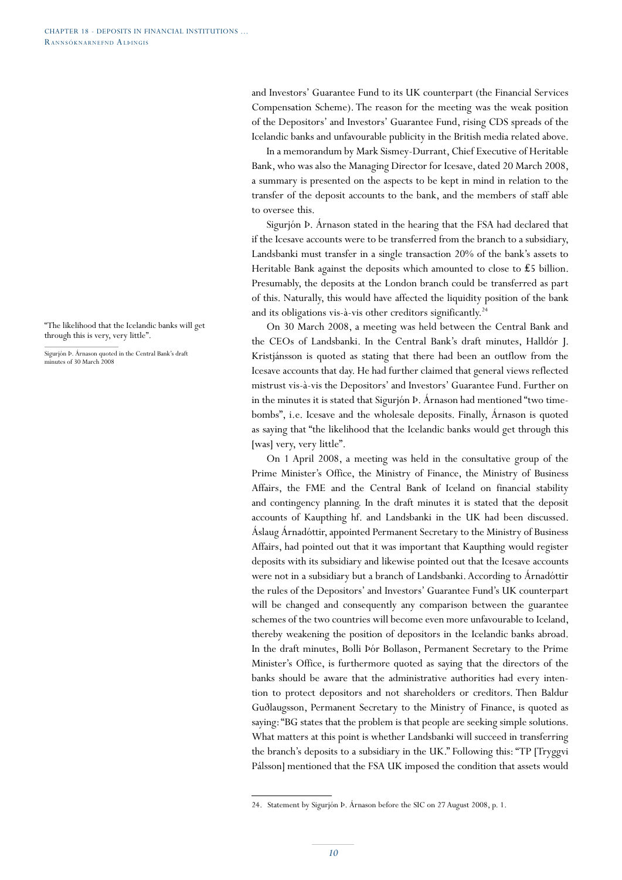and Investors' Guarantee Fund to its UK counterpart (the Financial Services Compensation Scheme). The reason for the meeting was the weak position of the Depositors' and Investors' Guarantee Fund, rising CDS spreads of the Icelandic banks and unfavourable publicity in the British media related above.

In a memorandum by Mark Sismey-Durrant, Chief Executive of Heritable Bank, who was also the Managing Director for Icesave, dated 20 March 2008, a summary is presented on the aspects to be kept in mind in relation to the transfer of the deposit accounts to the bank, and the members of staff able to oversee this.

Sigurjón Þ. Árnason stated in the hearing that the FSA had declared that if the Icesave accounts were to be transferred from the branch to a subsidiary, Landsbanki must transfer in a single transaction 20% of the bank's assets to Heritable Bank against the deposits which amounted to close to  $£5$  billion. Presumably, the deposits at the London branch could be transferred as part of this. Naturally, this would have affected the liquidity position of the bank and its obligations vis-à-vis other creditors significantly.<sup>24</sup>

On 30 March 2008, a meeting was held between the Central Bank and the CEOs of Landsbanki. In the Central Bank's draft minutes, Halldór J. Kristjánsson is quoted as stating that there had been an outflow from the Icesave accounts that day. He had further claimed that general views reflected mistrust vis-à-vis the Depositors' and Investors' Guarantee Fund. Further on in the minutes it is stated that Sigurjón Þ. Árnason had mentioned "two timebombs", i.e. Icesave and the wholesale deposits. Finally, Árnason is quoted as saying that "the likelihood that the Icelandic banks would get through this [was] very, very little".

On 1 April 2008, a meeting was held in the consultative group of the Prime Minister's Office, the Ministry of Finance, the Ministry of Business Affairs, the FME and the Central Bank of Iceland on financial stability and contingency planning. In the draft minutes it is stated that the deposit accounts of Kaupthing hf. and Landsbanki in the UK had been discussed. Áslaug Árnadóttir, appointed Permanent Secretary to the Ministry of Business Affairs, had pointed out that it was important that Kaupthing would register deposits with its subsidiary and likewise pointed out that the Icesave accounts were not in a subsidiary but a branch of Landsbanki. According to Árnadóttir the rules of the Depositors' and Investors' Guarantee Fund's UK counterpart will be changed and consequently any comparison between the guarantee schemes of the two countries will become even more unfavourable to Iceland, thereby weakening the position of depositors in the Icelandic banks abroad. In the draft minutes, Bolli Þór Bollason, Permanent Secretary to the Prime Minister's Office, is furthermore quoted as saying that the directors of the banks should be aware that the administrative authorities had every intention to protect depositors and not shareholders or creditors. Then Baldur Guðlaugsson, Permanent Secretary to the Ministry of Finance, is quoted as saying: "BG states that the problem is that people are seeking simple solutions. What matters at this point is whether Landsbanki will succeed in transferring the branch's deposits to a subsidiary in the UK." Following this: "TP [Tryggvi Pálsson] mentioned that the FSA UK imposed the condition that assets would

Sigurjón Þ. Árnason quoted in the Central Bank's draft minutes of 30 March 2008

<sup>24.</sup> Statement by Sigurjón Þ. Árnason before the SIC on 27 August 2008, p. 1.

<sup>&</sup>quot;The likelihood that the Icelandic banks will get through this is very, very little".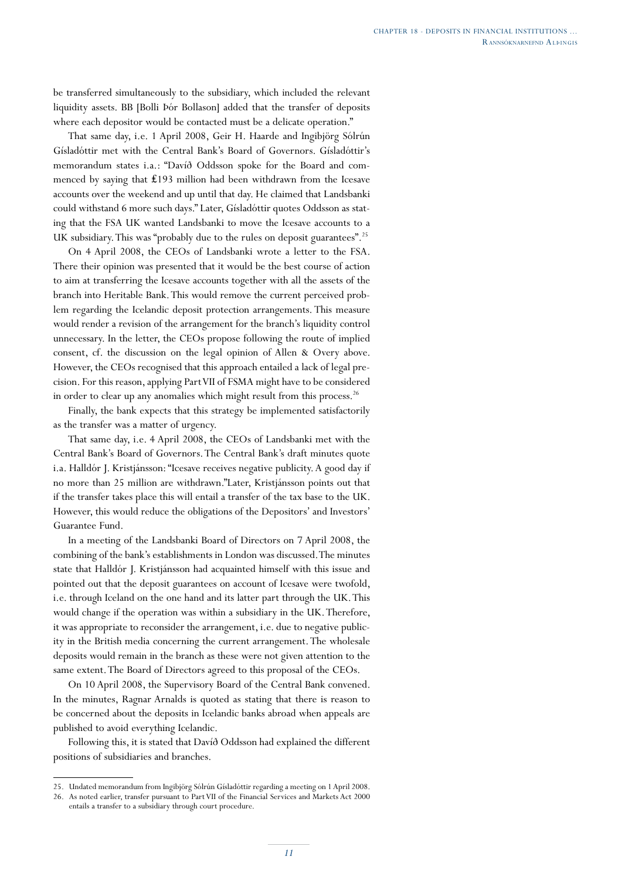be transferred simultaneously to the subsidiary, which included the relevant liquidity assets. BB [Bolli Þór Bollason] added that the transfer of deposits where each depositor would be contacted must be a delicate operation."

That same day, i.e. 1 April 2008, Geir H. Haarde and Ingibjörg Sólrún Gísladóttir met with the Central Bank's Board of Governors. Gísladóttir's memorandum states i.a.: "Davíð Oddsson spoke for the Board and commenced by saying that ₤193 million had been withdrawn from the Icesave accounts over the weekend and up until that day. He claimed that Landsbanki could withstand 6 more such days." Later, Gísladóttir quotes Oddsson as stating that the FSA UK wanted Landsbanki to move the Icesave accounts to a UK subsidiary. This was "probably due to the rules on deposit guarantees".25

On 4 April 2008, the CEOs of Landsbanki wrote a letter to the FSA. There their opinion was presented that it would be the best course of action to aim at transferring the Icesave accounts together with all the assets of the branch into Heritable Bank. This would remove the current perceived problem regarding the Icelandic deposit protection arrangements. This measure would render a revision of the arrangement for the branch's liquidity control unnecessary. In the letter, the CEOs propose following the route of implied consent, cf. the discussion on the legal opinion of Allen & Overy above. However, the CEOs recognised that this approach entailed a lack of legal precision. For this reason, applying Part VII of FSMA might have to be considered in order to clear up any anomalies which might result from this process.<sup>26</sup>

Finally, the bank expects that this strategy be implemented satisfactorily as the transfer was a matter of urgency.

That same day, i.e. 4 April 2008, the CEOs of Landsbanki met with the Central Bank's Board of Governors. The Central Bank's draft minutes quote i.a. Halldór J. Kristjánsson: "Icesave receives negative publicity. A good day if no more than 25 million are withdrawn."Later, Kristjánsson points out that if the transfer takes place this will entail a transfer of the tax base to the UK. However, this would reduce the obligations of the Depositors' and Investors' Guarantee Fund.

In a meeting of the Landsbanki Board of Directors on 7 April 2008, the combining of the bank's establishments in London was discussed. The minutes state that Halldór J. Kristjánsson had acquainted himself with this issue and pointed out that the deposit guarantees on account of Icesave were twofold, i.e. through Iceland on the one hand and its latter part through the UK. This would change if the operation was within a subsidiary in the UK. Therefore, it was appropriate to reconsider the arrangement, i.e. due to negative publicity in the British media concerning the current arrangement. The wholesale deposits would remain in the branch as these were not given attention to the same extent. The Board of Directors agreed to this proposal of the CEOs.

On 10 April 2008, the Supervisory Board of the Central Bank convened. In the minutes, Ragnar Arnalds is quoted as stating that there is reason to be concerned about the deposits in Icelandic banks abroad when appeals are published to avoid everything Icelandic.

Following this, it is stated that Davíð Oddsson had explained the different positions of subsidiaries and branches.

<sup>25.</sup> Undated memorandum from Ingibjörg Sólrún Gísladóttir regarding a meeting on 1 April 2008.

<sup>26.</sup> As noted earlier, transfer pursuant to Part VII of the Financial Services and Markets Act 2000 entails a transfer to a subsidiary through court procedure.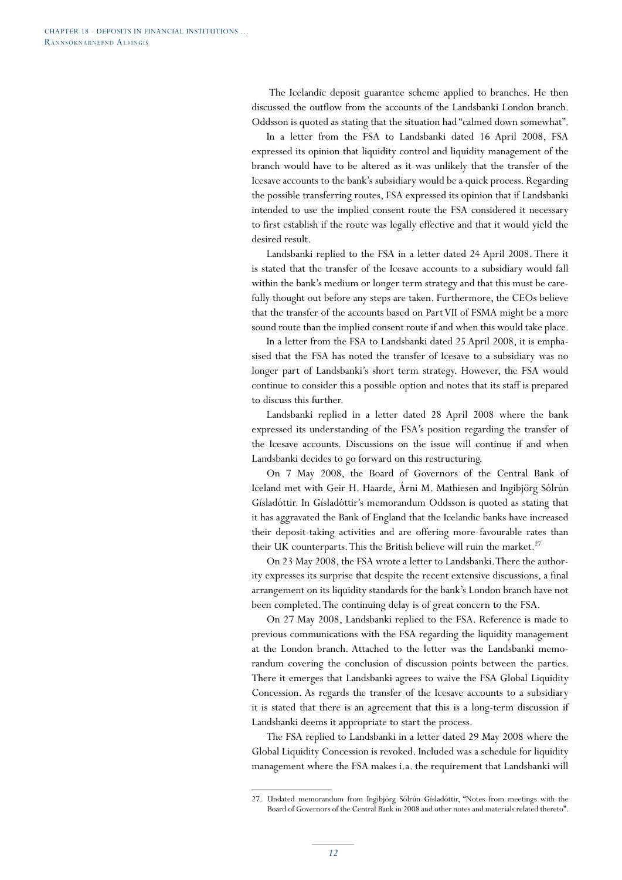The Icelandic deposit guarantee scheme applied to branches. He then discussed the outflow from the accounts of the Landsbanki London branch. Oddsson is quoted as stating that the situation had "calmed down somewhat".

In a letter from the FSA to Landsbanki dated 16 April 2008, FSA expressed its opinion that liquidity control and liquidity management of the branch would have to be altered as it was unlikely that the transfer of the Icesave accounts to the bank's subsidiary would be a quick process. Regarding the possible transferring routes, FSA expressed its opinion that if Landsbanki intended to use the implied consent route the FSA considered it necessary to first establish if the route was legally effective and that it would yield the desired result.

Landsbanki replied to the FSA in a letter dated 24 April 2008. There it is stated that the transfer of the Icesave accounts to a subsidiary would fall within the bank's medium or longer term strategy and that this must be carefully thought out before any steps are taken. Furthermore, the CEOs believe that the transfer of the accounts based on Part VII of FSMA might be a more sound route than the implied consent route if and when this would take place.

In a letter from the FSA to Landsbanki dated 25 April 2008, it is emphasised that the FSA has noted the transfer of Icesave to a subsidiary was no longer part of Landsbanki's short term strategy. However, the FSA would continue to consider this a possible option and notes that its staff is prepared to discuss this further.

Landsbanki replied in a letter dated 28 April 2008 where the bank expressed its understanding of the FSA's position regarding the transfer of the Icesave accounts. Discussions on the issue will continue if and when Landsbanki decides to go forward on this restructuring.

On 7 May 2008, the Board of Governors of the Central Bank of Iceland met with Geir H. Haarde, Árni M. Mathiesen and Ingibjörg Sólrún Gísladóttir. In Gísladóttir's memorandum Oddsson is quoted as stating that it has aggravated the Bank of England that the Icelandic banks have increased their deposit-taking activities and are offering more favourable rates than their UK counterparts. This the British believe will ruin the market.<sup>27</sup>

On 23 May 2008, the FSA wrote a letter to Landsbanki. There the authority expresses its surprise that despite the recent extensive discussions, a final arrangement on its liquidity standards for the bank's London branch have not been completed. The continuing delay is of great concern to the FSA.

On 27 May 2008, Landsbanki replied to the FSA. Reference is made to previous communications with the FSA regarding the liquidity management at the London branch. Attached to the letter was the Landsbanki memorandum covering the conclusion of discussion points between the parties. There it emerges that Landsbanki agrees to waive the FSA Global Liquidity Concession. As regards the transfer of the Icesave accounts to a subsidiary it is stated that there is an agreement that this is a long-term discussion if Landsbanki deems it appropriate to start the process.

The FSA replied to Landsbanki in a letter dated 29 May 2008 where the Global Liquidity Concession is revoked. Included was a schedule for liquidity management where the FSA makes i.a. the requirement that Landsbanki will

<sup>27.</sup> Undated memorandum from Ingibjörg Sólrún Gísladóttir, "Notes from meetings with the Board of Governors of the Central Bank in 2008 and other notes and materials related thereto".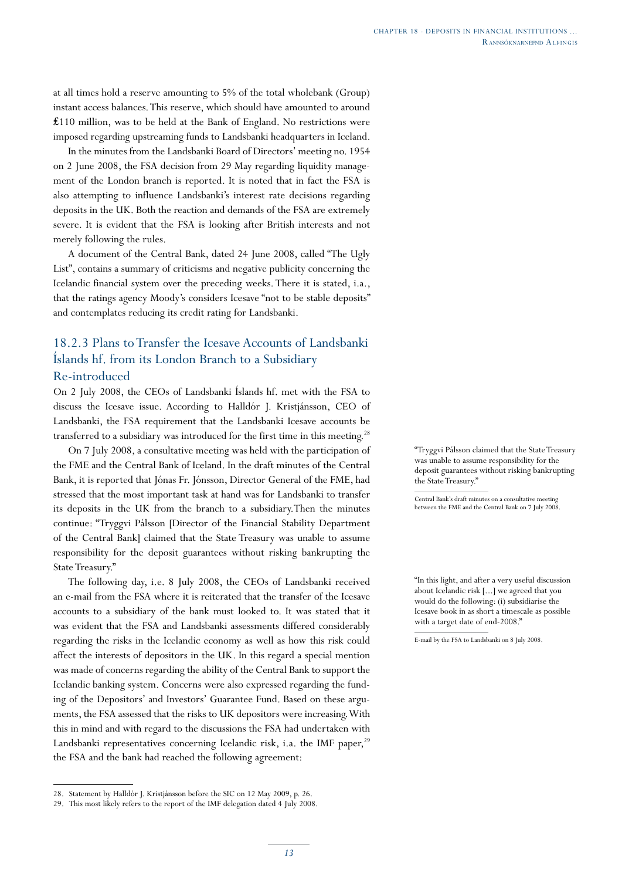at all times hold a reserve amounting to 5% of the total wholebank (Group) instant access balances. This reserve, which should have amounted to around  $£110$  million, was to be held at the Bank of England. No restrictions were imposed regarding upstreaming funds to Landsbanki headquarters in Iceland.

In the minutes from the Landsbanki Board of Directors' meeting no. 1954 on 2 June 2008, the FSA decision from 29 May regarding liquidity management of the London branch is reported. It is noted that in fact the FSA is also attempting to influence Landsbanki's interest rate decisions regarding deposits in the UK. Both the reaction and demands of the FSA are extremely severe. It is evident that the FSA is looking after British interests and not merely following the rules.

A document of the Central Bank, dated 24 June 2008, called "The Ugly List", contains a summary of criticisms and negative publicity concerning the Icelandic financial system over the preceding weeks. There it is stated, i.a., that the ratings agency Moody's considers Icesave "not to be stable deposits" and contemplates reducing its credit rating for Landsbanki.

# 18.2.3 Plans to Transfer the Icesave Accounts of Landsbanki Íslands hf. from its London Branch to a Subsidiary Re-introduced

On 2 July 2008, the CEOs of Landsbanki Íslands hf. met with the FSA to discuss the Icesave issue. According to Halldór J. Kristjánsson, CEO of Landsbanki, the FSA requirement that the Landsbanki Icesave accounts be transferred to a subsidiary was introduced for the first time in this meeting.<sup>28</sup>

On 7 July 2008, a consultative meeting was held with the participation of the FME and the Central Bank of Iceland. In the draft minutes of the Central Bank, it is reported that Jónas Fr. Jónsson, Director General of the FME, had stressed that the most important task at hand was for Landsbanki to transfer its deposits in the UK from the branch to a subsidiary.Then the minutes continue: "Tryggvi Pálsson [Director of the Financial Stability Department of the Central Bank] claimed that the State Treasury was unable to assume responsibility for the deposit guarantees without risking bankrupting the State Treasury."

The following day, i.e. 8 July 2008, the CEOs of Landsbanki received an e-mail from the FSA where it is reiterated that the transfer of the Icesave accounts to a subsidiary of the bank must looked to. It was stated that it was evident that the FSA and Landsbanki assessments differed considerably regarding the risks in the Icelandic economy as well as how this risk could affect the interests of depositors in the UK. In this regard a special mention was made of concerns regarding the ability of the Central Bank to support the Icelandic banking system. Concerns were also expressed regarding the funding of the Depositors' and Investors' Guarantee Fund. Based on these arguments, the FSA assessed that the risks to UK depositors were increasing. With this in mind and with regard to the discussions the FSA had undertaken with Landsbanki representatives concerning Icelandic risk, i.a. the IMF paper,<sup>29</sup> the FSA and the bank had reached the following agreement:

"Tryggvi Pálsson claimed that the State Treasury was unable to assume responsibility for the deposit guarantees without risking bankrupting the State Treasury."

Central Bank's draft minutes on a consultative meeting between the FME and the Central Bank on 7 July 2008.

"In this light, and after a very useful discussion about Icelandic risk [...] we agreed that you would do the following: (i) subsidiarise the Icesave book in as short a timescale as possible with a target date of end-2008."

<sup>28.</sup> Statement by Halldór J. Kristjánsson before the SIC on 12 May 2009, p. 26.

<sup>29.</sup> This most likely refers to the report of the IMF delegation dated 4 July 2008.

E-mail by the FSA to Landsbanki on 8 July 2008.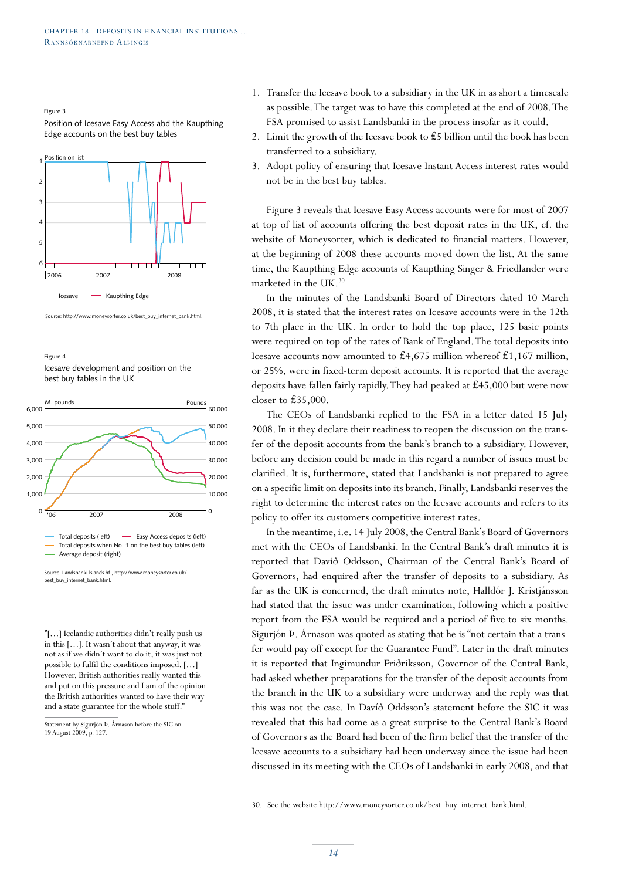Figure 3

Position of Icesave Easy Access abd the Kaupthing Edge accounts on the best buy tables



Source: http://www.moneysorter.co.uk/best\_buy\_internet\_bank.htm

Figure 4 Icesave development and position on the best buy tables in the UK



Source: Landsbanki Íslands hf., http://www.moneysorter.co.uk/ best\_buy\_internet\_bank.html.

"[…] Icelandic authorities didn't really push us in this […]. It wasn't about that anyway, it was not as if we didn't want to do it, it was just not possible to fulfil the conditions imposed. […] However, British authorities really wanted this and put on this pressure and I am of the opinion the British authorities wanted to have their way and a state guarantee for the whole stuff."

- 1. Transfer the Icesave book to a subsidiary in the UK in as short a timescale as possible. The target was to have this completed at the end of 2008. The FSA promised to assist Landsbanki in the process insofar as it could.
- 2. Limit the growth of the Icesave book to ₤5 billion until the book has been transferred to a subsidiary.
- 3. Adopt policy of ensuring that Icesave Instant Access interest rates would not be in the best buy tables.

Figure 3 reveals that Icesave Easy Access accounts were for most of 2007 at top of list of accounts offering the best deposit rates in the UK, cf. the website of Moneysorter, which is dedicated to financial matters. However, at the beginning of 2008 these accounts moved down the list. At the same time, the Kaupthing Edge accounts of Kaupthing Singer & Friedlander were marketed in the UK.<sup>30</sup>

In the minutes of the Landsbanki Board of Directors dated 10 March 2008, it is stated that the interest rates on Icesave accounts were in the 12th to 7th place in the UK. In order to hold the top place, 125 basic points were required on top of the rates of Bank of England. The total deposits into Icesave accounts now amounted to ₤4,675 million whereof ₤1,167 million, or 25%, were in fixed-term deposit accounts. It is reported that the average deposits have fallen fairly rapidly. They had peaked at ₤45,000 but were now closer to  $£35,000$ .

The CEOs of Landsbanki replied to the FSA in a letter dated 15 July 2008. In it they declare their readiness to reopen the discussion on the transfer of the deposit accounts from the bank's branch to a subsidiary. However, before any decision could be made in this regard a number of issues must be clarified. It is, furthermore, stated that Landsbanki is not prepared to agree on a specific limit on deposits into its branch. Finally, Landsbanki reserves the right to determine the interest rates on the Icesave accounts and refers to its policy to offer its customers competitive interest rates.

In the meantime, i.e. 14 July 2008, the Central Bank's Board of Governors met with the CEOs of Landsbanki. In the Central Bank's draft minutes it is reported that Davíð Oddsson, Chairman of the Central Bank's Board of Governors, had enquired after the transfer of deposits to a subsidiary. As far as the UK is concerned, the draft minutes note, Halldór J. Kristjánsson had stated that the issue was under examination, following which a positive report from the FSA would be required and a period of five to six months. Sigurjón Þ. Árnason was quoted as stating that he is "not certain that a transfer would pay off except for the Guarantee Fund". Later in the draft minutes it is reported that Ingimundur Friðriksson, Governor of the Central Bank, had asked whether preparations for the transfer of the deposit accounts from the branch in the UK to a subsidiary were underway and the reply was that this was not the case. In Davíð Oddsson's statement before the SIC it was revealed that this had come as a great surprise to the Central Bank's Board of Governors as the Board had been of the firm belief that the transfer of the Icesave accounts to a subsidiary had been underway since the issue had been discussed in its meeting with the CEOs of Landsbanki in early 2008, and that

Statement by Sigurjón Þ. Árnason before the SIC on 19 August 2009, p. 127.

<sup>30.</sup> See the website http://www.moneysorter.co.uk/best\_buy\_internet\_bank.html.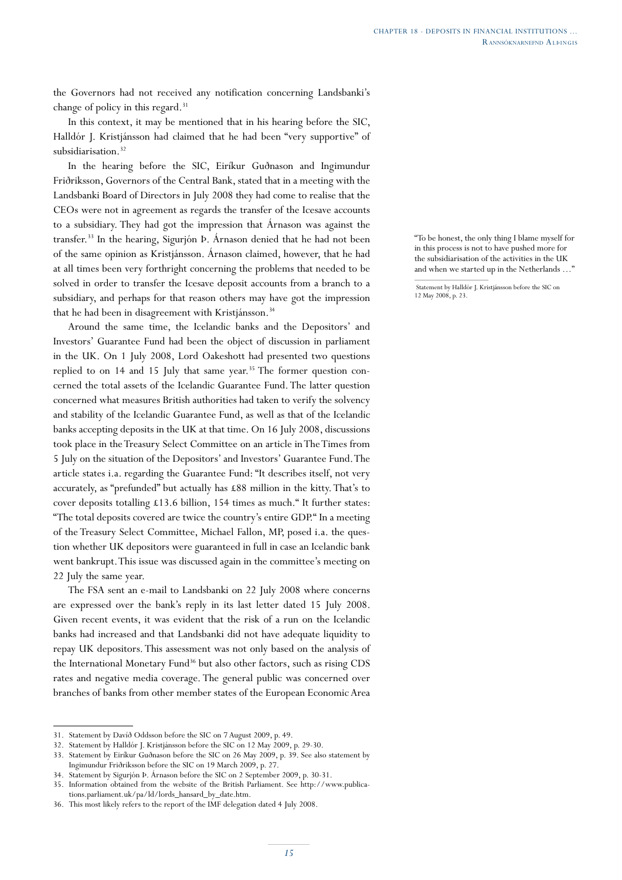the Governors had not received any notification concerning Landsbanki's change of policy in this regard.<sup>31</sup>

In this context, it may be mentioned that in his hearing before the SIC, Halldór J. Kristjánsson had claimed that he had been "very supportive" of subsidiarisation.<sup>32</sup>

In the hearing before the SIC, Eiríkur Guðnason and Ingimundur Friðriksson, Governors of the Central Bank, stated that in a meeting with the Landsbanki Board of Directors in July 2008 they had come to realise that the CEOs were not in agreement as regards the transfer of the Icesave accounts to a subsidiary. They had got the impression that Árnason was against the transfer.33 In the hearing, Sigurjón Þ. Árnason denied that he had not been of the same opinion as Kristjánsson. Árnason claimed, however, that he had at all times been very forthright concerning the problems that needed to be solved in order to transfer the Icesave deposit accounts from a branch to a subsidiary, and perhaps for that reason others may have got the impression that he had been in disagreement with Kristjánsson.<sup>34</sup>

Around the same time, the Icelandic banks and the Depositors' and Investors' Guarantee Fund had been the object of discussion in parliament in the UK. On 1 July 2008, Lord Oakeshott had presented two questions replied to on  $14$  and  $15$  July that same year.<sup>35</sup> The former question concerned the total assets of the Icelandic Guarantee Fund. The latter question concerned what measures British authorities had taken to verify the solvency and stability of the Icelandic Guarantee Fund, as well as that of the Icelandic banks accepting deposits in the UK at that time. On 16 July 2008, discussions took place in the Treasury Select Committee on an article in The Times from 5 July on the situation of the Depositors' and Investors' Guarantee Fund. The article states i.a. regarding the Guarantee Fund: "It describes itself, not very accurately, as "prefunded" but actually has £88 million in the kitty. That's to cover deposits totalling £13.6 billion, 154 times as much." It further states: "The total deposits covered are twice the country's entire GDP." In a meeting of the Treasury Select Committee, Michael Fallon, MP, posed i.a. the question whether UK depositors were guaranteed in full in case an Icelandic bank went bankrupt. This issue was discussed again in the committee's meeting on 22 July the same year.

The FSA sent an e-mail to Landsbanki on 22 July 2008 where concerns are expressed over the bank's reply in its last letter dated 15 July 2008. Given recent events, it was evident that the risk of a run on the Icelandic banks had increased and that Landsbanki did not have adequate liquidity to repay UK depositors. This assessment was not only based on the analysis of the International Monetary Fund<sup>36</sup> but also other factors, such as rising CDS rates and negative media coverage. The general public was concerned over branches of banks from other member states of the European Economic Area "To be honest, the only thing I blame myself for in this process is not to have pushed more for the subsidiarisation of the activities in the UK and when we started up in the Netherlands ...'

<sup>31.</sup> Statement by Davíð Oddsson before the SIC on 7 August 2009, p. 49.

<sup>32.</sup> Statement by Halldór J. Kristjánsson before the SIC on 12 May 2009, p. 29-30.

<sup>33.</sup> Statement by Eiríkur Guðnason before the SIC on 26 May 2009, p. 39. See also statement by Ingimundur Friðriksson before the SIC on 19 March 2009, p. 27.

<sup>34.</sup> Statement by Sigurjón Þ. Árnason before the SIC on 2 September 2009, p. 30-31.

<sup>35.</sup> Information obtained from the website of the British Parliament. See http://www.publications.parliament.uk/pa/ld/lords\_hansard\_by\_date.htm.

<sup>36.</sup> This most likely refers to the report of the IMF delegation dated 4 July 2008.

Statement by Halldór J. Kristjánsson before the SIC on 12 May 2008, p. 23.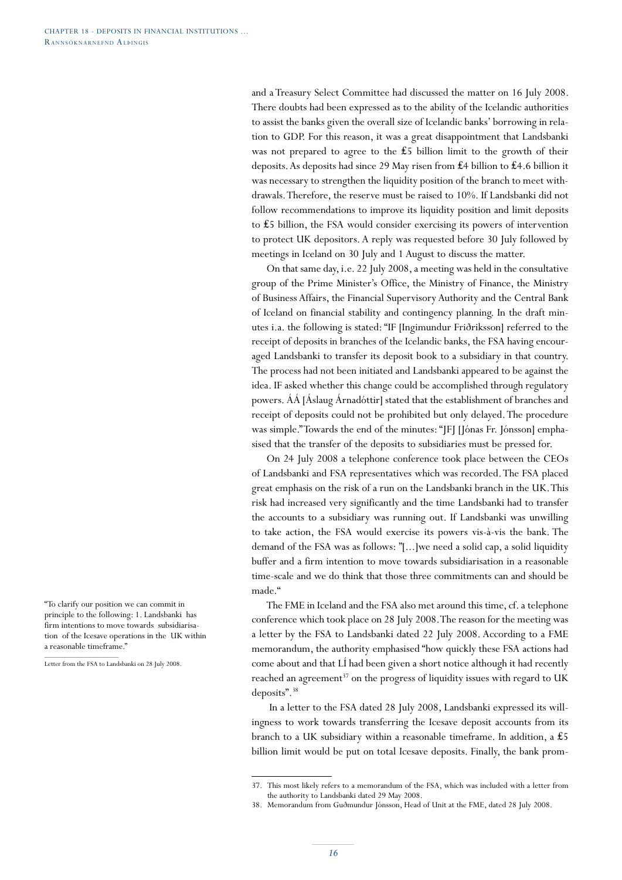and a Treasury Select Committee had discussed the matter on 16 July 2008. There doubts had been expressed as to the ability of the Icelandic authorities to assist the banks given the overall size of Icelandic banks' borrowing in relation to GDP. For this reason, it was a great disappointment that Landsbanki was not prepared to agree to the £5 billion limit to the growth of their deposits. As deposits had since 29 May risen from ₤4 billion to ₤4.6 billion it was necessary to strengthen the liquidity position of the branch to meet withdrawals. Therefore, the reserve must be raised to 10%. If Landsbanki did not follow recommendations to improve its liquidity position and limit deposits to ₤5 billion, the FSA would consider exercising its powers of intervention to protect UK depositors. A reply was requested before 30 July followed by meetings in Iceland on 30 July and 1 August to discuss the matter.

On that same day, i.e. 22 July 2008, a meeting was held in the consultative group of the Prime Minister's Office, the Ministry of Finance, the Ministry of Business Affairs, the Financial Supervisory Authority and the Central Bank of Iceland on financial stability and contingency planning. In the draft minutes i.a. the following is stated: "IF [Ingimundur Friðriksson] referred to the receipt of deposits in branches of the Icelandic banks, the FSA having encouraged Landsbanki to transfer its deposit book to a subsidiary in that country. The process had not been initiated and Landsbanki appeared to be against the idea. IF asked whether this change could be accomplished through regulatory powers. ÁÁ [Áslaug Árnadóttir] stated that the establishment of branches and receipt of deposits could not be prohibited but only delayed. The procedure was simple." Towards the end of the minutes: "JFJ [Jónas Fr. Jónsson] emphasised that the transfer of the deposits to subsidiaries must be pressed for.

On 24 July 2008 a telephone conference took place between the CEOs of Landsbanki and FSA representatives which was recorded. The FSA placed great emphasis on the risk of a run on the Landsbanki branch in the UK. This risk had increased very significantly and the time Landsbanki had to transfer the accounts to a subsidiary was running out. If Landsbanki was unwilling to take action, the FSA would exercise its powers vis-à-vis the bank. The demand of the FSA was as follows: "[...]we need a solid cap, a solid liquidity buffer and a firm intention to move towards subsidiarisation in a reasonable time-scale and we do think that those three commitments can and should be made."

The FME in Iceland and the FSA also met around this time, cf. a telephone conference which took place on 28 July 2008. The reason for the meeting was a letter by the FSA to Landsbanki dated 22 July 2008. According to a FME memorandum, the authority emphasised "how quickly these FSA actions had come about and that LÍ had been given a short notice although it had recently reached an agreement<sup>37</sup> on the progress of liquidity issues with regard to UK deposits".38

 In a letter to the FSA dated 28 July 2008, Landsbanki expressed its willingness to work towards transferring the Icesave deposit accounts from its branch to a UK subsidiary within a reasonable timeframe. In addition, a ₤5 billion limit would be put on total Icesave deposits. Finally, the bank prom-

<sup>37.</sup> This most likely refers to a memorandum of the FSA, which was included with a letter from the authority to Landsbanki dated 29 May 2008.

<sup>38.</sup> Memorandum from Guðmundur Jónsson, Head of Unit at the FME, dated 28 July 2008.

<sup>&</sup>quot;To clarify our position we can commit in principle to the following: 1. Landsbanki has firm intentions to move towards subsidiarisation of the Icesave operations in the UK within a reasonable timeframe."

Letter from the FSA to Landsbanki on 28 July 2008.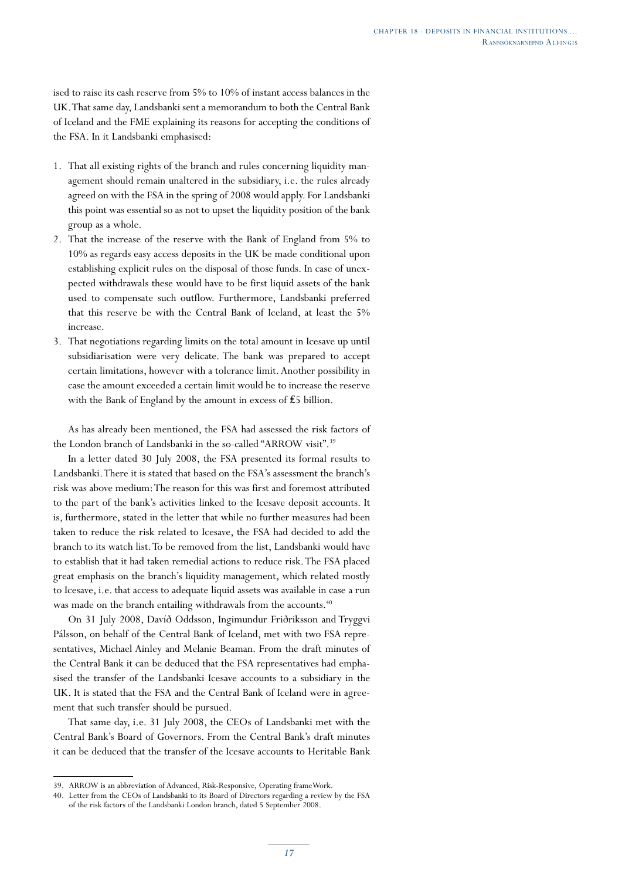ised to raise its cash reserve from 5% to 10% of instant access balances in the UK. That same day, Landsbanki sent a memorandum to both the Central Bank of Iceland and the FME explaining its reasons for accepting the conditions of the FSA. In it Landsbanki emphasised:

- 1. That all existing rights of the branch and rules concerning liquidity management should remain unaltered in the subsidiary, i.e. the rules already agreed on with the FSA in the spring of 2008 would apply. For Landsbanki this point was essential so as not to upset the liquidity position of the bank group as a whole.
- 2. That the increase of the reserve with the Bank of England from 5% to 10% as regards easy access deposits in the UK be made conditional upon establishing explicit rules on the disposal of those funds. In case of unexpected withdrawals these would have to be first liquid assets of the bank used to compensate such outflow. Furthermore, Landsbanki preferred that this reserve be with the Central Bank of Iceland, at least the 5% increase.
- 3. That negotiations regarding limits on the total amount in Icesave up until subsidiarisation were very delicate. The bank was prepared to accept certain limitations, however with a tolerance limit. Another possibility in case the amount exceeded a certain limit would be to increase the reserve with the Bank of England by the amount in excess of £5 billion.

As has already been mentioned, the FSA had assessed the risk factors of the London branch of Landsbanki in the so-called "ARROW visit".<sup>39</sup>

In a letter dated 30 July 2008, the FSA presented its formal results to Landsbanki. There it is stated that based on the FSA's assessment the branch's risk was above medium: The reason for this was first and foremost attributed to the part of the bank's activities linked to the Icesave deposit accounts. It is, furthermore, stated in the letter that while no further measures had been taken to reduce the risk related to Icesave, the FSA had decided to add the branch to its watch list. To be removed from the list, Landsbanki would have to establish that it had taken remedial actions to reduce risk. The FSA placed great emphasis on the branch's liquidity management, which related mostly to Icesave, i.e. that access to adequate liquid assets was available in case a run was made on the branch entailing withdrawals from the accounts.<sup>40</sup>

On 31 July 2008, Davíð Oddsson, Ingimundur Friðriksson and Tryggvi Pálsson, on behalf of the Central Bank of Iceland, met with two FSA representatives, Michael Ainley and Melanie Beaman. From the draft minutes of the Central Bank it can be deduced that the FSA representatives had emphasised the transfer of the Landsbanki Icesave accounts to a subsidiary in the UK. It is stated that the FSA and the Central Bank of Iceland were in agreement that such transfer should be pursued.

That same day, i.e. 31 July 2008, the CEOs of Landsbanki met with the Central Bank's Board of Governors. From the Central Bank's draft minutes it can be deduced that the transfer of the Icesave accounts to Heritable Bank

<sup>39.</sup> ARROW is an abbreviation of Advanced, Risk-Responsive, Operating frameWork.

<sup>40.</sup> Letter from the CEOs of Landsbanki to its Board of Directors regarding a review by the FSA of the risk factors of the Landsbanki London branch, dated 5 September 2008.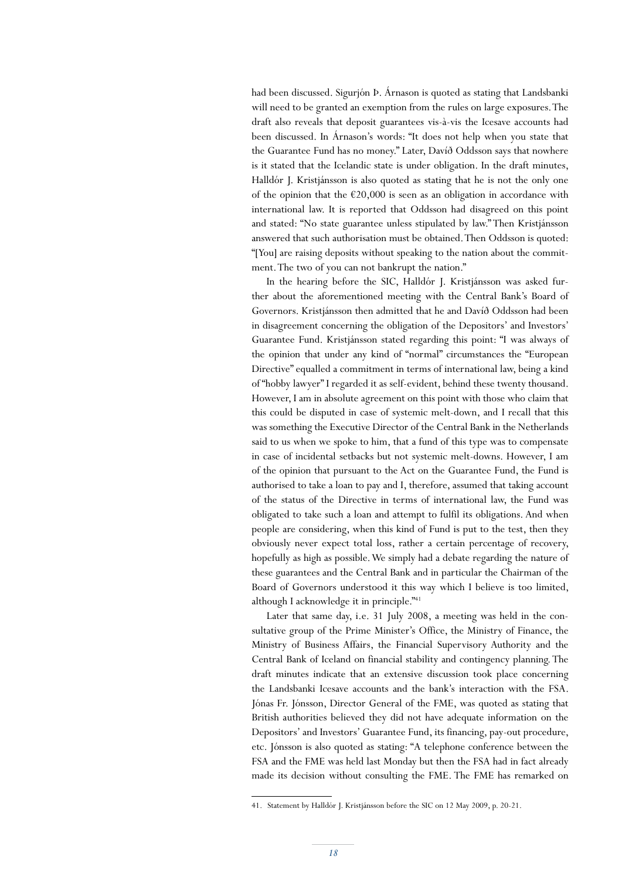had been discussed. Sigurjón Þ. Árnason is quoted as stating that Landsbanki will need to be granted an exemption from the rules on large exposures. The draft also reveals that deposit guarantees vis-à-vis the Icesave accounts had been discussed. In Árnason's words: "It does not help when you state that the Guarantee Fund has no money." Later, Davíð Oddsson says that nowhere is it stated that the Icelandic state is under obligation. In the draft minutes, Halldór J. Kristjánsson is also quoted as stating that he is not the only one of the opinion that the  $\epsilon$ 20,000 is seen as an obligation in accordance with international law. It is reported that Oddsson had disagreed on this point and stated: "No state guarantee unless stipulated by law." Then Kristjánsson answered that such authorisation must be obtained. Then Oddsson is quoted: "[You] are raising deposits without speaking to the nation about the commitment. The two of you can not bankrupt the nation."

In the hearing before the SIC, Halldór J. Kristjánsson was asked further about the aforementioned meeting with the Central Bank's Board of Governors. Kristjánsson then admitted that he and Davíð Oddsson had been in disagreement concerning the obligation of the Depositors' and Investors' Guarantee Fund. Kristjánsson stated regarding this point: "I was always of the opinion that under any kind of "normal" circumstances the "European Directive" equalled a commitment in terms of international law, being a kind of "hobby lawyer" I regarded it as self-evident, behind these twenty thousand. However, I am in absolute agreement on this point with those who claim that this could be disputed in case of systemic melt-down, and I recall that this was something the Executive Director of the Central Bank in the Netherlands said to us when we spoke to him, that a fund of this type was to compensate in case of incidental setbacks but not systemic melt-downs. However, I am of the opinion that pursuant to the Act on the Guarantee Fund, the Fund is authorised to take a loan to pay and I, therefore, assumed that taking account of the status of the Directive in terms of international law, the Fund was obligated to take such a loan and attempt to fulfil its obligations. And when people are considering, when this kind of Fund is put to the test, then they obviously never expect total loss, rather a certain percentage of recovery, hopefully as high as possible. We simply had a debate regarding the nature of these guarantees and the Central Bank and in particular the Chairman of the Board of Governors understood it this way which I believe is too limited, although I acknowledge it in principle."<sup>41</sup>

Later that same day, i.e. 31 July 2008, a meeting was held in the consultative group of the Prime Minister's Office, the Ministry of Finance, the Ministry of Business Affairs, the Financial Supervisory Authority and the Central Bank of Iceland on financial stability and contingency planning. The draft minutes indicate that an extensive discussion took place concerning the Landsbanki Icesave accounts and the bank's interaction with the FSA. Jónas Fr. Jónsson, Director General of the FME, was quoted as stating that British authorities believed they did not have adequate information on the Depositors' and Investors' Guarantee Fund, its financing, pay-out procedure, etc. Jónsson is also quoted as stating: "A telephone conference between the FSA and the FME was held last Monday but then the FSA had in fact already made its decision without consulting the FME. The FME has remarked on

<sup>41.</sup> Statement by Halldór J. Kristjánsson before the SIC on 12 May 2009, p. 20-21.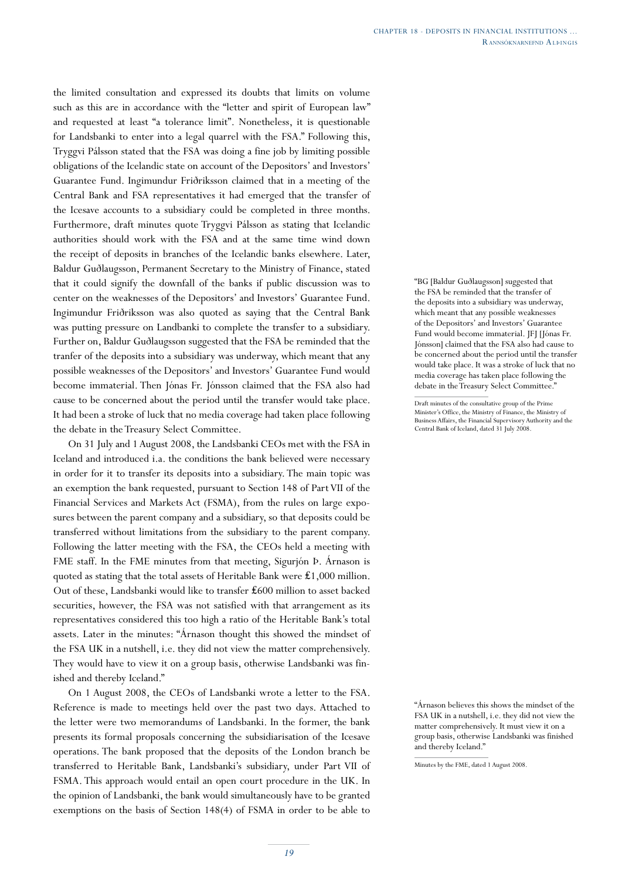the limited consultation and expressed its doubts that limits on volume such as this are in accordance with the "letter and spirit of European law" and requested at least "a tolerance limit". Nonetheless, it is questionable for Landsbanki to enter into a legal quarrel with the FSA." Following this, Tryggvi Pálsson stated that the FSA was doing a fine job by limiting possible obligations of the Icelandic state on account of the Depositors' and Investors' Guarantee Fund. Ingimundur Friðriksson claimed that in a meeting of the Central Bank and FSA representatives it had emerged that the transfer of the Icesave accounts to a subsidiary could be completed in three months. Furthermore, draft minutes quote Tryggvi Pálsson as stating that Icelandic authorities should work with the FSA and at the same time wind down the receipt of deposits in branches of the Icelandic banks elsewhere. Later, Baldur Guðlaugsson, Permanent Secretary to the Ministry of Finance, stated that it could signify the downfall of the banks if public discussion was to center on the weaknesses of the Depositors' and Investors' Guarantee Fund. Ingimundur Friðriksson was also quoted as saying that the Central Bank was putting pressure on Landbanki to complete the transfer to a subsidiary. Further on, Baldur Guðlaugsson suggested that the FSA be reminded that the tranfer of the deposits into a subsidiary was underway, which meant that any possible weaknesses of the Depositors' and Investors' Guarantee Fund would become immaterial. Then Jónas Fr. Jónsson claimed that the FSA also had cause to be concerned about the period until the transfer would take place. It had been a stroke of luck that no media coverage had taken place following the debate in the Treasury Select Committee.

On 31 July and 1 August 2008, the Landsbanki CEOs met with the FSA in Iceland and introduced i.a. the conditions the bank believed were necessary in order for it to transfer its deposits into a subsidiary. The main topic was an exemption the bank requested, pursuant to Section 148 of Part VII of the Financial Services and Markets Act (FSMA), from the rules on large exposures between the parent company and a subsidiary, so that deposits could be transferred without limitations from the subsidiary to the parent company. Following the latter meeting with the FSA, the CEOs held a meeting with FME staff. In the FME minutes from that meeting, Sigurjón Þ. Árnason is quoted as stating that the total assets of Heritable Bank were £1,000 million. Out of these, Landsbanki would like to transfer ₤600 million to asset backed securities, however, the FSA was not satisfied with that arrangement as its representatives considered this too high a ratio of the Heritable Bank's total assets. Later in the minutes: "Árnason thought this showed the mindset of the FSA UK in a nutshell, i.e. they did not view the matter comprehensively. They would have to view it on a group basis, otherwise Landsbanki was finished and thereby Iceland."

On 1 August 2008, the CEOs of Landsbanki wrote a letter to the FSA. Reference is made to meetings held over the past two days. Attached to the letter were two memorandums of Landsbanki. In the former, the bank presents its formal proposals concerning the subsidiarisation of the Icesave operations. The bank proposed that the deposits of the London branch be transferred to Heritable Bank, Landsbanki's subsidiary, under Part VII of FSMA. This approach would entail an open court procedure in the UK. In the opinion of Landsbanki, the bank would simultaneously have to be granted exemptions on the basis of Section 148(4) of FSMA in order to be able to

"BG [Baldur Guðlaugsson] suggested that the FSA be reminded that the transfer of the deposits into a subsidiary was underway, which meant that any possible weaknesses of the Depositors' and Investors' Guarantee Fund would become immaterial. JFJ [Jónas Fr. Jónsson] claimed that the FSA also had cause to be concerned about the period until the transfer would take place. It was a stroke of luck that no media coverage has taken place following the debate in the Treasury Select Committee."

Draft minutes of the consultative group of the Prime Minister's Office, the Ministry of Finance, the Ministry of Business Affairs, the Financial Supervisory Authority and the Central Bank of Iceland, dated 31 July 2008.

"Árnason believes this shows the mindset of the FSA UK in a nutshell, i.e. they did not view the matter comprehensively. It must view it on a group basis, otherwise Landsbanki was finished and thereby Iceland."

Minutes by the FME, dated 1 August 2008.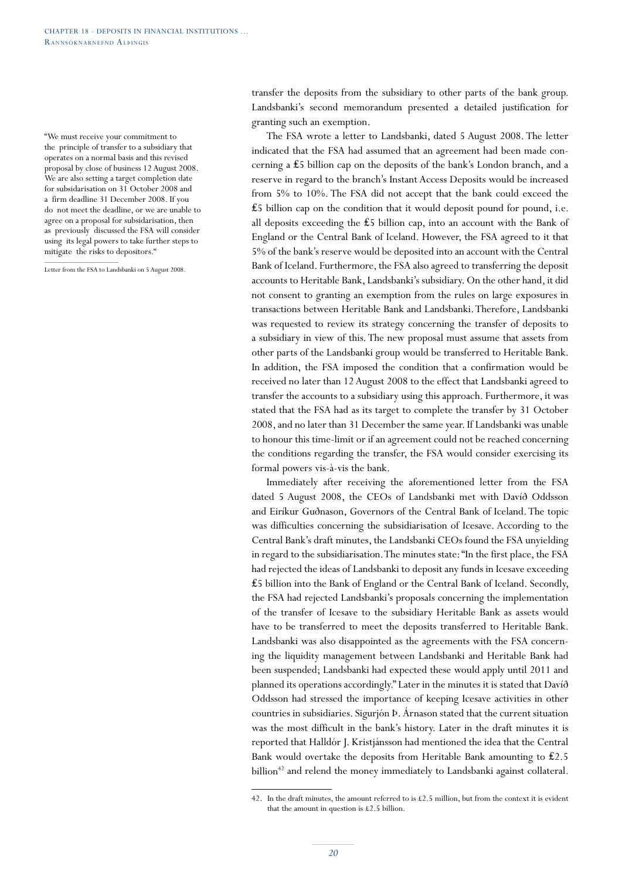"We must receive your commitment to the principle of transfer to a subsidiary that operates on a normal basis and this revised proposal by close of business 12 August 2008. We are also setting a target completion date for subsidarisation on 31 October 2008 and a firm deadline 31 December 2008. If you do not meet the deadline, or we are unable to agree on a proposal for subsidarisation, then as previously discussed the FSA will consider using its legal powers to take further steps to mitigate the risks to depositors."

Letter from the FSA to Landsbanki on 5 August 2008.

transfer the deposits from the subsidiary to other parts of the bank group. Landsbanki's second memorandum presented a detailed justification for granting such an exemption.

The FSA wrote a letter to Landsbanki, dated 5 August 2008. The letter indicated that the FSA had assumed that an agreement had been made concerning a ₤5 billion cap on the deposits of the bank's London branch, and a reserve in regard to the branch's Instant Access Deposits would be increased from 5% to 10%. The FSA did not accept that the bank could exceed the  $£5$  billion cap on the condition that it would deposit pound for pound, i.e. all deposits exceeding the ₤5 billion cap, into an account with the Bank of England or the Central Bank of Iceland. However, the FSA agreed to it that 5% of the bank's reserve would be deposited into an account with the Central Bank of Iceland. Furthermore, the FSA also agreed to transferring the deposit accounts to Heritable Bank, Landsbanki's subsidiary. On the other hand, it did not consent to granting an exemption from the rules on large exposures in transactions between Heritable Bank and Landsbanki. Therefore, Landsbanki was requested to review its strategy concerning the transfer of deposits to a subsidiary in view of this. The new proposal must assume that assets from other parts of the Landsbanki group would be transferred to Heritable Bank. In addition, the FSA imposed the condition that a confirmation would be received no later than 12 August 2008 to the effect that Landsbanki agreed to transfer the accounts to a subsidiary using this approach. Furthermore, it was stated that the FSA had as its target to complete the transfer by 31 October 2008, and no later than 31 December the same year. If Landsbanki was unable to honour this time-limit or if an agreement could not be reached concerning the conditions regarding the transfer, the FSA would consider exercising its formal powers vis-à-vis the bank.

Immediately after receiving the aforementioned letter from the FSA dated 5 August 2008, the CEOs of Landsbanki met with Davíð Oddsson and Eiríkur Guðnason, Governors of the Central Bank of Iceland. The topic was difficulties concerning the subsidiarisation of Icesave. According to the Central Bank's draft minutes, the Landsbanki CEOs found the FSA unyielding in regard to the subsidiarisation. The minutes state: "In the first place, the FSA had rejected the ideas of Landsbanki to deposit any funds in Icesave exceeding ₤5 billion into the Bank of England or the Central Bank of Iceland. Secondly, the FSA had rejected Landsbanki's proposals concerning the implementation of the transfer of Icesave to the subsidiary Heritable Bank as assets would have to be transferred to meet the deposits transferred to Heritable Bank. Landsbanki was also disappointed as the agreements with the FSA concerning the liquidity management between Landsbanki and Heritable Bank had been suspended; Landsbanki had expected these would apply until 2011 and planned its operations accordingly." Later in the minutes it is stated that Davíð Oddsson had stressed the importance of keeping Icesave activities in other countries in subsidiaries. Sigurjón Þ. Árnason stated that the current situation was the most difficult in the bank's history. Later in the draft minutes it is reported that Halldór J. Kristjánsson had mentioned the idea that the Central Bank would overtake the deposits from Heritable Bank amounting to ₤2.5 billion<sup>42</sup> and relend the money immediately to Landsbanki against collateral.

<sup>42.</sup> In the draft minutes, the amount referred to is  $\pounds$  2.5 million, but from the context it is evident that the amount in question is £2.5 billion.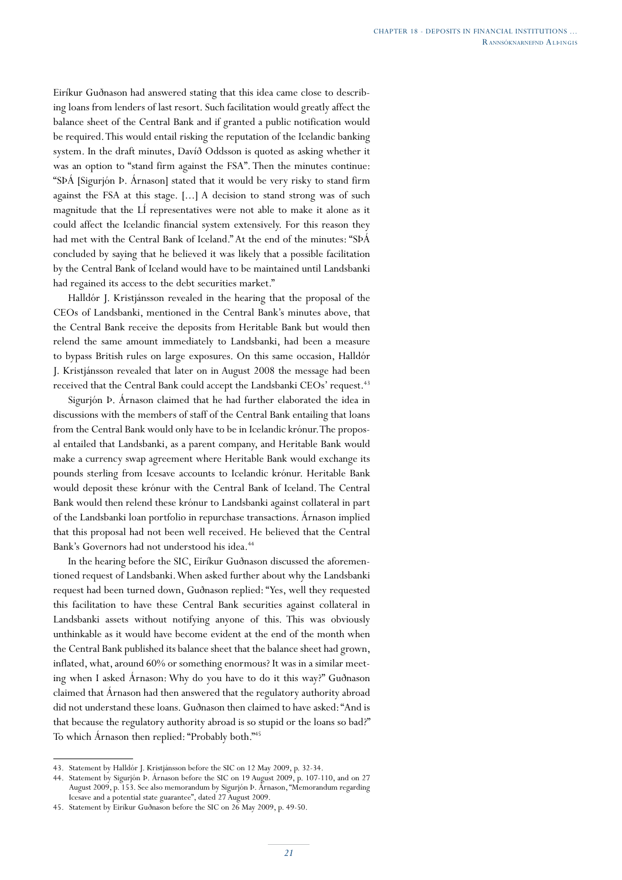Eiríkur Guðnason had answered stating that this idea came close to describing loans from lenders of last resort. Such facilitation would greatly affect the balance sheet of the Central Bank and if granted a public notification would be required. This would entail risking the reputation of the Icelandic banking system. In the draft minutes, Davíð Oddsson is quoted as asking whether it was an option to "stand firm against the FSA". Then the minutes continue: "SÞÁ [Sigurjón Þ. Árnason] stated that it would be very risky to stand firm against the FSA at this stage. [...] A decision to stand strong was of such magnitude that the LÍ representatives were not able to make it alone as it could affect the Icelandic financial system extensively. For this reason they had met with the Central Bank of Iceland." At the end of the minutes: "SÞÁ concluded by saying that he believed it was likely that a possible facilitation by the Central Bank of Iceland would have to be maintained until Landsbanki had regained its access to the debt securities market."

Halldór J. Kristjánsson revealed in the hearing that the proposal of the CEOs of Landsbanki, mentioned in the Central Bank's minutes above, that the Central Bank receive the deposits from Heritable Bank but would then relend the same amount immediately to Landsbanki, had been a measure to bypass British rules on large exposures. On this same occasion, Halldór J. Kristjánsson revealed that later on in August 2008 the message had been received that the Central Bank could accept the Landsbanki CEOs' request.<sup>43</sup>

Sigurjón Þ. Árnason claimed that he had further elaborated the idea in discussions with the members of staff of the Central Bank entailing that loans from the Central Bank would only have to be in Icelandic krónur. The proposal entailed that Landsbanki, as a parent company, and Heritable Bank would make a currency swap agreement where Heritable Bank would exchange its pounds sterling from Icesave accounts to Icelandic krónur. Heritable Bank would deposit these krónur with the Central Bank of Iceland. The Central Bank would then relend these krónur to Landsbanki against collateral in part of the Landsbanki loan portfolio in repurchase transactions. Árnason implied that this proposal had not been well received. He believed that the Central Bank's Governors had not understood his idea.<sup>44</sup>

In the hearing before the SIC, Eiríkur Guðnason discussed the aforementioned request of Landsbanki. When asked further about why the Landsbanki request had been turned down, Guðnason replied: "Yes, well they requested this facilitation to have these Central Bank securities against collateral in Landsbanki assets without notifying anyone of this. This was obviously unthinkable as it would have become evident at the end of the month when the Central Bank published its balance sheet that the balance sheet had grown, inflated, what, around 60% or something enormous? It was in a similar meeting when I asked Árnason: Why do you have to do it this way?" Guðnason claimed that Árnason had then answered that the regulatory authority abroad did not understand these loans. Guðnason then claimed to have asked: "And is that because the regulatory authority abroad is so stupid or the loans so bad?" To which Árnason then replied: "Probably both."45

<sup>43.</sup> Statement by Halldór J. Kristjánsson before the SIC on 12 May 2009, p. 32-34.

<sup>44.</sup> Statement by Sigurjón Þ. Árnason before the SIC on 19 August 2009, p. 107-110, and on 27 August 2009, p. 153. See also memorandum by Sigurjón Þ. Árnason, "Memorandum regarding Icesave and a potential state guarantee", dated 27 August 2009.

<sup>45.</sup> Statement by Eiríkur Guðnason before the SIC on 26 May 2009, p. 49-50.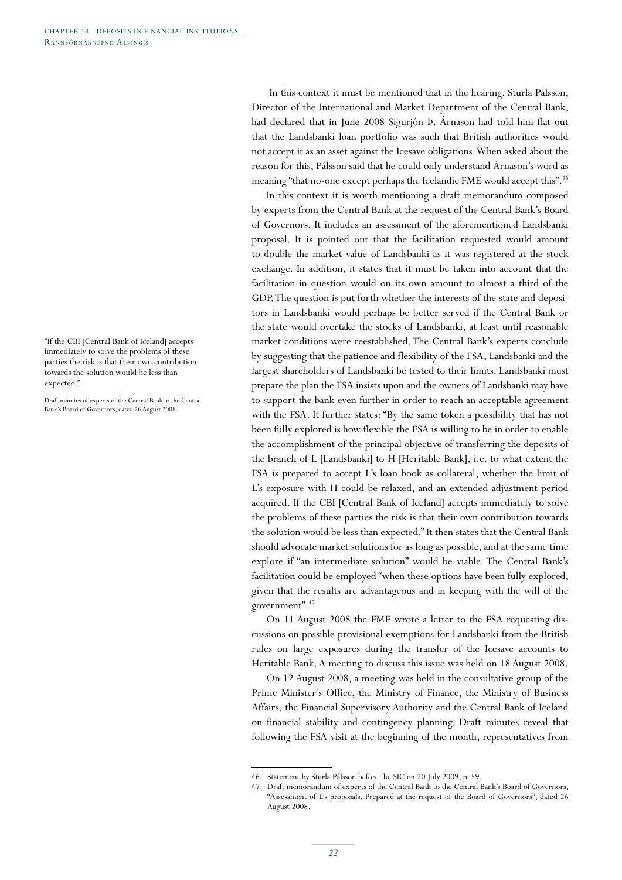"If the CBI [Central Bank of Iceland] accepts immediately to solve the problems of these parties the risk is that their own contribution towards the solution would be less than expected."

Draft minutes of experts of the Central Bank to the Central Bank's Board of Governors, dated 26 August 2008.

 In this context it must be mentioned that in the hearing, Sturla Pálsson, Director of the International and Market Department of the Central Bank, had declared that in June 2008 Sigurjón Þ. Árnason had told him flat out that the Landsbanki loan portfolio was such that British authorities would not accept it as an asset against the Icesave obligations. When asked about the reason for this, Pálsson said that he could only understand Árnason's word as meaning "that no-one except perhaps the Icelandic FME would accept this".<sup>46</sup>

In this context it is worth mentioning a draft memorandum composed by experts from the Central Bank at the request of the Central Bank's Board of Governors. It includes an assessment of the aforementioned Landsbanki proposal. It is pointed out that the facilitation requested would amount to double the market value of Landsbanki as it was registered at the stock exchange. In addition, it states that it must be taken into account that the facilitation in question would on its own amount to almost a third of the GDP. The question is put forth whether the interests of the state and depositors in Landsbanki would perhaps be better served if the Central Bank or the state would overtake the stocks of Landsbanki, at least until reasonable market conditions were reestablished. The Central Bank's experts conclude by suggesting that the patience and flexibility of the FSA, Landsbanki and the largest shareholders of Landsbanki be tested to their limits. Landsbanki must prepare the plan the FSA insists upon and the owners of Landsbanki may have to support the bank even further in order to reach an acceptable agreement with the FSA. It further states: "By the same token a possibility that has not been fully explored is how flexible the FSA is willing to be in order to enable the accomplishment of the principal objective of transferring the deposits of the branch of L [Landsbanki] to H [Heritable Bank], i.e. to what extent the FSA is prepared to accept L's loan book as collateral, whether the limit of L's exposure with H could be relaxed, and an extended adjustment period acquired. If the CBI [Central Bank of Iceland] accepts immediately to solve the problems of these parties the risk is that their own contribution towards the solution would be less than expected." It then states that the Central Bank should advocate market solutions for as long as possible, and at the same time explore if "an intermediate solution" would be viable. The Central Bank's facilitation could be employed "when these options have been fully explored, given that the results are advantageous and in keeping with the will of the government".47

On 11 August 2008 the FME wrote a letter to the FSA requesting discussions on possible provisional exemptions for Landsbanki from the British rules on large exposures during the transfer of the Icesave accounts to Heritable Bank. A meeting to discuss this issue was held on 18 August 2008.

On 12 August 2008, a meeting was held in the consultative group of the Prime Minister's Office, the Ministry of Finance, the Ministry of Business Affairs, the Financial Supervisory Authority and the Central Bank of Iceland on financial stability and contingency planning. Draft minutes reveal that following the FSA visit at the beginning of the month, representatives from

<sup>46.</sup> Statement by Sturla Pálsson before the SIC on 20 July 2009, p. 59.

<sup>47.</sup> Draft memorandum of experts of the Central Bank to the Central Bank's Board of Governors, "Assessment of L's proposals. Prepared at the request of the Board of Governors", dated 26 August 2008.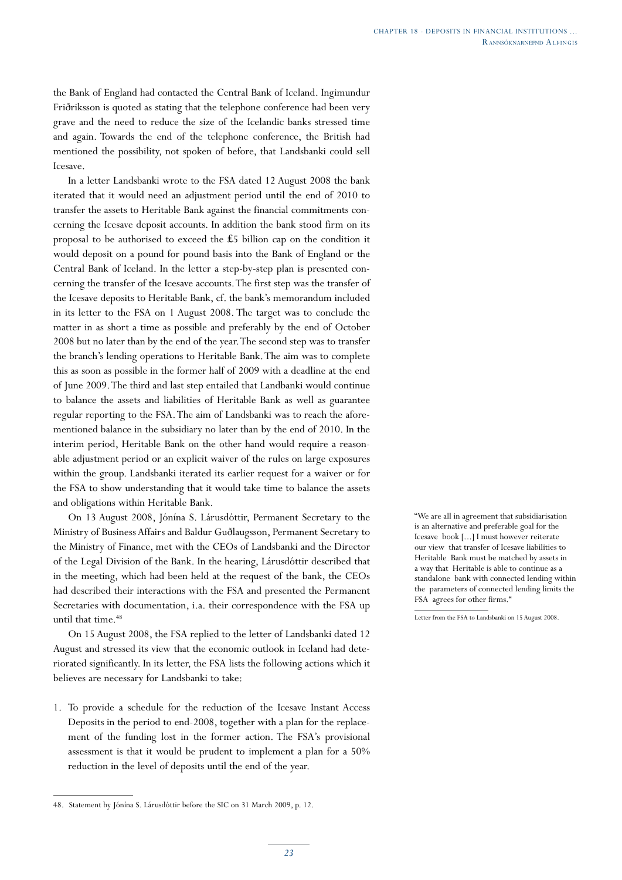the Bank of England had contacted the Central Bank of Iceland. Ingimundur Friðriksson is quoted as stating that the telephone conference had been very grave and the need to reduce the size of the Icelandic banks stressed time and again. Towards the end of the telephone conference, the British had mentioned the possibility, not spoken of before, that Landsbanki could sell Icesave.

In a letter Landsbanki wrote to the FSA dated 12 August 2008 the bank iterated that it would need an adjustment period until the end of 2010 to transfer the assets to Heritable Bank against the financial commitments concerning the Icesave deposit accounts. In addition the bank stood firm on its proposal to be authorised to exceed the ₤5 billion cap on the condition it would deposit on a pound for pound basis into the Bank of England or the Central Bank of Iceland. In the letter a step-by-step plan is presented concerning the transfer of the Icesave accounts. The first step was the transfer of the Icesave deposits to Heritable Bank, cf. the bank's memorandum included in its letter to the FSA on 1 August 2008. The target was to conclude the matter in as short a time as possible and preferably by the end of October 2008 but no later than by the end of the year. The second step was to transfer the branch's lending operations to Heritable Bank. The aim was to complete this as soon as possible in the former half of 2009 with a deadline at the end of June 2009. The third and last step entailed that Landbanki would continue to balance the assets and liabilities of Heritable Bank as well as guarantee regular reporting to the FSA. The aim of Landsbanki was to reach the aforementioned balance in the subsidiary no later than by the end of 2010. In the interim period, Heritable Bank on the other hand would require a reasonable adjustment period or an explicit waiver of the rules on large exposures within the group. Landsbanki iterated its earlier request for a waiver or for the FSA to show understanding that it would take time to balance the assets and obligations within Heritable Bank.

On 13 August 2008, Jónína S. Lárusdóttir, Permanent Secretary to the Ministry of Business Affairs and Baldur Guðlaugsson, Permanent Secretary to the Ministry of Finance, met with the CEOs of Landsbanki and the Director of the Legal Division of the Bank. In the hearing, Lárusdóttir described that in the meeting, which had been held at the request of the bank, the CEOs had described their interactions with the FSA and presented the Permanent Secretaries with documentation, i.a. their correspondence with the FSA up until that time.<sup>48</sup>

On 15 August 2008, the FSA replied to the letter of Landsbanki dated 12 August and stressed its view that the economic outlook in Iceland had deteriorated significantly. In its letter, the FSA lists the following actions which it believes are necessary for Landsbanki to take:

1. To provide a schedule for the reduction of the Icesave Instant Access Deposits in the period to end-2008, together with a plan for the replacement of the funding lost in the former action. The FSA's provisional assessment is that it would be prudent to implement a plan for a 50% reduction in the level of deposits until the end of the year.

"We are all in agreement that subsidiarisation is an alternative and preferable goal for the Icesave book [...] I must however reiterate our view that transfer of Icesave liabilities to Heritable Bank must be matched by assets in a way that Heritable is able to continue as a standalone bank with connected lending within the parameters of connected lending limits the FSA agrees for other firms."

<sup>48.</sup> Statement by Jónína S. Lárusdóttir before the SIC on 31 March 2009, p. 12.

Letter from the FSA to Landsbanki on 15 August 2008.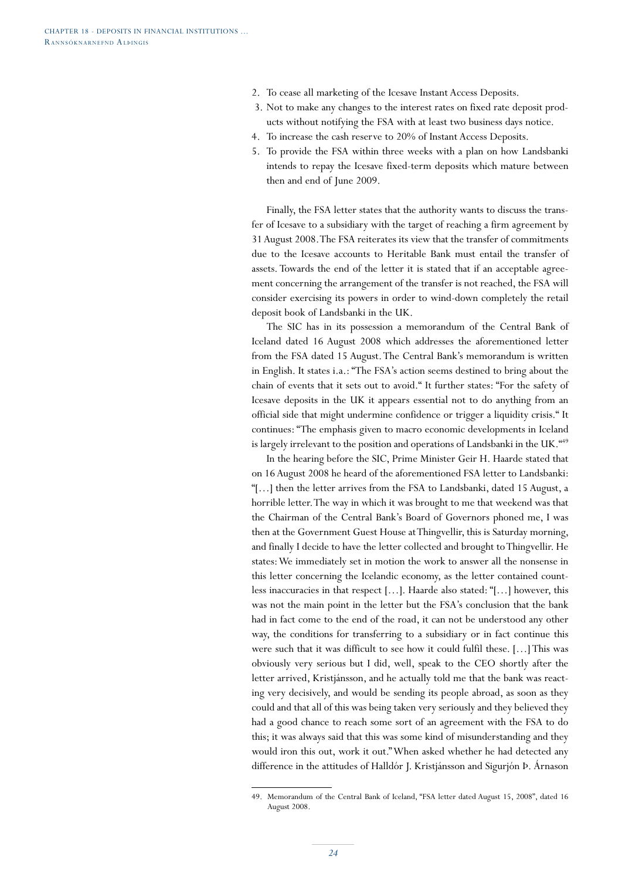- 2. To cease all marketing of the Icesave Instant Access Deposits.
- 3. Not to make any changes to the interest rates on fixed rate deposit products without notifying the FSA with at least two business days notice.
- 4. To increase the cash reserve to 20% of Instant Access Deposits.
- 5. To provide the FSA within three weeks with a plan on how Landsbanki intends to repay the Icesave fixed-term deposits which mature between then and end of June 2009.

Finally, the FSA letter states that the authority wants to discuss the transfer of Icesave to a subsidiary with the target of reaching a firm agreement by 31 August 2008. The FSA reiterates its view that the transfer of commitments due to the Icesave accounts to Heritable Bank must entail the transfer of assets. Towards the end of the letter it is stated that if an acceptable agreement concerning the arrangement of the transfer is not reached, the FSA will consider exercising its powers in order to wind-down completely the retail deposit book of Landsbanki in the UK.

The SIC has in its possession a memorandum of the Central Bank of Iceland dated 16 August 2008 which addresses the aforementioned letter from the FSA dated 15 August. The Central Bank's memorandum is written in English. It states i.a.: "The FSA's action seems destined to bring about the chain of events that it sets out to avoid." It further states: "For the safety of Icesave deposits in the UK it appears essential not to do anything from an official side that might undermine confidence or trigger a liquidity crisis." It continues: "The emphasis given to macro economic developments in Iceland is largely irrelevant to the position and operations of Landsbanki in the UK."49

In the hearing before the SIC, Prime Minister Geir H. Haarde stated that on 16 August 2008 he heard of the aforementioned FSA letter to Landsbanki: "[…] then the letter arrives from the FSA to Landsbanki, dated 15 August, a horrible letter. The way in which it was brought to me that weekend was that the Chairman of the Central Bank's Board of Governors phoned me, I was then at the Government Guest House at Thingvellir, this is Saturday morning, and finally I decide to have the letter collected and brought to Thingvellir. He states: We immediately set in motion the work to answer all the nonsense in this letter concerning the Icelandic economy, as the letter contained countless inaccuracies in that respect […]. Haarde also stated: "[…] however, this was not the main point in the letter but the FSA's conclusion that the bank had in fact come to the end of the road, it can not be understood any other way, the conditions for transferring to a subsidiary or in fact continue this were such that it was difficult to see how it could fulfil these. […] This was obviously very serious but I did, well, speak to the CEO shortly after the letter arrived, Kristjánsson, and he actually told me that the bank was reacting very decisively, and would be sending its people abroad, as soon as they could and that all of this was being taken very seriously and they believed they had a good chance to reach some sort of an agreement with the FSA to do this; it was always said that this was some kind of misunderstanding and they would iron this out, work it out." When asked whether he had detected any difference in the attitudes of Halldór J. Kristjánsson and Sigurjón Þ. Árnason

<sup>49.</sup> Memorandum of the Central Bank of Iceland, "FSA letter dated August 15, 2008", dated 16 August 2008.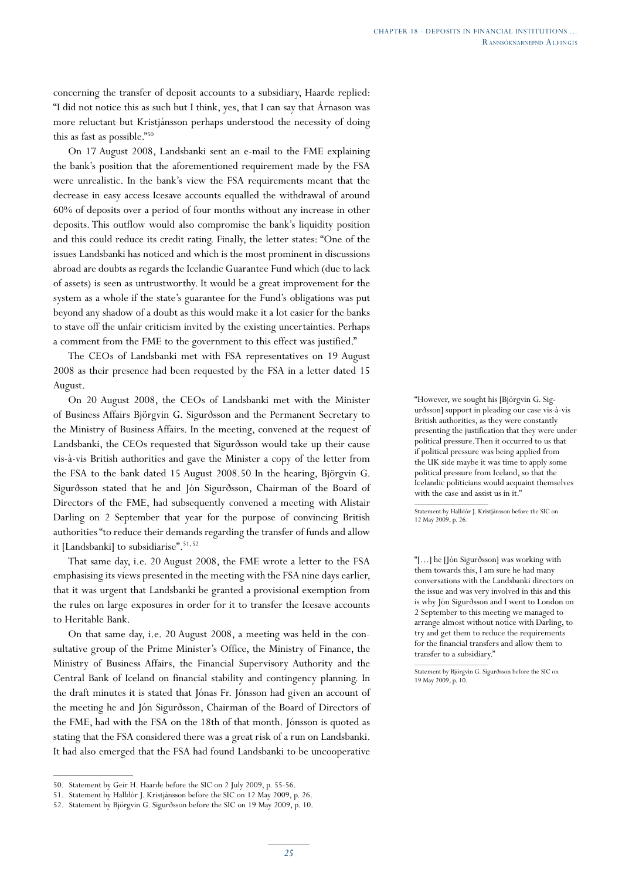concerning the transfer of deposit accounts to a subsidiary, Haarde replied: "I did not notice this as such but I think, yes, that I can say that Árnason was more reluctant but Kristjánsson perhaps understood the necessity of doing this as fast as possible."50

On 17 August 2008, Landsbanki sent an e-mail to the FME explaining the bank's position that the aforementioned requirement made by the FSA were unrealistic. In the bank's view the FSA requirements meant that the decrease in easy access Icesave accounts equalled the withdrawal of around 60% of deposits over a period of four months without any increase in other deposits. This outflow would also compromise the bank's liquidity position and this could reduce its credit rating. Finally, the letter states: "One of the issues Landsbanki has noticed and which is the most prominent in discussions abroad are doubts as regards the Icelandic Guarantee Fund which (due to lack of assets) is seen as untrustworthy. It would be a great improvement for the system as a whole if the state's guarantee for the Fund's obligations was put beyond any shadow of a doubt as this would make it a lot easier for the banks to stave off the unfair criticism invited by the existing uncertainties. Perhaps a comment from the FME to the government to this effect was justified."

The CEOs of Landsbanki met with FSA representatives on 19 August 2008 as their presence had been requested by the FSA in a letter dated 15 August.

On 20 August 2008, the CEOs of Landsbanki met with the Minister of Business Affairs Björgvin G. Sigurðsson and the Permanent Secretary to the Ministry of Business Affairs. In the meeting, convened at the request of Landsbanki, the CEOs requested that Sigurðsson would take up their cause vis-à-vis British authorities and gave the Minister a copy of the letter from the FSA to the bank dated 15 August 2008.50 In the hearing, Björgvin G. Sigurðsson stated that he and Jón Sigurðsson, Chairman of the Board of Directors of the FME, had subsequently convened a meeting with Alistair Darling on 2 September that year for the purpose of convincing British authorities "to reduce their demands regarding the transfer of funds and allow it [Landsbanki] to subsidiarise".<sup>51, 52</sup>

That same day, i.e. 20 August 2008, the FME wrote a letter to the FSA emphasising its views presented in the meeting with the FSA nine days earlier, that it was urgent that Landsbanki be granted a provisional exemption from the rules on large exposures in order for it to transfer the Icesave accounts to Heritable Bank.

On that same day, i.e. 20 August 2008, a meeting was held in the consultative group of the Prime Minister's Office, the Ministry of Finance, the Ministry of Business Affairs, the Financial Supervisory Authority and the Central Bank of Iceland on financial stability and contingency planning. In the draft minutes it is stated that Jónas Fr. Jónsson had given an account of the meeting he and Jón Sigurðsson, Chairman of the Board of Directors of the FME, had with the FSA on the 18th of that month. Jónsson is quoted as stating that the FSA considered there was a great risk of a run on Landsbanki. It had also emerged that the FSA had found Landsbanki to be uncooperative "However, we sought his [Björgvin G. Sigurðsson] support in pleading our case vis-à-vis British authorities, as they were constantly presenting the justification that they were under political pressure. Then it occurred to us that if political pressure was being applied from the UK side maybe it was time to apply some political pressure from Iceland, so that the Icelandic politicians would acquaint themselves with the case and assist us in it."

Statement by Halldór J. Kristjánsson before the SIC on 12 May 2009, p. 26.

"[…] he [Jón Sigurðsson] was working with them towards this, I am sure he had many conversations with the Landsbanki directors on the issue and was very involved in this and this is why Jón Sigurðsson and I went to London on 2 September to this meeting we managed to arrange almost without notice with Darling, to try and get them to reduce the requirements for the financial transfers and allow them to transfer to a subsidiary."

<sup>50.</sup> Statement by Geir H. Haarde before the SIC on 2 July 2009, p. 55-56.

<sup>51.</sup> Statement by Halldór J. Kristjánsson before the SIC on 12 May 2009, p. 26.

<sup>52.</sup> Statement by Björgvin G. Sigurðsson before the SIC on 19 May 2009, p. 10.

Statement by Björgvin G. Sigurðsson before the SIC on 19 May 2009, p. 10.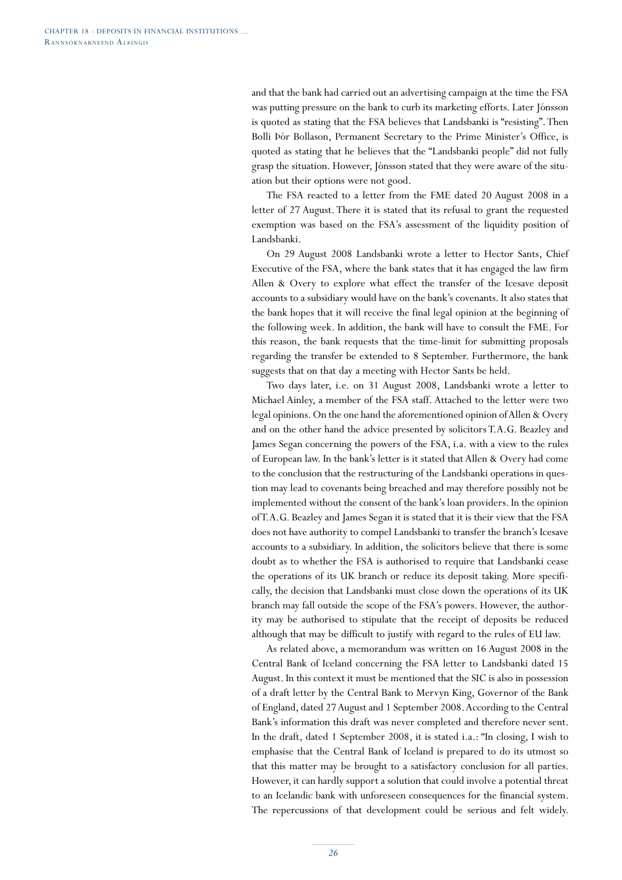and that the bank had carried out an advertising campaign at the time the FSA was putting pressure on the bank to curb its marketing efforts. Later Jónsson is quoted as stating that the FSA believes that Landsbanki is "resisting". Then Bolli Þór Bollason, Permanent Secretary to the Prime Minister's Office, is quoted as stating that he believes that the "Landsbanki people" did not fully grasp the situation. However, Jónsson stated that they were aware of the situation but their options were not good.

The FSA reacted to a letter from the FME dated 20 August 2008 in a letter of 27 August. There it is stated that its refusal to grant the requested exemption was based on the FSA's assessment of the liquidity position of Landsbanki.

On 29 August 2008 Landsbanki wrote a letter to Hector Sants, Chief Executive of the FSA, where the bank states that it has engaged the law firm Allen & Overy to explore what effect the transfer of the Icesave deposit accounts to a subsidiary would have on the bank's covenants. It also states that the bank hopes that it will receive the final legal opinion at the beginning of the following week. In addition, the bank will have to consult the FME. For this reason, the bank requests that the time-limit for submitting proposals regarding the transfer be extended to 8 September. Furthermore, the bank suggests that on that day a meeting with Hector Sants be held.

Two days later, i.e. on 31 August 2008, Landsbanki wrote a letter to Michael Ainley, a member of the FSA staff. Attached to the letter were two legal opinions. On the one hand the aforementioned opinion of Allen & Overy and on the other hand the advice presented by solicitors T.A.G. Beazley and James Segan concerning the powers of the FSA, i.a. with a view to the rules of European law. In the bank's letter is it stated that Allen & Overy had come to the conclusion that the restructuring of the Landsbanki operations in question may lead to covenants being breached and may therefore possibly not be implemented without the consent of the bank's loan providers. In the opinion of T.A.G. Beazley and James Segan it is stated that it is their view that the FSA does not have authority to compel Landsbanki to transfer the branch's Icesave accounts to a subsidiary. In addition, the solicitors believe that there is some doubt as to whether the FSA is authorised to require that Landsbanki cease the operations of its UK branch or reduce its deposit taking. More specifically, the decision that Landsbanki must close down the operations of its UK branch may fall outside the scope of the FSA's powers. However, the authority may be authorised to stipulate that the receipt of deposits be reduced although that may be difficult to justify with regard to the rules of EU law.

As related above, a memorandum was written on 16 August 2008 in the Central Bank of Iceland concerning the FSA letter to Landsbanki dated 15 August. In this context it must be mentioned that the SIC is also in possession of a draft letter by the Central Bank to Mervyn King, Governor of the Bank of England, dated 27 August and 1 September 2008. According to the Central Bank's information this draft was never completed and therefore never sent. In the draft, dated 1 September 2008, it is stated i.a.: "In closing, I wish to emphasise that the Central Bank of Iceland is prepared to do its utmost so that this matter may be brought to a satisfactory conclusion for all parties. However, it can hardly support a solution that could involve a potential threat to an Icelandic bank with unforeseen consequences for the financial system. The repercussions of that development could be serious and felt widely.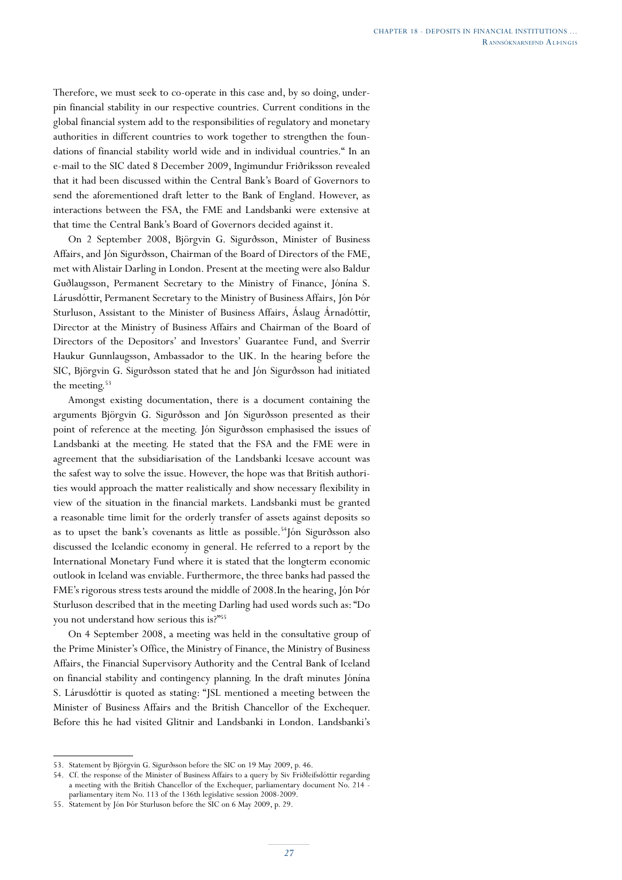Therefore, we must seek to co-operate in this case and, by so doing, underpin financial stability in our respective countries. Current conditions in the global financial system add to the responsibilities of regulatory and monetary authorities in different countries to work together to strengthen the foundations of financial stability world wide and in individual countries." In an e-mail to the SIC dated 8 December 2009, Ingimundur Friðriksson revealed that it had been discussed within the Central Bank's Board of Governors to send the aforementioned draft letter to the Bank of England. However, as interactions between the FSA, the FME and Landsbanki were extensive at that time the Central Bank's Board of Governors decided against it.

On 2 September 2008, Björgvin G. Sigurðsson, Minister of Business Affairs, and Jón Sigurðsson, Chairman of the Board of Directors of the FME, met with Alistair Darling in London. Present at the meeting were also Baldur Guðlaugsson, Permanent Secretary to the Ministry of Finance, Jónína S. Lárusdóttir, Permanent Secretary to the Ministry of Business Affairs, Jón Þór Sturluson, Assistant to the Minister of Business Affairs, Áslaug Árnadóttir, Director at the Ministry of Business Affairs and Chairman of the Board of Directors of the Depositors' and Investors' Guarantee Fund, and Sverrir Haukur Gunnlaugsson, Ambassador to the UK. In the hearing before the SIC, Björgvin G. Sigurðsson stated that he and Jón Sigurðsson had initiated the meeting.<sup>53</sup>

Amongst existing documentation, there is a document containing the arguments Björgvin G. Sigurðsson and Jón Sigurðsson presented as their point of reference at the meeting. Jón Sigurðsson emphasised the issues of Landsbanki at the meeting. He stated that the FSA and the FME were in agreement that the subsidiarisation of the Landsbanki Icesave account was the safest way to solve the issue. However, the hope was that British authorities would approach the matter realistically and show necessary flexibility in view of the situation in the financial markets. Landsbanki must be granted a reasonable time limit for the orderly transfer of assets against deposits so as to upset the bank's covenants as little as possible.<sup>54</sup>Jón Sigurðsson also discussed the Icelandic economy in general. He referred to a report by the International Monetary Fund where it is stated that the longterm economic outlook in Iceland was enviable. Furthermore, the three banks had passed the FME's rigorous stress tests around the middle of 2008.In the hearing, Jón Þór Sturluson described that in the meeting Darling had used words such as: "Do you not understand how serious this is?"<sup>55</sup>

On 4 September 2008, a meeting was held in the consultative group of the Prime Minister's Office, the Ministry of Finance, the Ministry of Business Affairs, the Financial Supervisory Authority and the Central Bank of Iceland on financial stability and contingency planning. In the draft minutes Jónína S. Lárusdóttir is quoted as stating: "JSL mentioned a meeting between the Minister of Business Affairs and the British Chancellor of the Exchequer. Before this he had visited Glitnir and Landsbanki in London. Landsbanki's

<sup>53.</sup> Statement by Björgvin G. Sigurðsson before the SIC on 19 May 2009, p. 46.

<sup>54.</sup> Cf. the response of the Minister of Business Affairs to a query by Siv Friðleifsdóttir regarding a meeting with the British Chancellor of the Exchequer, parliamentary document No. 214 parliamentary item No. 113 of the 136th legislative session 2008-2009.

<sup>55.</sup> Statement by Jón Þór Sturluson before the SIC on 6 May 2009, p. 29.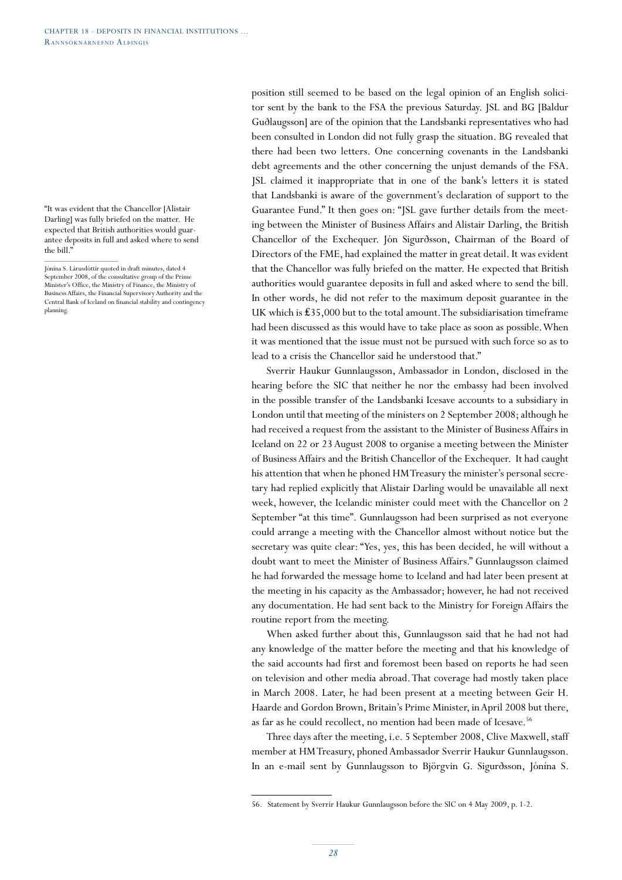"It was evident that the Chancellor [Alistair Darling] was fully briefed on the matter. He expected that British authorities would guarantee deposits in full and asked where to send the bill<sup>"</sup>

position still seemed to be based on the legal opinion of an English solicitor sent by the bank to the FSA the previous Saturday. JSL and BG [Baldur Guðlaugsson] are of the opinion that the Landsbanki representatives who had been consulted in London did not fully grasp the situation. BG revealed that there had been two letters. One concerning covenants in the Landsbanki debt agreements and the other concerning the unjust demands of the FSA. JSL claimed it inappropriate that in one of the bank's letters it is stated that Landsbanki is aware of the government's declaration of support to the Guarantee Fund." It then goes on: "JSL gave further details from the meeting between the Minister of Business Affairs and Alistair Darling, the British Chancellor of the Exchequer. Jón Sigurðsson, Chairman of the Board of Directors of the FME, had explained the matter in great detail. It was evident that the Chancellor was fully briefed on the matter. He expected that British authorities would guarantee deposits in full and asked where to send the bill. In other words, he did not refer to the maximum deposit guarantee in the UK which is ₤35,000 but to the total amount. The subsidiarisation timeframe had been discussed as this would have to take place as soon as possible. When it was mentioned that the issue must not be pursued with such force so as to lead to a crisis the Chancellor said he understood that."

Sverrir Haukur Gunnlaugsson, Ambassador in London, disclosed in the hearing before the SIC that neither he nor the embassy had been involved in the possible transfer of the Landsbanki Icesave accounts to a subsidiary in London until that meeting of the ministers on 2 September 2008; although he had received a request from the assistant to the Minister of Business Affairs in Iceland on 22 or 23 August 2008 to organise a meeting between the Minister of Business Affairs and the British Chancellor of the Exchequer. It had caught his attention that when he phoned HM Treasury the minister's personal secretary had replied explicitly that Alistair Darling would be unavailable all next week, however, the Icelandic minister could meet with the Chancellor on 2 September "at this time". Gunnlaugsson had been surprised as not everyone could arrange a meeting with the Chancellor almost without notice but the secretary was quite clear: "Yes, yes, this has been decided, he will without a doubt want to meet the Minister of Business Affairs." Gunnlaugsson claimed he had forwarded the message home to Iceland and had later been present at the meeting in his capacity as the Ambassador; however, he had not received any documentation. He had sent back to the Ministry for Foreign Affairs the routine report from the meeting.

When asked further about this, Gunnlaugsson said that he had not had any knowledge of the matter before the meeting and that his knowledge of the said accounts had first and foremost been based on reports he had seen on television and other media abroad. That coverage had mostly taken place in March 2008. Later, he had been present at a meeting between Geir H. Haarde and Gordon Brown, Britain's Prime Minister, in April 2008 but there, as far as he could recollect, no mention had been made of Icesave.<sup>56</sup>

Three days after the meeting, i.e. 5 September 2008, Clive Maxwell, staff member at HM Treasury, phoned Ambassador Sverrir Haukur Gunnlaugsson. In an e-mail sent by Gunnlaugsson to Björgvin G. Sigurðsson, Jónína S.

Jónína S. Lárusdóttir quoted in draft minutes, dated 4 September 2008, of the consultative group of the Prime Minister's Office, the Ministry of Finance, the Ministry of Business Affairs, the Financial Supervisory Authority and the Central Bank of Iceland on financial stability and contingency planning.

<sup>56.</sup> Statement by Sverrir Haukur Gunnlaugsson before the SIC on 4 May 2009, p. 1-2.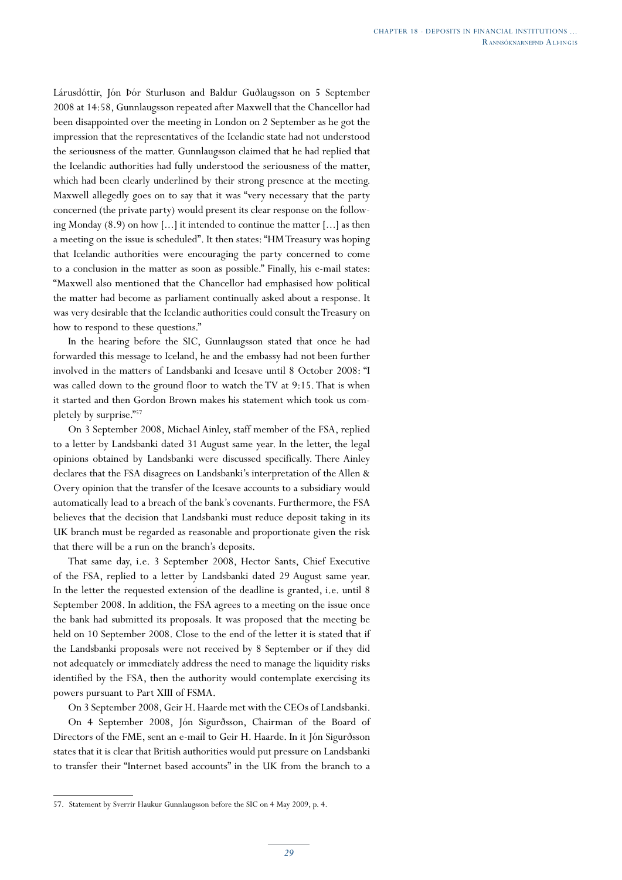Lárusdóttir, Jón Þór Sturluson and Baldur Guðlaugsson on 5 September 2008 at 14:58, Gunnlaugsson repeated after Maxwell that the Chancellor had been disappointed over the meeting in London on 2 September as he got the impression that the representatives of the Icelandic state had not understood the seriousness of the matter. Gunnlaugsson claimed that he had replied that the Icelandic authorities had fully understood the seriousness of the matter, which had been clearly underlined by their strong presence at the meeting. Maxwell allegedly goes on to say that it was "very necessary that the party concerned (the private party) would present its clear response on the following Monday (8.9) on how [...] it intended to continue the matter [...] as then a meeting on the issue is scheduled". It then states: "HM Treasury was hoping that Icelandic authorities were encouraging the party concerned to come to a conclusion in the matter as soon as possible." Finally, his e-mail states: "Maxwell also mentioned that the Chancellor had emphasised how political the matter had become as parliament continually asked about a response. It was very desirable that the Icelandic authorities could consult the Treasury on how to respond to these questions."

In the hearing before the SIC, Gunnlaugsson stated that once he had forwarded this message to Iceland, he and the embassy had not been further involved in the matters of Landsbanki and Icesave until 8 October 2008: "I was called down to the ground floor to watch the TV at 9:15. That is when it started and then Gordon Brown makes his statement which took us completely by surprise."<sup>57</sup>

On 3 September 2008, Michael Ainley, staff member of the FSA, replied to a letter by Landsbanki dated 31 August same year. In the letter, the legal opinions obtained by Landsbanki were discussed specifically. There Ainley declares that the FSA disagrees on Landsbanki's interpretation of the Allen & Overy opinion that the transfer of the Icesave accounts to a subsidiary would automatically lead to a breach of the bank's covenants. Furthermore, the FSA believes that the decision that Landsbanki must reduce deposit taking in its UK branch must be regarded as reasonable and proportionate given the risk that there will be a run on the branch's deposits.

That same day, i.e. 3 September 2008, Hector Sants, Chief Executive of the FSA, replied to a letter by Landsbanki dated 29 August same year. In the letter the requested extension of the deadline is granted, i.e. until 8 September 2008. In addition, the FSA agrees to a meeting on the issue once the bank had submitted its proposals. It was proposed that the meeting be held on 10 September 2008. Close to the end of the letter it is stated that if the Landsbanki proposals were not received by 8 September or if they did not adequately or immediately address the need to manage the liquidity risks identified by the FSA, then the authority would contemplate exercising its powers pursuant to Part XIII of FSMA.

On 3 September 2008, Geir H. Haarde met with the CEOs of Landsbanki.

On 4 September 2008, Jón Sigurðsson, Chairman of the Board of Directors of the FME, sent an e-mail to Geir H. Haarde. In it Jón Sigurðsson states that it is clear that British authorities would put pressure on Landsbanki to transfer their "Internet based accounts" in the UK from the branch to a

<sup>57.</sup> Statement by Sverrir Haukur Gunnlaugsson before the SIC on 4 May 2009, p. 4.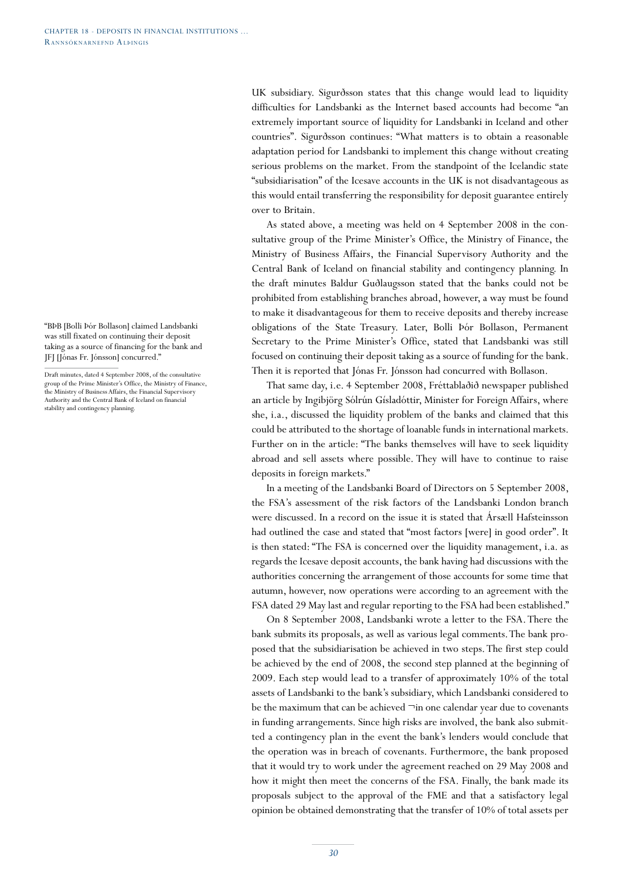UK subsidiary. Sigurðsson states that this change would lead to liquidity difficulties for Landsbanki as the Internet based accounts had become "an extremely important source of liquidity for Landsbanki in Iceland and other countries". Sigurðsson continues: "What matters is to obtain a reasonable adaptation period for Landsbanki to implement this change without creating serious problems on the market. From the standpoint of the Icelandic state "subsidiarisation" of the Icesave accounts in the UK is not disadvantageous as this would entail transferring the responsibility for deposit guarantee entirely over to Britain.

As stated above, a meeting was held on 4 September 2008 in the consultative group of the Prime Minister's Office, the Ministry of Finance, the Ministry of Business Affairs, the Financial Supervisory Authority and the Central Bank of Iceland on financial stability and contingency planning. In the draft minutes Baldur Guðlaugsson stated that the banks could not be prohibited from establishing branches abroad, however, a way must be found to make it disadvantageous for them to receive deposits and thereby increase obligations of the State Treasury. Later, Bolli Þór Bollason, Permanent Secretary to the Prime Minister's Office, stated that Landsbanki was still focused on continuing their deposit taking as a source of funding for the bank. Then it is reported that Jónas Fr. Jónsson had concurred with Bollason.

That same day, i.e. 4 September 2008, Fréttablaðið newspaper published an article by Ingibjörg Sólrún Gísladóttir, Minister for Foreign Affairs, where she, i.a., discussed the liquidity problem of the banks and claimed that this could be attributed to the shortage of loanable funds in international markets. Further on in the article: "The banks themselves will have to seek liquidity abroad and sell assets where possible. They will have to continue to raise deposits in foreign markets."

In a meeting of the Landsbanki Board of Directors on 5 September 2008, the FSA's assessment of the risk factors of the Landsbanki London branch were discussed. In a record on the issue it is stated that Ársæll Hafsteinsson had outlined the case and stated that "most factors [were] in good order". It is then stated: "The FSA is concerned over the liquidity management, i.a. as regards the Icesave deposit accounts, the bank having had discussions with the authorities concerning the arrangement of those accounts for some time that autumn, however, now operations were according to an agreement with the FSA dated 29 May last and regular reporting to the FSA had been established."

On 8 September 2008, Landsbanki wrote a letter to the FSA. There the bank submits its proposals, as well as various legal comments. The bank proposed that the subsidiarisation be achieved in two steps. The first step could be achieved by the end of 2008, the second step planned at the beginning of 2009. Each step would lead to a transfer of approximately 10% of the total assets of Landsbanki to the bank's subsidiary, which Landsbanki considered to be the maximum that can be achieved  $\neg$  in one calendar year due to covenants in funding arrangements. Since high risks are involved, the bank also submitted a contingency plan in the event the bank's lenders would conclude that the operation was in breach of covenants. Furthermore, the bank proposed that it would try to work under the agreement reached on 29 May 2008 and how it might then meet the concerns of the FSA. Finally, the bank made its proposals subject to the approval of the FME and that a satisfactory legal opinion be obtained demonstrating that the transfer of 10% of total assets per

<sup>&</sup>quot;BÞB [Bolli Þór Bollason] claimed Landsbanki was still fixated on continuing their deposit taking as a source of financing for the bank and JFJ [Jónas Fr. Jónsson] concurred."

Draft minutes, dated 4 September 2008, of the consultative group of the Prime Minister's Office, the Ministry of Finance, the Ministry of Business Affairs, the Financial Supervisory Authority and the Central Bank of Iceland on financial stability and contingency planning.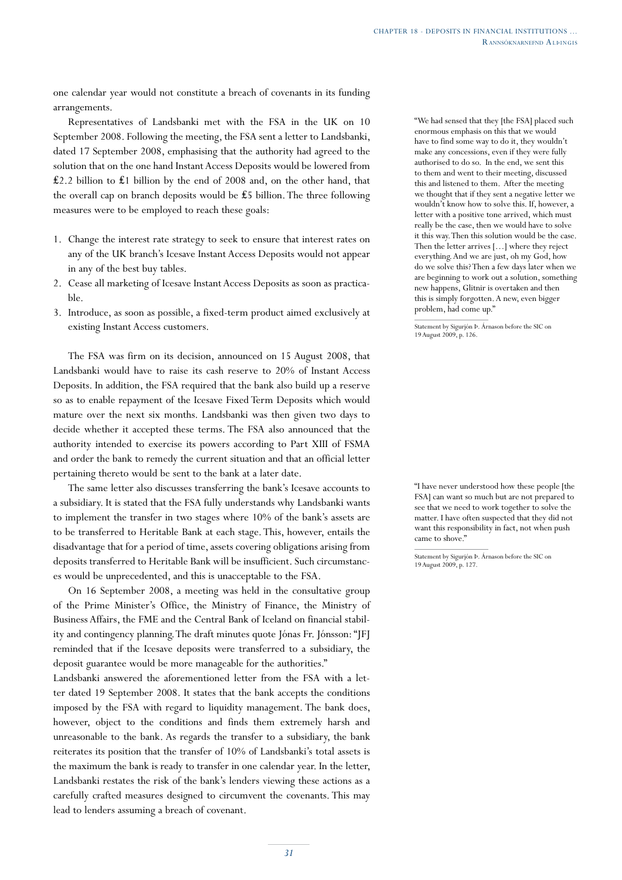one calendar year would not constitute a breach of covenants in its funding arrangements.

Representatives of Landsbanki met with the FSA in the UK on 10 September 2008. Following the meeting, the FSA sent a letter to Landsbanki, dated 17 September 2008, emphasising that the authority had agreed to the solution that on the one hand Instant Access Deposits would be lowered from ₤2.2 billion to ₤1 billion by the end of 2008 and, on the other hand, that the overall cap on branch deposits would be ₤5 billion. The three following measures were to be employed to reach these goals:

- 1. Change the interest rate strategy to seek to ensure that interest rates on any of the UK branch's Icesave Instant Access Deposits would not appear in any of the best buy tables.
- 2. Cease all marketing of Icesave Instant Access Deposits as soon as practicable.
- 3. Introduce, as soon as possible, a fixed-term product aimed exclusively at existing Instant Access customers.

The FSA was firm on its decision, announced on 15 August 2008, that Landsbanki would have to raise its cash reserve to 20% of Instant Access Deposits. In addition, the FSA required that the bank also build up a reserve so as to enable repayment of the Icesave Fixed Term Deposits which would mature over the next six months. Landsbanki was then given two days to decide whether it accepted these terms. The FSA also announced that the authority intended to exercise its powers according to Part XIII of FSMA and order the bank to remedy the current situation and that an official letter pertaining thereto would be sent to the bank at a later date.

The same letter also discusses transferring the bank's Icesave accounts to a subsidiary. It is stated that the FSA fully understands why Landsbanki wants to implement the transfer in two stages where 10% of the bank's assets are to be transferred to Heritable Bank at each stage. This, however, entails the disadvantage that for a period of time, assets covering obligations arising from deposits transferred to Heritable Bank will be insufficient. Such circumstances would be unprecedented, and this is unacceptable to the FSA.

On 16 September 2008, a meeting was held in the consultative group of the Prime Minister's Office, the Ministry of Finance, the Ministry of Business Affairs, the FME and the Central Bank of Iceland on financial stability and contingency planning. The draft minutes quote Jónas Fr. Jónsson: "JFJ reminded that if the Icesave deposits were transferred to a subsidiary, the deposit guarantee would be more manageable for the authorities."

Landsbanki answered the aforementioned letter from the FSA with a letter dated 19 September 2008. It states that the bank accepts the conditions imposed by the FSA with regard to liquidity management. The bank does, however, object to the conditions and finds them extremely harsh and unreasonable to the bank. As regards the transfer to a subsidiary, the bank reiterates its position that the transfer of 10% of Landsbanki's total assets is the maximum the bank is ready to transfer in one calendar year. In the letter, Landsbanki restates the risk of the bank's lenders viewing these actions as a carefully crafted measures designed to circumvent the covenants. This may lead to lenders assuming a breach of covenant.

"We had sensed that they [the FSA] placed such enormous emphasis on this that we would have to find some way to do it, they wouldn't make any concessions, even if they were fully authorised to do so. In the end, we sent this to them and went to their meeting, discussed this and listened to them. After the meeting we thought that if they sent a negative letter we wouldn't know how to solve this. If, however, a letter with a positive tone arrived, which must really be the case, then we would have to solve it this way. Then this solution would be the case. Then the letter arrives […] where they reject everything. And we are just, oh my God, how do we solve this? Then a few days later when we are beginning to work out a solution, something new happens, Glitnir is overtaken and then this is simply forgotten. A new, even bigger problem, had come up."

Statement by Sigurjón Þ. Árnason before the SIC on 19 August 2009, p. 126.

"I have never understood how these people [the FSA] can want so much but are not prepared to see that we need to work together to solve the matter. I have often suspected that they did not want this responsibility in fact, not when push came to shove."

Statement by Sigurjón Þ. Árnason before the SIC on 19 August 2009, p. 127.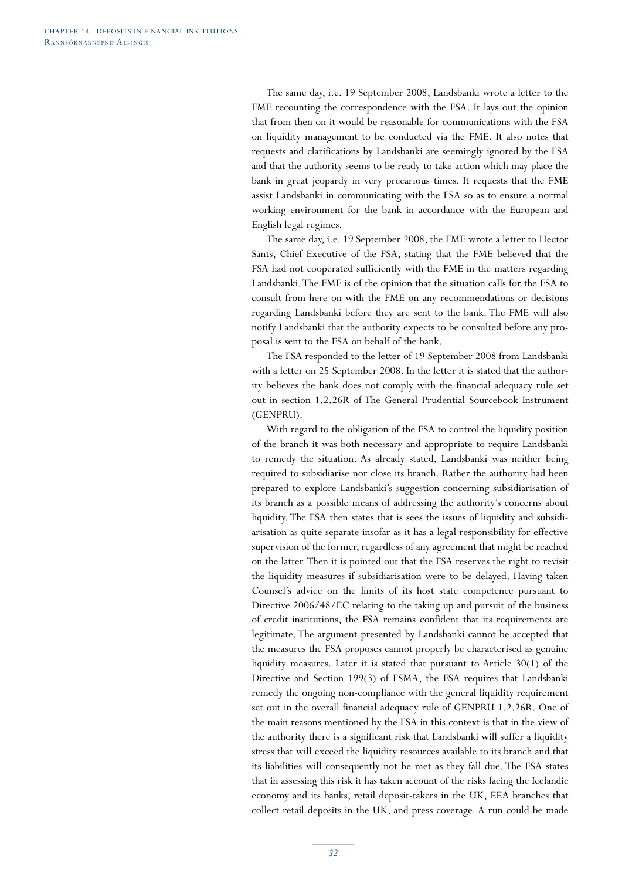The same day, i.e. 19 September 2008, Landsbanki wrote a letter to the FME recounting the correspondence with the FSA. It lays out the opinion that from then on it would be reasonable for communications with the FSA on liquidity management to be conducted via the FME. It also notes that requests and clarifications by Landsbanki are seemingly ignored by the FSA and that the authority seems to be ready to take action which may place the bank in great jeopardy in very precarious times. It requests that the FME assist Landsbanki in communicating with the FSA so as to ensure a normal working environment for the bank in accordance with the European and English legal regimes.

The same day, i.e. 19 September 2008, the FME wrote a letter to Hector Sants, Chief Executive of the FSA, stating that the FME believed that the FSA had not cooperated sufficiently with the FME in the matters regarding Landsbanki. The FME is of the opinion that the situation calls for the FSA to consult from here on with the FME on any recommendations or decisions regarding Landsbanki before they are sent to the bank. The FME will also notify Landsbanki that the authority expects to be consulted before any proposal is sent to the FSA on behalf of the bank.

The FSA responded to the letter of 19 September 2008 from Landsbanki with a letter on 25 September 2008. In the letter it is stated that the authority believes the bank does not comply with the financial adequacy rule set out in section 1.2.26R of The General Prudential Sourcebook Instrument (GENPRU).

With regard to the obligation of the FSA to control the liquidity position of the branch it was both necessary and appropriate to require Landsbanki to remedy the situation. As already stated, Landsbanki was neither being required to subsidiarise nor close its branch. Rather the authority had been prepared to explore Landsbanki's suggestion concerning subsidiarisation of its branch as a possible means of addressing the authority's concerns about liquidity. The FSA then states that is sees the issues of liquidity and subsidiarisation as quite separate insofar as it has a legal responsibility for effective supervision of the former, regardless of any agreement that might be reached on the latter. Then it is pointed out that the FSA reserves the right to revisit the liquidity measures if subsidiarisation were to be delayed. Having taken Counsel's advice on the limits of its host state competence pursuant to Directive 2006/48/EC relating to the taking up and pursuit of the business of credit institutions, the FSA remains confident that its requirements are legitimate. The argument presented by Landsbanki cannot be accepted that the measures the FSA proposes cannot properly be characterised as genuine liquidity measures. Later it is stated that pursuant to Article 30(1) of the Directive and Section 199(3) of FSMA, the FSA requires that Landsbanki remedy the ongoing non-compliance with the general liquidity requirement set out in the overall financial adequacy rule of GENPRU 1.2.26R. One of the main reasons mentioned by the FSA in this context is that in the view of the authority there is a significant risk that Landsbanki will suffer a liquidity stress that will exceed the liquidity resources available to its branch and that its liabilities will consequently not be met as they fall due. The FSA states that in assessing this risk it has taken account of the risks facing the Icelandic economy and its banks, retail deposit-takers in the UK, EEA branches that collect retail deposits in the UK, and press coverage. A run could be made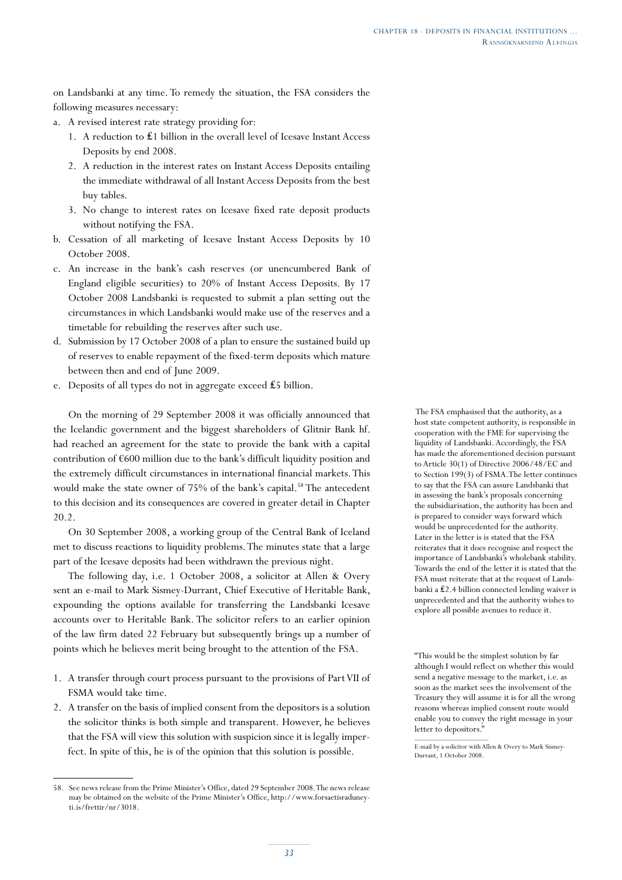on Landsbanki at any time. To remedy the situation, the FSA considers the following measures necessary:

- a. A revised interest rate strategy providing for:
	- 1. A reduction to ₤1 billion in the overall level of Icesave Instant Access Deposits by end 2008.
	- 2. A reduction in the interest rates on Instant Access Deposits entailing the immediate withdrawal of all Instant Access Deposits from the best buy tables.
	- 3. No change to interest rates on Icesave fixed rate deposit products without notifying the FSA.
- b. Cessation of all marketing of Icesave Instant Access Deposits by 10 October 2008.
- c. An increase in the bank's cash reserves (or unencumbered Bank of England eligible securities) to 20% of Instant Access Deposits. By 17 October 2008 Landsbanki is requested to submit a plan setting out the circumstances in which Landsbanki would make use of the reserves and a timetable for rebuilding the reserves after such use.
- d. Submission by 17 October 2008 of a plan to ensure the sustained build up of reserves to enable repayment of the fixed-term deposits which mature between then and end of June 2009.
- e. Deposits of all types do not in aggregate exceed £5 billion.

On the morning of 29 September 2008 it was officially announced that the Icelandic government and the biggest shareholders of Glitnir Bank hf. had reached an agreement for the state to provide the bank with a capital contribution of €600 million due to the bank's difficult liquidity position and the extremely difficult circumstances in international financial markets. This would make the state owner of 75% of the bank's capital.<sup>58</sup> The antecedent to this decision and its consequences are covered in greater detail in Chapter 20.2.

On 30 September 2008, a working group of the Central Bank of Iceland met to discuss reactions to liquidity problems. The minutes state that a large part of the Icesave deposits had been withdrawn the previous night.

The following day, i.e. 1 October 2008, a solicitor at Allen & Overy sent an e-mail to Mark Sismey-Durrant, Chief Executive of Heritable Bank, expounding the options available for transferring the Landsbanki Icesave accounts over to Heritable Bank. The solicitor refers to an earlier opinion of the law firm dated 22 February but subsequently brings up a number of points which he believes merit being brought to the attention of the FSA.

- 1. A transfer through court process pursuant to the provisions of Part VII of FSMA would take time.
- 2. A transfer on the basis of implied consent from the depositors is a solution the solicitor thinks is both simple and transparent. However, he believes that the FSA will view this solution with suspicion since it is legally imperfect. In spite of this, he is of the opinion that this solution is possible.

 The FSA emphasised that the authority, as a host state competent authority, is responsible in cooperation with the FME for supervising the liquidity of Landsbanki. Accordingly, the FSA has made the aforementioned decision pursuant to Article 30(1) of Directive 2006/48/EC and to Section 199(3) of FSMA.The letter continues to say that the FSA can assure Landsbanki that in assessing the bank's proposals concerning the subsidiarisation, the authority has been and is prepared to consider ways forward which would be unprecedented for the authority. Later in the letter is is stated that the FSA reiterates that it does recognise and respect the importance of Landsbanki's wholebank stability. Towards the end of the letter it is stated that the FSA must reiterate that at the request of Landsbanki a ₤2.4 billion connected lending waiver is unprecedented and that the authority wishes to explore all possible avenues to reduce it.

"This would be the simplest solution by far although I would reflect on whether this would send a negative message to the market, i.e. as soon as the market sees the involvement of the Treasury they will assume it is for all the wrong reasons whereas implied consent route would enable you to convey the right message in your letter to depositors."

<sup>58.</sup> See news release from the Prime Minister's Office, dated 29 September 2008. The news release may be obtained on the website of the Prime Minister's Office, http://www.forsaetisraduneyti.is/frettir/nr/3018.

E-mail by a solicitor with Allen & Overy to Mark Sismey-Durrant, 1 October 2008.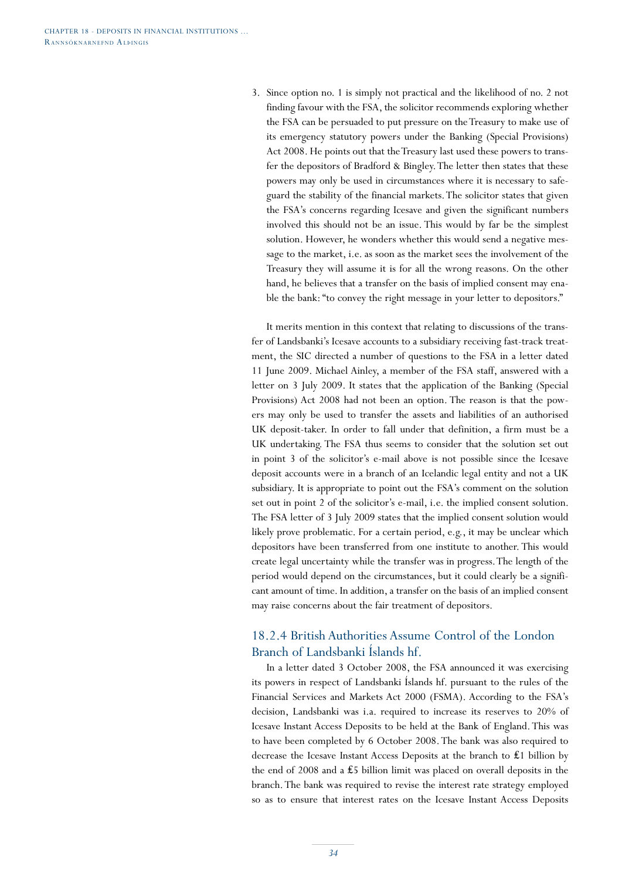3. Since option no. 1 is simply not practical and the likelihood of no. 2 not finding favour with the FSA, the solicitor recommends exploring whether the FSA can be persuaded to put pressure on the Treasury to make use of its emergency statutory powers under the Banking (Special Provisions) Act 2008. He points out that the Treasury last used these powers to transfer the depositors of Bradford & Bingley. The letter then states that these powers may only be used in circumstances where it is necessary to safeguard the stability of the financial markets. The solicitor states that given the FSA's concerns regarding Icesave and given the significant numbers involved this should not be an issue. This would by far be the simplest solution. However, he wonders whether this would send a negative message to the market, i.e. as soon as the market sees the involvement of the Treasury they will assume it is for all the wrong reasons. On the other hand, he believes that a transfer on the basis of implied consent may enable the bank: "to convey the right message in your letter to depositors."

It merits mention in this context that relating to discussions of the transfer of Landsbanki's Icesave accounts to a subsidiary receiving fast-track treatment, the SIC directed a number of questions to the FSA in a letter dated 11 June 2009. Michael Ainley, a member of the FSA staff, answered with a letter on 3 July 2009. It states that the application of the Banking (Special Provisions) Act 2008 had not been an option. The reason is that the powers may only be used to transfer the assets and liabilities of an authorised UK deposit-taker. In order to fall under that definition, a firm must be a UK undertaking. The FSA thus seems to consider that the solution set out in point 3 of the solicitor's e-mail above is not possible since the Icesave deposit accounts were in a branch of an Icelandic legal entity and not a UK subsidiary. It is appropriate to point out the FSA's comment on the solution set out in point 2 of the solicitor's e-mail, i.e. the implied consent solution. The FSA letter of 3 July 2009 states that the implied consent solution would likely prove problematic. For a certain period, e.g., it may be unclear which depositors have been transferred from one institute to another. This would create legal uncertainty while the transfer was in progress. The length of the period would depend on the circumstances, but it could clearly be a significant amount of time. In addition, a transfer on the basis of an implied consent may raise concerns about the fair treatment of depositors.

## 18.2.4 British Authorities Assume Control of the London Branch of Landsbanki Íslands hf.

In a letter dated 3 October 2008, the FSA announced it was exercising its powers in respect of Landsbanki Íslands hf. pursuant to the rules of the Financial Services and Markets Act 2000 (FSMA). According to the FSA's decision, Landsbanki was i.a. required to increase its reserves to 20% of Icesave Instant Access Deposits to be held at the Bank of England. This was to have been completed by 6 October 2008. The bank was also required to decrease the Icesave Instant Access Deposits at the branch to ₤1 billion by the end of 2008 and a ₤5 billion limit was placed on overall deposits in the branch. The bank was required to revise the interest rate strategy employed so as to ensure that interest rates on the Icesave Instant Access Deposits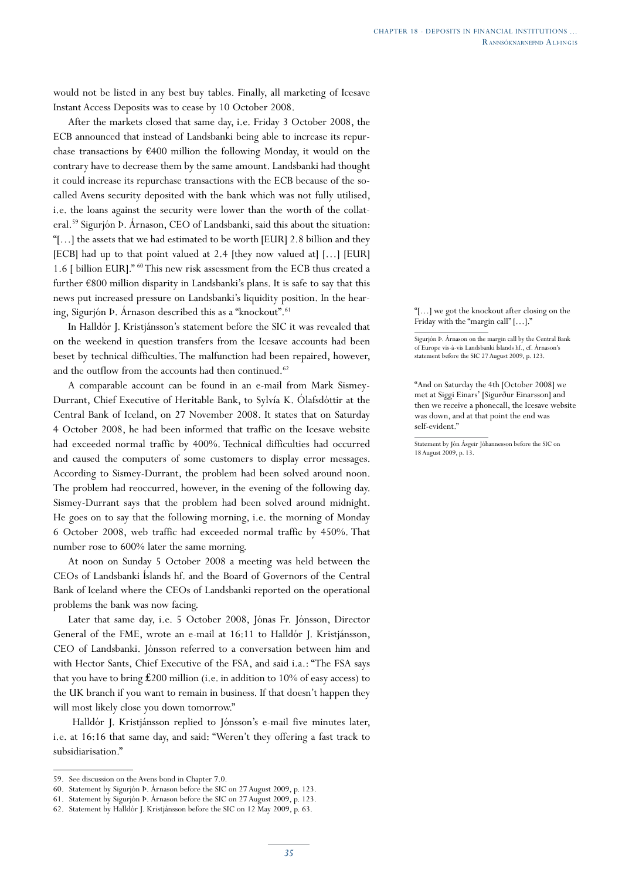would not be listed in any best buy tables. Finally, all marketing of Icesave Instant Access Deposits was to cease by 10 October 2008.

After the markets closed that same day, i.e. Friday 3 October 2008, the ECB announced that instead of Landsbanki being able to increase its repurchase transactions by  $\epsilon$ 400 million the following Monday, it would on the contrary have to decrease them by the same amount. Landsbanki had thought it could increase its repurchase transactions with the ECB because of the socalled Avens security deposited with the bank which was not fully utilised, i.e. the loans against the security were lower than the worth of the collateral.59 Sigurjón Þ. Árnason, CEO of Landsbanki, said this about the situation: "[…] the assets that we had estimated to be worth [EUR] 2.8 billion and they [ECB] had up to that point valued at 2.4 [they now valued at] […] [EUR] 1.6 [ billion EUR]." 60 This new risk assessment from the ECB thus created a further €800 million disparity in Landsbanki's plans. It is safe to say that this news put increased pressure on Landsbanki's liquidity position. In the hearing, Sigurjón Þ. Árnason described this as a "knockout".<sup>61</sup>

In Halldór J. Kristjánsson's statement before the SIC it was revealed that on the weekend in question transfers from the Icesave accounts had been beset by technical difficulties. The malfunction had been repaired, however, and the outflow from the accounts had then continued.<sup>62</sup>

A comparable account can be found in an e-mail from Mark Sismey-Durrant, Chief Executive of Heritable Bank, to Sylvía K. Ólafsdóttir at the Central Bank of Iceland, on 27 November 2008. It states that on Saturday 4 October 2008, he had been informed that traffic on the Icesave website had exceeded normal traffic by 400%. Technical difficulties had occurred and caused the computers of some customers to display error messages. According to Sismey-Durrant, the problem had been solved around noon. The problem had reoccurred, however, in the evening of the following day. Sismey-Durrant says that the problem had been solved around midnight. He goes on to say that the following morning, i.e. the morning of Monday 6 October 2008, web traffic had exceeded normal traffic by 450%. That number rose to 600% later the same morning.

At noon on Sunday 5 October 2008 a meeting was held between the CEOs of Landsbanki Íslands hf. and the Board of Governors of the Central Bank of Iceland where the CEOs of Landsbanki reported on the operational problems the bank was now facing.

Later that same day, i.e. 5 October 2008, Jónas Fr. Jónsson, Director General of the FME, wrote an e-mail at 16:11 to Halldór J. Kristjánsson, CEO of Landsbanki. Jónsson referred to a conversation between him and with Hector Sants, Chief Executive of the FSA, and said i.a.: "The FSA says that you have to bring ₤200 million (i.e. in addition to 10% of easy access) to the UK branch if you want to remain in business. If that doesn't happen they will most likely close you down tomorrow."

 Halldór J. Kristjánsson replied to Jónsson's e-mail five minutes later, i.e. at 16:16 that same day, and said: "Weren't they offering a fast track to subsidiarisation."

"[…] we got the knockout after closing on the Friday with the "margin call" […]."

Sigurjón Þ. Árnason on the margin call by the Central Bank of Europe vis-à-vis Landsbanki Íslands hf., cf. Árnason's statement before the SIC 27 August 2009, p. 123.

"And on Saturday the 4th [October 2008] we met at Siggi Einars' [Sigurður Einarsson] and then we receive a phonecall, the Icesave website was down, and at that point the end was self-evident."

Statement by Jón Ásgeir Jóhannesson before the SIC on 18 August 2009, p. 13.

<sup>59.</sup> See discussion on the Avens bond in Chapter 7.0.

<sup>60.</sup> Statement by Sigurjón Þ. Árnason before the SIC on 27 August 2009, p. 123.

<sup>61.</sup> Statement by Sigurjón Þ. Árnason before the SIC on 27 August 2009, p. 123.

<sup>62.</sup> Statement by Halldór J. Kristjánsson before the SIC on 12 May 2009, p. 63.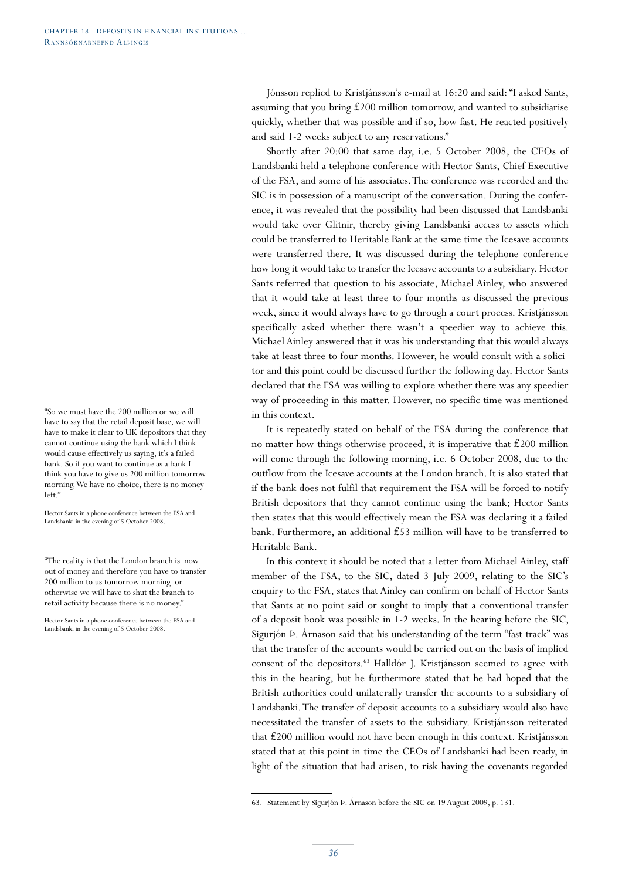"So we must have the 200 million or we will have to say that the retail deposit base, we will have to make it clear to UK depositors that they cannot continue using the bank which I think would cause effectively us saying, it's a failed bank. So if you want to continue as a bank I think you have to give us 200 million tomorrow morning. We have no choice, there is no money left."

Hector Sants in a phone conference between the FSA and Landsbanki in the evening of 5 October 2008.

"The reality is that the London branch is now out of money and therefore you have to transfer 200 million to us tomorrow morning or otherwise we will have to shut the branch to retail activity because there is no money."

Hector Sants in a phone conference between the FSA and Landsbanki in the evening of 5 October 2008.

Jónsson replied to Kristjánsson's e-mail at 16:20 and said: "I asked Sants, assuming that you bring ₤200 million tomorrow, and wanted to subsidiarise quickly, whether that was possible and if so, how fast. He reacted positively and said 1-2 weeks subject to any reservations."

Shortly after 20:00 that same day, i.e. 5 October 2008, the CEOs of Landsbanki held a telephone conference with Hector Sants, Chief Executive of the FSA, and some of his associates. The conference was recorded and the SIC is in possession of a manuscript of the conversation. During the conference, it was revealed that the possibility had been discussed that Landsbanki would take over Glitnir, thereby giving Landsbanki access to assets which could be transferred to Heritable Bank at the same time the Icesave accounts were transferred there. It was discussed during the telephone conference how long it would take to transfer the Icesave accounts to a subsidiary. Hector Sants referred that question to his associate, Michael Ainley, who answered that it would take at least three to four months as discussed the previous week, since it would always have to go through a court process. Kristjánsson specifically asked whether there wasn't a speedier way to achieve this. Michael Ainley answered that it was his understanding that this would always take at least three to four months. However, he would consult with a solicitor and this point could be discussed further the following day. Hector Sants declared that the FSA was willing to explore whether there was any speedier way of proceeding in this matter. However, no specific time was mentioned in this context.

It is repeatedly stated on behalf of the FSA during the conference that no matter how things otherwise proceed, it is imperative that ₤200 million will come through the following morning, i.e. 6 October 2008, due to the outflow from the Icesave accounts at the London branch. It is also stated that if the bank does not fulfil that requirement the FSA will be forced to notify British depositors that they cannot continue using the bank; Hector Sants then states that this would effectively mean the FSA was declaring it a failed bank. Furthermore, an additional ₤53 million will have to be transferred to Heritable Bank.

In this context it should be noted that a letter from Michael Ainley, staff member of the FSA, to the SIC, dated 3 July 2009, relating to the SIC's enquiry to the FSA, states that Ainley can confirm on behalf of Hector Sants that Sants at no point said or sought to imply that a conventional transfer of a deposit book was possible in 1-2 weeks. In the hearing before the SIC, Sigurjón Þ. Árnason said that his understanding of the term "fast track" was that the transfer of the accounts would be carried out on the basis of implied consent of the depositors.<sup>63</sup> Halldór J. Kristjánsson seemed to agree with this in the hearing, but he furthermore stated that he had hoped that the British authorities could unilaterally transfer the accounts to a subsidiary of Landsbanki. The transfer of deposit accounts to a subsidiary would also have necessitated the transfer of assets to the subsidiary. Kristjánsson reiterated that ₤200 million would not have been enough in this context. Kristjánsson stated that at this point in time the CEOs of Landsbanki had been ready, in light of the situation that had arisen, to risk having the covenants regarded

<sup>63.</sup> Statement by Sigurjón Þ. Árnason before the SIC on 19 August 2009, p. 131.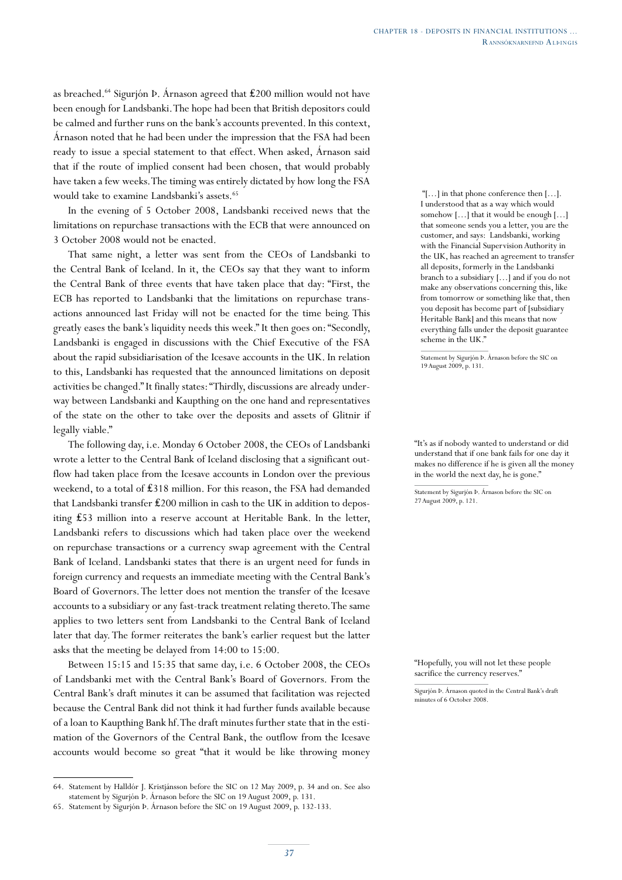as breached.64 Sigurjón Þ. Árnason agreed that ₤200 million would not have been enough for Landsbanki. The hope had been that British depositors could be calmed and further runs on the bank's accounts prevented. In this context, Árnason noted that he had been under the impression that the FSA had been ready to issue a special statement to that effect. When asked, Árnason said that if the route of implied consent had been chosen, that would probably have taken a few weeks. The timing was entirely dictated by how long the FSA would take to examine Landsbanki's assets.<sup>65</sup>

In the evening of 5 October 2008, Landsbanki received news that the limitations on repurchase transactions with the ECB that were announced on 3 October 2008 would not be enacted.

That same night, a letter was sent from the CEOs of Landsbanki to the Central Bank of Iceland. In it, the CEOs say that they want to inform the Central Bank of three events that have taken place that day: "First, the ECB has reported to Landsbanki that the limitations on repurchase transactions announced last Friday will not be enacted for the time being. This greatly eases the bank's liquidity needs this week." It then goes on: "Secondly, Landsbanki is engaged in discussions with the Chief Executive of the FSA about the rapid subsidiarisation of the Icesave accounts in the UK. In relation to this, Landsbanki has requested that the announced limitations on deposit activities be changed." It finally states: "Thirdly, discussions are already underway between Landsbanki and Kaupthing on the one hand and representatives of the state on the other to take over the deposits and assets of Glitnir if legally viable."

The following day, i.e. Monday 6 October 2008, the CEOs of Landsbanki wrote a letter to the Central Bank of Iceland disclosing that a significant outflow had taken place from the Icesave accounts in London over the previous weekend, to a total of £318 million. For this reason, the FSA had demanded that Landsbanki transfer ₤200 million in cash to the UK in addition to depositing ₤53 million into a reserve account at Heritable Bank. In the letter, Landsbanki refers to discussions which had taken place over the weekend on repurchase transactions or a currency swap agreement with the Central Bank of Iceland. Landsbanki states that there is an urgent need for funds in foreign currency and requests an immediate meeting with the Central Bank's Board of Governors. The letter does not mention the transfer of the Icesave accounts to a subsidiary or any fast-track treatment relating thereto. The same applies to two letters sent from Landsbanki to the Central Bank of Iceland later that day. The former reiterates the bank's earlier request but the latter asks that the meeting be delayed from 14:00 to 15:00.

Between 15:15 and 15:35 that same day, i.e. 6 October 2008, the CEOs of Landsbanki met with the Central Bank's Board of Governors. From the Central Bank's draft minutes it can be assumed that facilitation was rejected because the Central Bank did not think it had further funds available because of a loan to Kaupthing Bank hf. The draft minutes further state that in the estimation of the Governors of the Central Bank, the outflow from the Icesave accounts would become so great "that it would be like throwing money

 "[…] in that phone conference then […]. I understood that as a way which would somehow […] that it would be enough […] that someone sends you a letter, you are the customer, and says: Landsbanki, working with the Financial Supervision Authority in the UK, has reached an agreement to transfer all deposits, formerly in the Landsbanki branch to a subsidiary […] and if you do not make any observations concerning this, like from tomorrow or something like that, then you deposit has become part of [subsidiary Heritable Bank] and this means that now everything falls under the deposit guarantee scheme in the UK."

Statement by Sigurjón Þ. Árnason before the SIC on 19 August 2009, p. 131.

"It's as if nobody wanted to understand or did understand that if one bank fails for one day it makes no difference if he is given all the money in the world the next day, he is gone."

Statement by Sigurjón Þ. Árnason before the SIC on 27 August 2009, p. 121.

"Hopefully, you will not let these people sacrifice the currency reserves."

<sup>64.</sup> Statement by Halldór J. Kristjánsson before the SIC on 12 May 2009, p. 34 and on. See also statement by Sigurjón Þ. Árnason before the SIC on 19 August 2009, p. 131.

<sup>65.</sup> Statement by Sigurjón Þ. Árnason before the SIC on 19 August 2009, p. 132-133.

Sigurjón Þ. Árnason quoted in the Central Bank's draft minutes of 6 October 2008.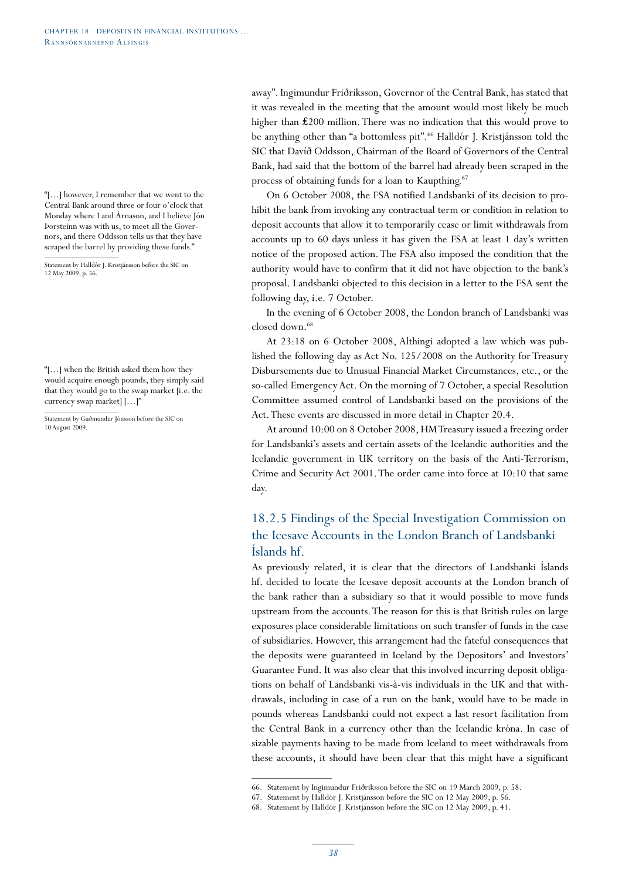"[…] however, I remember that we went to the Central Bank around three or four o'clock that Monday where I and Árnason, and I believe Jón Þorsteinn was with us, to meet all the Governors, and there Oddsson tells us that they have scraped the barrel by providing these funds."

Statement by Halldór J. Kristjánsson before the SIC on 12 May 2009, p. 56.

"[…] when the British asked them how they would acquire enough pounds, they simply said that they would go to the swap market [i.e. the currency swap market] […]"

Statement by Guðmundur Jónsson before the SIC on 10 August 2009.

away". Ingimundur Friðriksson, Governor of the Central Bank, has stated that it was revealed in the meeting that the amount would most likely be much higher than ₤200 million. There was no indication that this would prove to be anything other than "a bottomless pit".<sup>66</sup> Halldór J. Kristjánsson told the SIC that Davíð Oddsson, Chairman of the Board of Governors of the Central Bank, had said that the bottom of the barrel had already been scraped in the process of obtaining funds for a loan to Kaupthing.<sup>67</sup>

On 6 October 2008, the FSA notified Landsbanki of its decision to prohibit the bank from invoking any contractual term or condition in relation to deposit accounts that allow it to temporarily cease or limit withdrawals from accounts up to 60 days unless it has given the FSA at least 1 day's written notice of the proposed action. The FSA also imposed the condition that the authority would have to confirm that it did not have objection to the bank's proposal. Landsbanki objected to this decision in a letter to the FSA sent the following day, i.e. 7 October.

In the evening of 6 October 2008, the London branch of Landsbanki was closed down.<sup>68</sup>

At 23:18 on 6 October 2008, Althingi adopted a law which was published the following day as Act No. 125/2008 on the Authority for Treasury Disbursements due to Unusual Financial Market Circumstances, etc., or the so-called Emergency Act. On the morning of 7 October, a special Resolution Committee assumed control of Landsbanki based on the provisions of the Act. These events are discussed in more detail in Chapter 20.4.

At around 10:00 on 8 October 2008, HM Treasury issued a freezing order for Landsbanki's assets and certain assets of the Icelandic authorities and the Icelandic government in UK territory on the basis of the Anti-Terrorism, Crime and Security Act 2001. The order came into force at 10:10 that same day.

# 18.2.5 Findings of the Special Investigation Commission on the Icesave Accounts in the London Branch of Landsbanki Íslands hf.

As previously related, it is clear that the directors of Landsbanki Íslands hf. decided to locate the Icesave deposit accounts at the London branch of the bank rather than a subsidiary so that it would possible to move funds upstream from the accounts. The reason for this is that British rules on large exposures place considerable limitations on such transfer of funds in the case of subsidiaries. However, this arrangement had the fateful consequences that the deposits were guaranteed in Iceland by the Depositors' and Investors' Guarantee Fund. It was also clear that this involved incurring deposit obligations on behalf of Landsbanki vis-à-vis individuals in the UK and that withdrawals, including in case of a run on the bank, would have to be made in pounds whereas Landsbanki could not expect a last resort facilitation from the Central Bank in a currency other than the Icelandic króna. In case of sizable payments having to be made from Iceland to meet withdrawals from these accounts, it should have been clear that this might have a significant

<sup>66.</sup> Statement by Ingimundur Friðriksson before the SIC on 19 March 2009, p. 58.

<sup>67.</sup> Statement by Halldór J. Kristjánsson before the SIC on 12 May 2009, p. 56.

<sup>68.</sup> Statement by Halldór J. Kristjánsson before the SIC on 12 May 2009, p. 41.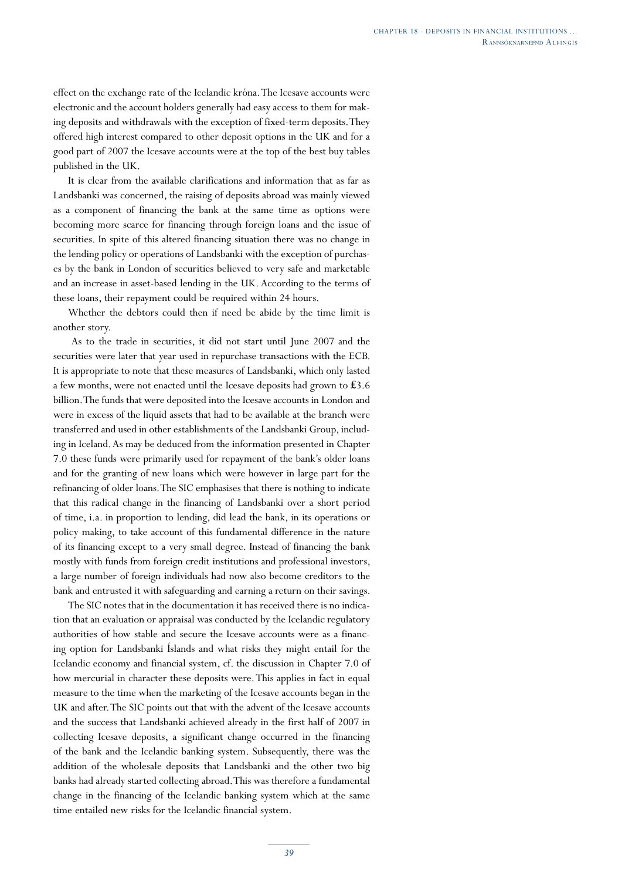effect on the exchange rate of the Icelandic króna. The Icesave accounts were electronic and the account holders generally had easy access to them for making deposits and withdrawals with the exception of fixed-term deposits. They offered high interest compared to other deposit options in the UK and for a good part of 2007 the Icesave accounts were at the top of the best buy tables published in the UK.

It is clear from the available clarifications and information that as far as Landsbanki was concerned, the raising of deposits abroad was mainly viewed as a component of financing the bank at the same time as options were becoming more scarce for financing through foreign loans and the issue of securities. In spite of this altered financing situation there was no change in the lending policy or operations of Landsbanki with the exception of purchases by the bank in London of securities believed to very safe and marketable and an increase in asset-based lending in the UK. According to the terms of these loans, their repayment could be required within 24 hours.

Whether the debtors could then if need be abide by the time limit is another story.

 As to the trade in securities, it did not start until June 2007 and the securities were later that year used in repurchase transactions with the ECB. It is appropriate to note that these measures of Landsbanki, which only lasted a few months, were not enacted until the Icesave deposits had grown to ₤3.6 billion. The funds that were deposited into the Icesave accounts in London and were in excess of the liquid assets that had to be available at the branch were transferred and used in other establishments of the Landsbanki Group, including in Iceland. As may be deduced from the information presented in Chapter 7.0 these funds were primarily used for repayment of the bank's older loans and for the granting of new loans which were however in large part for the refinancing of older loans. The SIC emphasises that there is nothing to indicate that this radical change in the financing of Landsbanki over a short period of time, i.a. in proportion to lending, did lead the bank, in its operations or policy making, to take account of this fundamental difference in the nature of its financing except to a very small degree. Instead of financing the bank mostly with funds from foreign credit institutions and professional investors, a large number of foreign individuals had now also become creditors to the bank and entrusted it with safeguarding and earning a return on their savings.

The SIC notes that in the documentation it has received there is no indication that an evaluation or appraisal was conducted by the Icelandic regulatory authorities of how stable and secure the Icesave accounts were as a financing option for Landsbanki Íslands and what risks they might entail for the Icelandic economy and financial system, cf. the discussion in Chapter 7.0 of how mercurial in character these deposits were. This applies in fact in equal measure to the time when the marketing of the Icesave accounts began in the UK and after. The SIC points out that with the advent of the Icesave accounts and the success that Landsbanki achieved already in the first half of 2007 in collecting Icesave deposits, a significant change occurred in the financing of the bank and the Icelandic banking system. Subsequently, there was the addition of the wholesale deposits that Landsbanki and the other two big banks had already started collecting abroad. This was therefore a fundamental change in the financing of the Icelandic banking system which at the same time entailed new risks for the Icelandic financial system.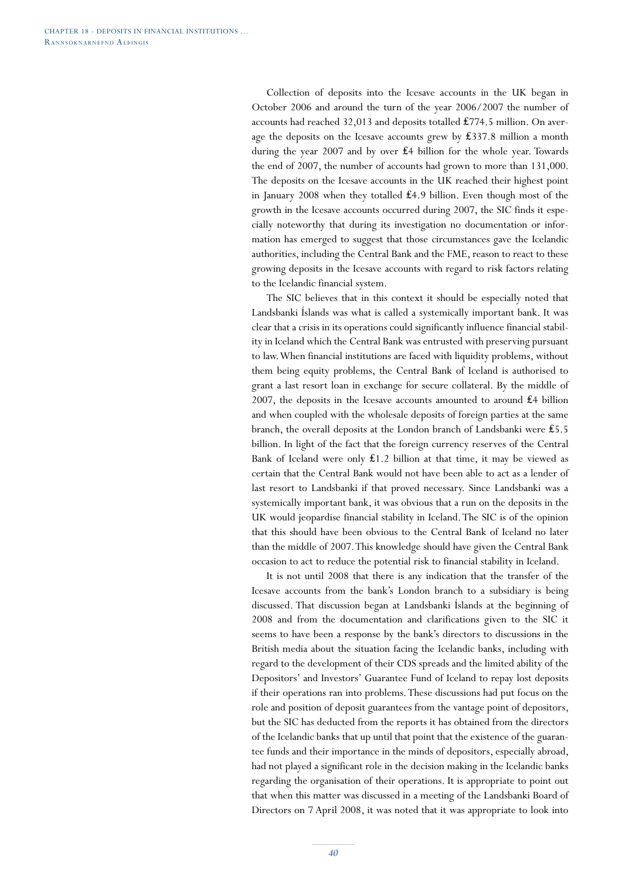Collection of deposits into the Icesave accounts in the UK began in October 2006 and around the turn of the year 2006/2007 the number of accounts had reached 32,013 and deposits totalled ₤774.5 million. On average the deposits on the Icesave accounts grew by ₤337.8 million a month during the year 2007 and by over ₤4 billion for the whole year. Towards the end of 2007, the number of accounts had grown to more than 131,000. The deposits on the Icesave accounts in the UK reached their highest point in January 2008 when they totalled ₤4.9 billion. Even though most of the growth in the Icesave accounts occurred during 2007, the SIC finds it especially noteworthy that during its investigation no documentation or information has emerged to suggest that those circumstances gave the Icelandic authorities, including the Central Bank and the FME, reason to react to these growing deposits in the Icesave accounts with regard to risk factors relating to the Icelandic financial system.

The SIC believes that in this context it should be especially noted that Landsbanki Íslands was what is called a systemically important bank. It was clear that a crisis in its operations could significantly influence financial stability in Iceland which the Central Bank was entrusted with preserving pursuant to law. When financial institutions are faced with liquidity problems, without them being equity problems, the Central Bank of Iceland is authorised to grant a last resort loan in exchange for secure collateral. By the middle of 2007, the deposits in the Icesave accounts amounted to around £4 billion and when coupled with the wholesale deposits of foreign parties at the same branch, the overall deposits at the London branch of Landsbanki were ₤5.5 billion. In light of the fact that the foreign currency reserves of the Central Bank of Iceland were only  $\pounds$ 1.2 billion at that time, it may be viewed as certain that the Central Bank would not have been able to act as a lender of last resort to Landsbanki if that proved necessary. Since Landsbanki was a systemically important bank, it was obvious that a run on the deposits in the UK would jeopardise financial stability in Iceland. The SIC is of the opinion that this should have been obvious to the Central Bank of Iceland no later than the middle of 2007. This knowledge should have given the Central Bank occasion to act to reduce the potential risk to financial stability in Iceland.

It is not until 2008 that there is any indication that the transfer of the Icesave accounts from the bank's London branch to a subsidiary is being discussed. That discussion began at Landsbanki Íslands at the beginning of 2008 and from the documentation and clarifications given to the SIC it seems to have been a response by the bank's directors to discussions in the British media about the situation facing the Icelandic banks, including with regard to the development of their CDS spreads and the limited ability of the Depositors' and Investors' Guarantee Fund of Iceland to repay lost deposits if their operations ran into problems. These discussions had put focus on the role and position of deposit guarantees from the vantage point of depositors, but the SIC has deducted from the reports it has obtained from the directors of the Icelandic banks that up until that point that the existence of the guarantee funds and their importance in the minds of depositors, especially abroad, had not played a significant role in the decision making in the Icelandic banks regarding the organisation of their operations. It is appropriate to point out that when this matter was discussed in a meeting of the Landsbanki Board of Directors on 7 April 2008, it was noted that it was appropriate to look into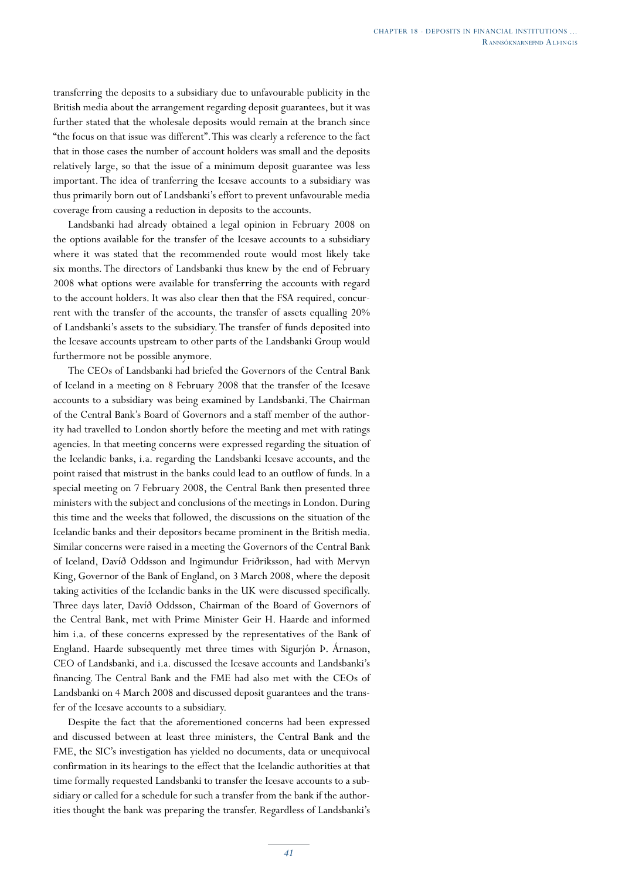transferring the deposits to a subsidiary due to unfavourable publicity in the British media about the arrangement regarding deposit guarantees, but it was further stated that the wholesale deposits would remain at the branch since "the focus on that issue was different". This was clearly a reference to the fact that in those cases the number of account holders was small and the deposits relatively large, so that the issue of a minimum deposit guarantee was less important. The idea of tranferring the Icesave accounts to a subsidiary was thus primarily born out of Landsbanki's effort to prevent unfavourable media coverage from causing a reduction in deposits to the accounts.

Landsbanki had already obtained a legal opinion in February 2008 on the options available for the transfer of the Icesave accounts to a subsidiary where it was stated that the recommended route would most likely take six months. The directors of Landsbanki thus knew by the end of February 2008 what options were available for transferring the accounts with regard to the account holders. It was also clear then that the FSA required, concurrent with the transfer of the accounts, the transfer of assets equalling 20% of Landsbanki's assets to the subsidiary. The transfer of funds deposited into the Icesave accounts upstream to other parts of the Landsbanki Group would furthermore not be possible anymore.

The CEOs of Landsbanki had briefed the Governors of the Central Bank of Iceland in a meeting on 8 February 2008 that the transfer of the Icesave accounts to a subsidiary was being examined by Landsbanki. The Chairman of the Central Bank's Board of Governors and a staff member of the authority had travelled to London shortly before the meeting and met with ratings agencies. In that meeting concerns were expressed regarding the situation of the Icelandic banks, i.a. regarding the Landsbanki Icesave accounts, and the point raised that mistrust in the banks could lead to an outflow of funds. In a special meeting on 7 February 2008, the Central Bank then presented three ministers with the subject and conclusions of the meetings in London. During this time and the weeks that followed, the discussions on the situation of the Icelandic banks and their depositors became prominent in the British media. Similar concerns were raised in a meeting the Governors of the Central Bank of Iceland, Davíð Oddsson and Ingimundur Friðriksson, had with Mervyn King, Governor of the Bank of England, on 3 March 2008, where the deposit taking activities of the Icelandic banks in the UK were discussed specifically. Three days later, Davíð Oddsson, Chairman of the Board of Governors of the Central Bank, met with Prime Minister Geir H. Haarde and informed him i.a. of these concerns expressed by the representatives of the Bank of England. Haarde subsequently met three times with Sigurjón Þ. Árnason, CEO of Landsbanki, and i.a. discussed the Icesave accounts and Landsbanki's financing. The Central Bank and the FME had also met with the CEOs of Landsbanki on 4 March 2008 and discussed deposit guarantees and the transfer of the Icesave accounts to a subsidiary.

Despite the fact that the aforementioned concerns had been expressed and discussed between at least three ministers, the Central Bank and the FME, the SIC's investigation has yielded no documents, data or unequivocal confirmation in its hearings to the effect that the Icelandic authorities at that time formally requested Landsbanki to transfer the Icesave accounts to a subsidiary or called for a schedule for such a transfer from the bank if the authorities thought the bank was preparing the transfer. Regardless of Landsbanki's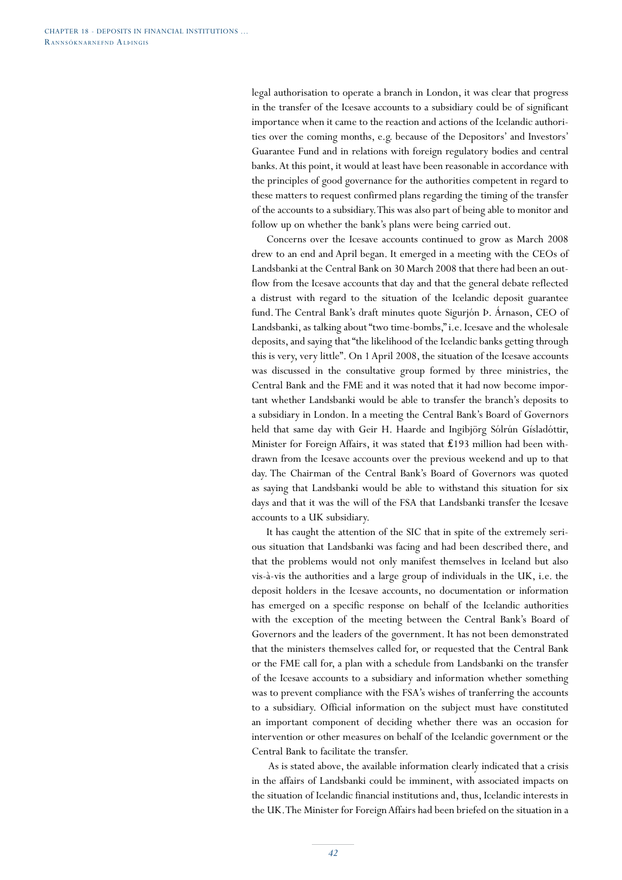legal authorisation to operate a branch in London, it was clear that progress in the transfer of the Icesave accounts to a subsidiary could be of significant importance when it came to the reaction and actions of the Icelandic authorities over the coming months, e.g. because of the Depositors' and Investors' Guarantee Fund and in relations with foreign regulatory bodies and central banks. At this point, it would at least have been reasonable in accordance with the principles of good governance for the authorities competent in regard to these matters to request confirmed plans regarding the timing of the transfer of the accounts to a subsidiary. This was also part of being able to monitor and follow up on whether the bank's plans were being carried out.

Concerns over the Icesave accounts continued to grow as March 2008 drew to an end and April began. It emerged in a meeting with the CEOs of Landsbanki at the Central Bank on 30 March 2008 that there had been an outflow from the Icesave accounts that day and that the general debate reflected a distrust with regard to the situation of the Icelandic deposit guarantee fund. The Central Bank's draft minutes quote Sigurjón Þ. Árnason, CEO of Landsbanki, as talking about "two time-bombs," i.e. Icesave and the wholesale deposits, and saying that "the likelihood of the Icelandic banks getting through this is very, very little". On 1 April 2008, the situation of the Icesave accounts was discussed in the consultative group formed by three ministries, the Central Bank and the FME and it was noted that it had now become important whether Landsbanki would be able to transfer the branch's deposits to a subsidiary in London. In a meeting the Central Bank's Board of Governors held that same day with Geir H. Haarde and Ingibjörg Sólrún Gísladóttir, Minister for Foreign Affairs, it was stated that ₤193 million had been withdrawn from the Icesave accounts over the previous weekend and up to that day. The Chairman of the Central Bank's Board of Governors was quoted as saying that Landsbanki would be able to withstand this situation for six days and that it was the will of the FSA that Landsbanki transfer the Icesave accounts to a UK subsidiary.

It has caught the attention of the SIC that in spite of the extremely serious situation that Landsbanki was facing and had been described there, and that the problems would not only manifest themselves in Iceland but also vis-à-vis the authorities and a large group of individuals in the UK, i.e. the deposit holders in the Icesave accounts, no documentation or information has emerged on a specific response on behalf of the Icelandic authorities with the exception of the meeting between the Central Bank's Board of Governors and the leaders of the government. It has not been demonstrated that the ministers themselves called for, or requested that the Central Bank or the FME call for, a plan with a schedule from Landsbanki on the transfer of the Icesave accounts to a subsidiary and information whether something was to prevent compliance with the FSA's wishes of tranferring the accounts to a subsidiary. Official information on the subject must have constituted an important component of deciding whether there was an occasion for intervention or other measures on behalf of the Icelandic government or the Central Bank to facilitate the transfer.

 As is stated above, the available information clearly indicated that a crisis in the affairs of Landsbanki could be imminent, with associated impacts on the situation of Icelandic financial institutions and, thus, Icelandic interests in the UK. The Minister for Foreign Affairs had been briefed on the situation in a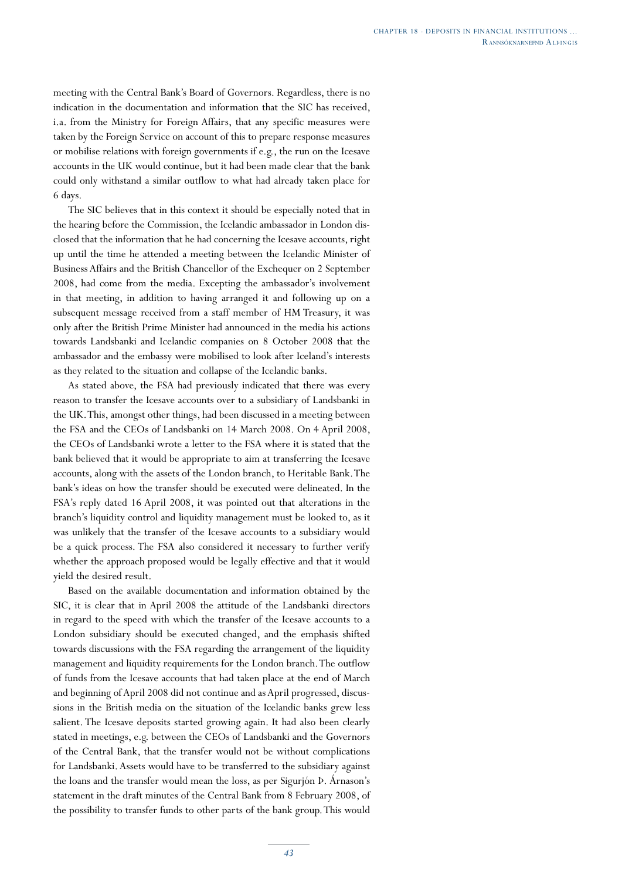meeting with the Central Bank's Board of Governors. Regardless, there is no indication in the documentation and information that the SIC has received, i.a. from the Ministry for Foreign Affairs, that any specific measures were taken by the Foreign Service on account of this to prepare response measures or mobilise relations with foreign governments if e.g., the run on the Icesave accounts in the UK would continue, but it had been made clear that the bank could only withstand a similar outflow to what had already taken place for 6 days.

The SIC believes that in this context it should be especially noted that in the hearing before the Commission, the Icelandic ambassador in London disclosed that the information that he had concerning the Icesave accounts, right up until the time he attended a meeting between the Icelandic Minister of Business Affairs and the British Chancellor of the Exchequer on 2 September 2008, had come from the media. Excepting the ambassador's involvement in that meeting, in addition to having arranged it and following up on a subsequent message received from a staff member of HM Treasury, it was only after the British Prime Minister had announced in the media his actions towards Landsbanki and Icelandic companies on 8 October 2008 that the ambassador and the embassy were mobilised to look after Iceland's interests as they related to the situation and collapse of the Icelandic banks.

As stated above, the FSA had previously indicated that there was every reason to transfer the Icesave accounts over to a subsidiary of Landsbanki in the UK. This, amongst other things, had been discussed in a meeting between the FSA and the CEOs of Landsbanki on 14 March 2008. On 4 April 2008, the CEOs of Landsbanki wrote a letter to the FSA where it is stated that the bank believed that it would be appropriate to aim at transferring the Icesave accounts, along with the assets of the London branch, to Heritable Bank. The bank's ideas on how the transfer should be executed were delineated. In the FSA's reply dated 16 April 2008, it was pointed out that alterations in the branch's liquidity control and liquidity management must be looked to, as it was unlikely that the transfer of the Icesave accounts to a subsidiary would be a quick process. The FSA also considered it necessary to further verify whether the approach proposed would be legally effective and that it would yield the desired result.

Based on the available documentation and information obtained by the SIC, it is clear that in April 2008 the attitude of the Landsbanki directors in regard to the speed with which the transfer of the Icesave accounts to a London subsidiary should be executed changed, and the emphasis shifted towards discussions with the FSA regarding the arrangement of the liquidity management and liquidity requirements for the London branch. The outflow of funds from the Icesave accounts that had taken place at the end of March and beginning of April 2008 did not continue and as April progressed, discussions in the British media on the situation of the Icelandic banks grew less salient. The Icesave deposits started growing again. It had also been clearly stated in meetings, e.g. between the CEOs of Landsbanki and the Governors of the Central Bank, that the transfer would not be without complications for Landsbanki. Assets would have to be transferred to the subsidiary against the loans and the transfer would mean the loss, as per Sigurjón Þ. Árnason's statement in the draft minutes of the Central Bank from 8 February 2008, of the possibility to transfer funds to other parts of the bank group. This would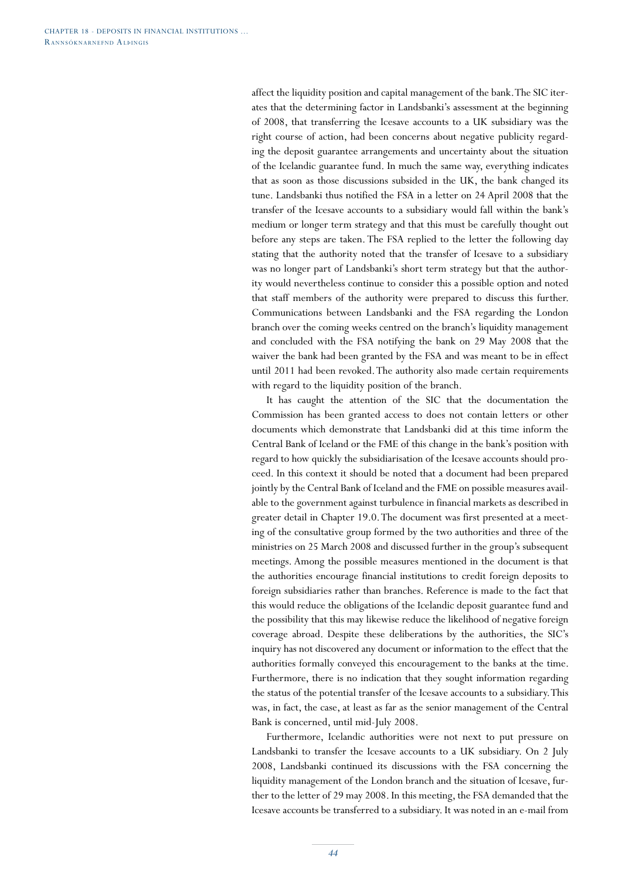affect the liquidity position and capital management of the bank. The SIC iterates that the determining factor in Landsbanki's assessment at the beginning of 2008, that transferring the Icesave accounts to a UK subsidiary was the right course of action, had been concerns about negative publicity regarding the deposit guarantee arrangements and uncertainty about the situation of the Icelandic guarantee fund. In much the same way, everything indicates that as soon as those discussions subsided in the UK, the bank changed its tune. Landsbanki thus notified the FSA in a letter on 24 April 2008 that the transfer of the Icesave accounts to a subsidiary would fall within the bank's medium or longer term strategy and that this must be carefully thought out before any steps are taken. The FSA replied to the letter the following day stating that the authority noted that the transfer of Icesave to a subsidiary was no longer part of Landsbanki's short term strategy but that the authority would nevertheless continue to consider this a possible option and noted that staff members of the authority were prepared to discuss this further. Communications between Landsbanki and the FSA regarding the London branch over the coming weeks centred on the branch's liquidity management and concluded with the FSA notifying the bank on 29 May 2008 that the waiver the bank had been granted by the FSA and was meant to be in effect until 2011 had been revoked. The authority also made certain requirements with regard to the liquidity position of the branch.

It has caught the attention of the SIC that the documentation the Commission has been granted access to does not contain letters or other documents which demonstrate that Landsbanki did at this time inform the Central Bank of Iceland or the FME of this change in the bank's position with regard to how quickly the subsidiarisation of the Icesave accounts should proceed. In this context it should be noted that a document had been prepared jointly by the Central Bank of Iceland and the FME on possible measures available to the government against turbulence in financial markets as described in greater detail in Chapter 19.0. The document was first presented at a meeting of the consultative group formed by the two authorities and three of the ministries on 25 March 2008 and discussed further in the group's subsequent meetings. Among the possible measures mentioned in the document is that the authorities encourage financial institutions to credit foreign deposits to foreign subsidiaries rather than branches. Reference is made to the fact that this would reduce the obligations of the Icelandic deposit guarantee fund and the possibility that this may likewise reduce the likelihood of negative foreign coverage abroad. Despite these deliberations by the authorities, the SIC's inquiry has not discovered any document or information to the effect that the authorities formally conveyed this encouragement to the banks at the time. Furthermore, there is no indication that they sought information regarding the status of the potential transfer of the Icesave accounts to a subsidiary. This was, in fact, the case, at least as far as the senior management of the Central Bank is concerned, until mid-July 2008.

Furthermore, Icelandic authorities were not next to put pressure on Landsbanki to transfer the Icesave accounts to a UK subsidiary. On 2 July 2008, Landsbanki continued its discussions with the FSA concerning the liquidity management of the London branch and the situation of Icesave, further to the letter of 29 may 2008. In this meeting, the FSA demanded that the Icesave accounts be transferred to a subsidiary. It was noted in an e-mail from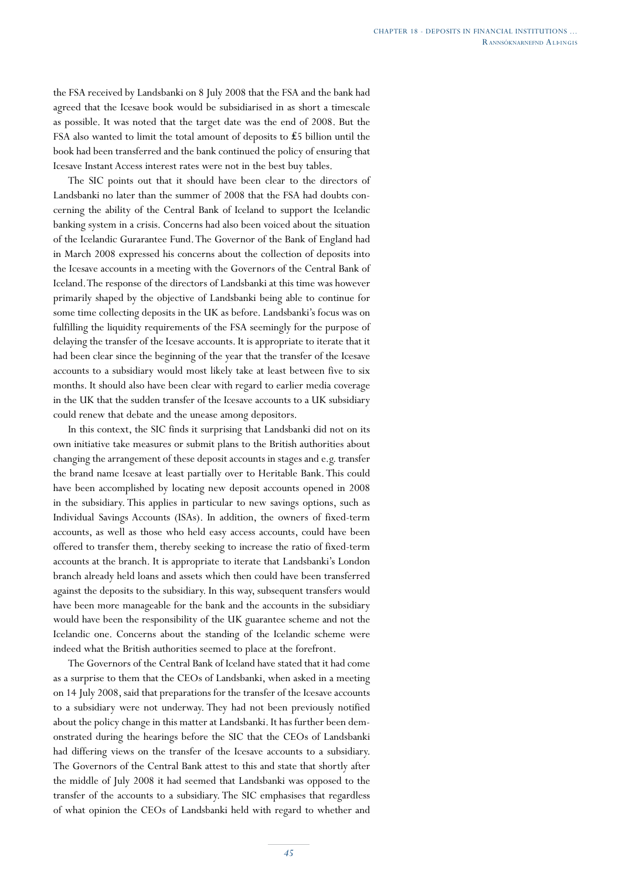the FSA received by Landsbanki on 8 July 2008 that the FSA and the bank had agreed that the Icesave book would be subsidiarised in as short a timescale as possible. It was noted that the target date was the end of 2008. But the FSA also wanted to limit the total amount of deposits to ₤5 billion until the book had been transferred and the bank continued the policy of ensuring that Icesave Instant Access interest rates were not in the best buy tables.

The SIC points out that it should have been clear to the directors of Landsbanki no later than the summer of 2008 that the FSA had doubts concerning the ability of the Central Bank of Iceland to support the Icelandic banking system in a crisis. Concerns had also been voiced about the situation of the Icelandic Gurarantee Fund. The Governor of the Bank of England had in March 2008 expressed his concerns about the collection of deposits into the Icesave accounts in a meeting with the Governors of the Central Bank of Iceland. The response of the directors of Landsbanki at this time was however primarily shaped by the objective of Landsbanki being able to continue for some time collecting deposits in the UK as before. Landsbanki's focus was on fulfilling the liquidity requirements of the FSA seemingly for the purpose of delaying the transfer of the Icesave accounts. It is appropriate to iterate that it had been clear since the beginning of the year that the transfer of the Icesave accounts to a subsidiary would most likely take at least between five to six months. It should also have been clear with regard to earlier media coverage in the UK that the sudden transfer of the Icesave accounts to a UK subsidiary could renew that debate and the unease among depositors.

In this context, the SIC finds it surprising that Landsbanki did not on its own initiative take measures or submit plans to the British authorities about changing the arrangement of these deposit accounts in stages and e.g. transfer the brand name Icesave at least partially over to Heritable Bank. This could have been accomplished by locating new deposit accounts opened in 2008 in the subsidiary. This applies in particular to new savings options, such as Individual Savings Accounts (ISAs). In addition, the owners of fixed-term accounts, as well as those who held easy access accounts, could have been offered to transfer them, thereby seeking to increase the ratio of fixed-term accounts at the branch. It is appropriate to iterate that Landsbanki's London branch already held loans and assets which then could have been transferred against the deposits to the subsidiary. In this way, subsequent transfers would have been more manageable for the bank and the accounts in the subsidiary would have been the responsibility of the UK guarantee scheme and not the Icelandic one. Concerns about the standing of the Icelandic scheme were indeed what the British authorities seemed to place at the forefront.

The Governors of the Central Bank of Iceland have stated that it had come as a surprise to them that the CEOs of Landsbanki, when asked in a meeting on 14 July 2008, said that preparations for the transfer of the Icesave accounts to a subsidiary were not underway. They had not been previously notified about the policy change in this matter at Landsbanki. It has further been demonstrated during the hearings before the SIC that the CEOs of Landsbanki had differing views on the transfer of the Icesave accounts to a subsidiary. The Governors of the Central Bank attest to this and state that shortly after the middle of July 2008 it had seemed that Landsbanki was opposed to the transfer of the accounts to a subsidiary. The SIC emphasises that regardless of what opinion the CEOs of Landsbanki held with regard to whether and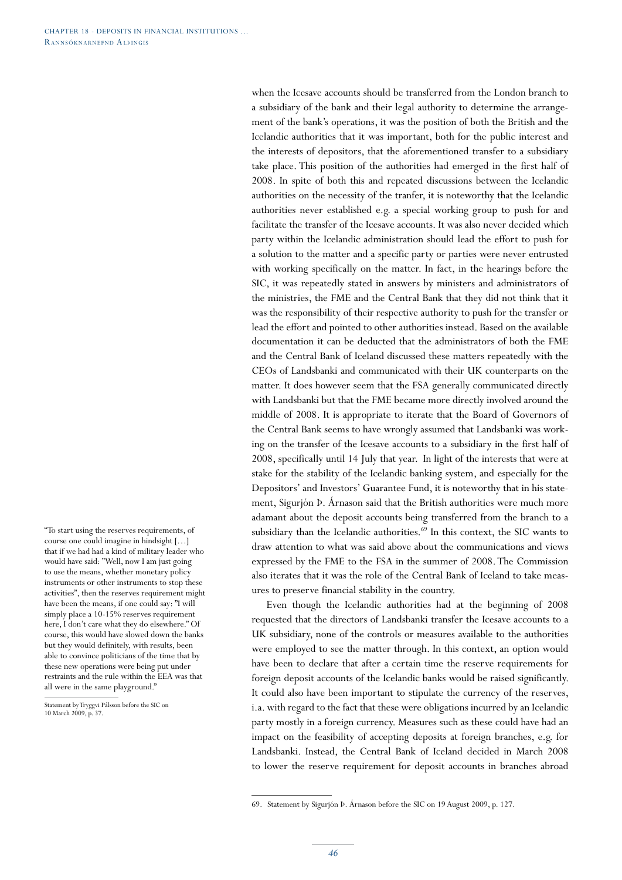"To start using the reserves requirements, of course one could imagine in hindsight […] that if we had had a kind of military leader who would have said: "Well, now I am just going to use the means, whether monetary policy instruments or other instruments to stop these activities", then the reserves requirement might have been the means, if one could say: "I will simply place a 10-15% reserves requirement here, I don't care what they do elsewhere." Of course, this would have slowed down the banks but they would definitely, with results, been able to convince politicians of the time that by these new operations were being put under restraints and the rule within the EEA was that all were in the same playground."

Statement by Tryggvi Pálsson before the SIC on 10 March 2009, p. 37.

when the Icesave accounts should be transferred from the London branch to a subsidiary of the bank and their legal authority to determine the arrangement of the bank's operations, it was the position of both the British and the Icelandic authorities that it was important, both for the public interest and the interests of depositors, that the aforementioned transfer to a subsidiary take place. This position of the authorities had emerged in the first half of 2008. In spite of both this and repeated discussions between the Icelandic authorities on the necessity of the tranfer, it is noteworthy that the Icelandic authorities never established e.g. a special working group to push for and facilitate the transfer of the Icesave accounts. It was also never decided which party within the Icelandic administration should lead the effort to push for a solution to the matter and a specific party or parties were never entrusted with working specifically on the matter. In fact, in the hearings before the SIC, it was repeatedly stated in answers by ministers and administrators of the ministries, the FME and the Central Bank that they did not think that it was the responsibility of their respective authority to push for the transfer or lead the effort and pointed to other authorities instead. Based on the available documentation it can be deducted that the administrators of both the FME and the Central Bank of Iceland discussed these matters repeatedly with the CEOs of Landsbanki and communicated with their UK counterparts on the matter. It does however seem that the FSA generally communicated directly with Landsbanki but that the FME became more directly involved around the middle of 2008. It is appropriate to iterate that the Board of Governors of the Central Bank seems to have wrongly assumed that Landsbanki was working on the transfer of the Icesave accounts to a subsidiary in the first half of 2008, specifically until 14 July that year. In light of the interests that were at stake for the stability of the Icelandic banking system, and especially for the Depositors' and Investors' Guarantee Fund, it is noteworthy that in his statement, Sigurjón Þ. Árnason said that the British authorities were much more adamant about the deposit accounts being transferred from the branch to a subsidiary than the Icelandic authorities.<sup>69</sup> In this context, the SIC wants to draw attention to what was said above about the communications and views expressed by the FME to the FSA in the summer of 2008. The Commission also iterates that it was the role of the Central Bank of Iceland to take measures to preserve financial stability in the country.

Even though the Icelandic authorities had at the beginning of 2008 requested that the directors of Landsbanki transfer the Icesave accounts to a UK subsidiary, none of the controls or measures available to the authorities were employed to see the matter through. In this context, an option would have been to declare that after a certain time the reserve requirements for foreign deposit accounts of the Icelandic banks would be raised significantly. It could also have been important to stipulate the currency of the reserves, i.a. with regard to the fact that these were obligations incurred by an Icelandic party mostly in a foreign currency. Measures such as these could have had an impact on the feasibility of accepting deposits at foreign branches, e.g. for Landsbanki. Instead, the Central Bank of Iceland decided in March 2008 to lower the reserve requirement for deposit accounts in branches abroad

<sup>69.</sup> Statement by Sigurjón Þ. Árnason before the SIC on 19 August 2009, p. 127.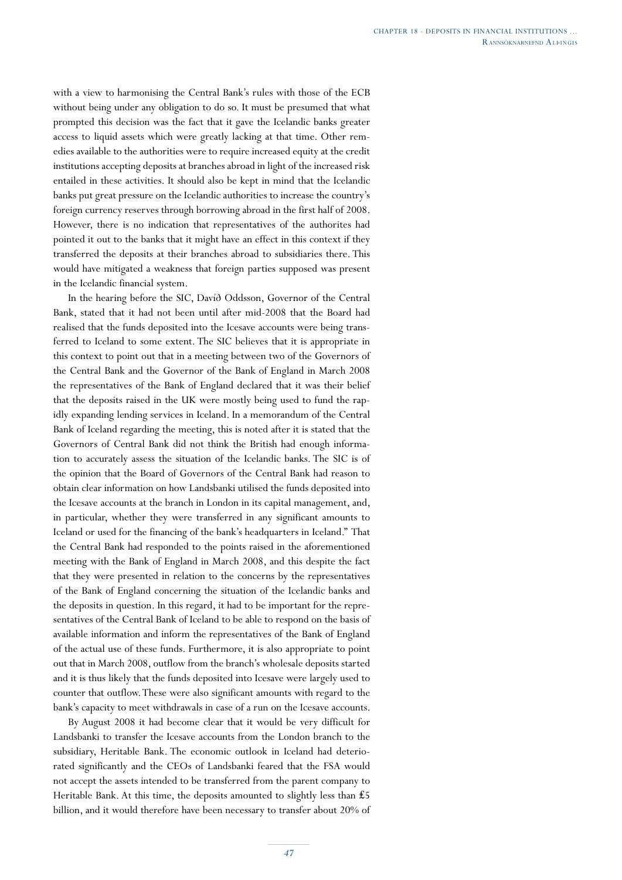with a view to harmonising the Central Bank's rules with those of the ECB without being under any obligation to do so. It must be presumed that what prompted this decision was the fact that it gave the Icelandic banks greater access to liquid assets which were greatly lacking at that time. Other remedies available to the authorities were to require increased equity at the credit institutions accepting deposits at branches abroad in light of the increased risk entailed in these activities. It should also be kept in mind that the Icelandic banks put great pressure on the Icelandic authorities to increase the country's foreign currency reserves through borrowing abroad in the first half of 2008. However, there is no indication that representatives of the authorites had pointed it out to the banks that it might have an effect in this context if they transferred the deposits at their branches abroad to subsidiaries there. This would have mitigated a weakness that foreign parties supposed was present in the Icelandic financial system.

In the hearing before the SIC, Davíð Oddsson, Governor of the Central Bank, stated that it had not been until after mid-2008 that the Board had realised that the funds deposited into the Icesave accounts were being transferred to Iceland to some extent. The SIC believes that it is appropriate in this context to point out that in a meeting between two of the Governors of the Central Bank and the Governor of the Bank of England in March 2008 the representatives of the Bank of England declared that it was their belief that the deposits raised in the UK were mostly being used to fund the rapidly expanding lending services in Iceland. In a memorandum of the Central Bank of Iceland regarding the meeting, this is noted after it is stated that the Governors of Central Bank did not think the British had enough information to accurately assess the situation of the Icelandic banks. The SIC is of the opinion that the Board of Governors of the Central Bank had reason to obtain clear information on how Landsbanki utilised the funds deposited into the Icesave accounts at the branch in London in its capital management, and, in particular, whether they were transferred in any significant amounts to Iceland or used for the financing of the bank's headquarters in Iceland." That the Central Bank had responded to the points raised in the aforementioned meeting with the Bank of England in March 2008, and this despite the fact that they were presented in relation to the concerns by the representatives of the Bank of England concerning the situation of the Icelandic banks and the deposits in question. In this regard, it had to be important for the representatives of the Central Bank of Iceland to be able to respond on the basis of available information and inform the representatives of the Bank of England of the actual use of these funds. Furthermore, it is also appropriate to point out that in March 2008, outflow from the branch's wholesale deposits started and it is thus likely that the funds deposited into Icesave were largely used to counter that outflow. These were also significant amounts with regard to the bank's capacity to meet withdrawals in case of a run on the Icesave accounts.

By August 2008 it had become clear that it would be very difficult for Landsbanki to transfer the Icesave accounts from the London branch to the subsidiary, Heritable Bank. The economic outlook in Iceland had deteriorated significantly and the CEOs of Landsbanki feared that the FSA would not accept the assets intended to be transferred from the parent company to Heritable Bank. At this time, the deposits amounted to slightly less than ₤5 billion, and it would therefore have been necessary to transfer about 20% of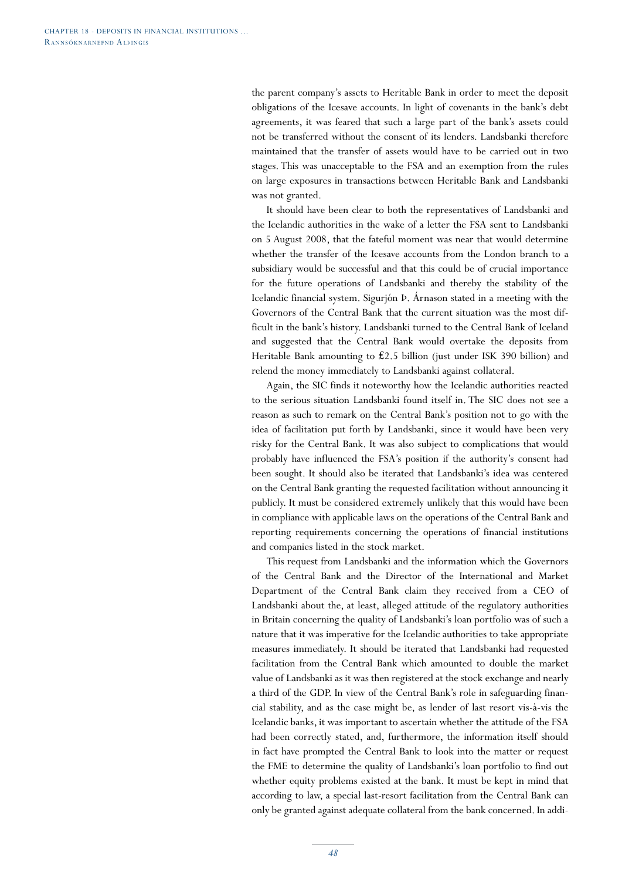the parent company's assets to Heritable Bank in order to meet the deposit obligations of the Icesave accounts. In light of covenants in the bank's debt agreements, it was feared that such a large part of the bank's assets could not be transferred without the consent of its lenders. Landsbanki therefore maintained that the transfer of assets would have to be carried out in two stages. This was unacceptable to the FSA and an exemption from the rules on large exposures in transactions between Heritable Bank and Landsbanki was not granted.

It should have been clear to both the representatives of Landsbanki and the Icelandic authorities in the wake of a letter the FSA sent to Landsbanki on 5 August 2008, that the fateful moment was near that would determine whether the transfer of the Icesave accounts from the London branch to a subsidiary would be successful and that this could be of crucial importance for the future operations of Landsbanki and thereby the stability of the Icelandic financial system. Sigurjón Þ. Árnason stated in a meeting with the Governors of the Central Bank that the current situation was the most difficult in the bank's history. Landsbanki turned to the Central Bank of Iceland and suggested that the Central Bank would overtake the deposits from Heritable Bank amounting to ₤2.5 billion (just under ISK 390 billion) and relend the money immediately to Landsbanki against collateral.

Again, the SIC finds it noteworthy how the Icelandic authorities reacted to the serious situation Landsbanki found itself in. The SIC does not see a reason as such to remark on the Central Bank's position not to go with the idea of facilitation put forth by Landsbanki, since it would have been very risky for the Central Bank. It was also subject to complications that would probably have influenced the FSA's position if the authority's consent had been sought. It should also be iterated that Landsbanki's idea was centered on the Central Bank granting the requested facilitation without announcing it publicly. It must be considered extremely unlikely that this would have been in compliance with applicable laws on the operations of the Central Bank and reporting requirements concerning the operations of financial institutions and companies listed in the stock market.

This request from Landsbanki and the information which the Governors of the Central Bank and the Director of the International and Market Department of the Central Bank claim they received from a CEO of Landsbanki about the, at least, alleged attitude of the regulatory authorities in Britain concerning the quality of Landsbanki's loan portfolio was of such a nature that it was imperative for the Icelandic authorities to take appropriate measures immediately. It should be iterated that Landsbanki had requested facilitation from the Central Bank which amounted to double the market value of Landsbanki as it was then registered at the stock exchange and nearly a third of the GDP. In view of the Central Bank's role in safeguarding financial stability, and as the case might be, as lender of last resort vis-à-vis the Icelandic banks, it was important to ascertain whether the attitude of the FSA had been correctly stated, and, furthermore, the information itself should in fact have prompted the Central Bank to look into the matter or request the FME to determine the quality of Landsbanki's loan portfolio to find out whether equity problems existed at the bank. It must be kept in mind that according to law, a special last-resort facilitation from the Central Bank can only be granted against adequate collateral from the bank concerned. In addi-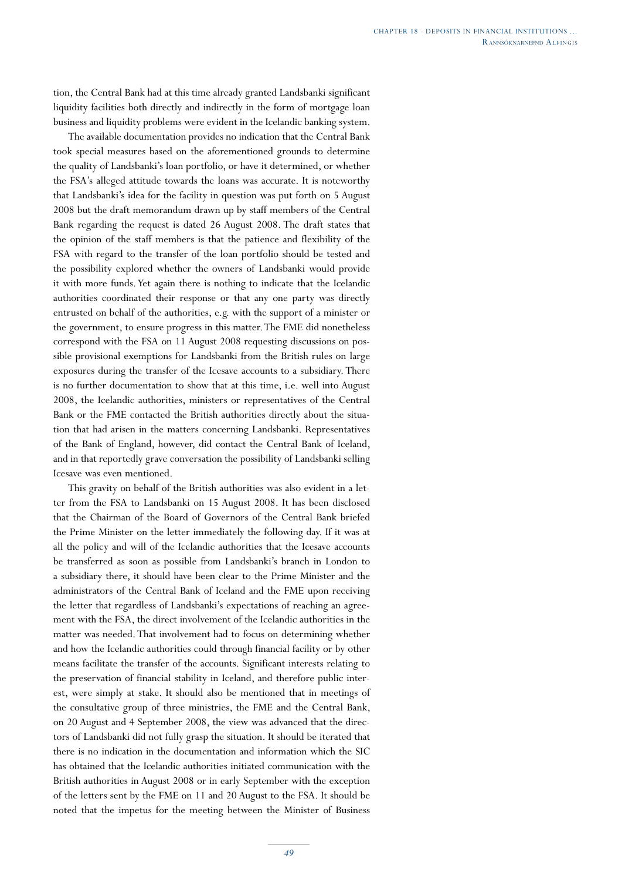tion, the Central Bank had at this time already granted Landsbanki significant liquidity facilities both directly and indirectly in the form of mortgage loan business and liquidity problems were evident in the Icelandic banking system.

The available documentation provides no indication that the Central Bank took special measures based on the aforementioned grounds to determine the quality of Landsbanki's loan portfolio, or have it determined, or whether the FSA's alleged attitude towards the loans was accurate. It is noteworthy that Landsbanki's idea for the facility in question was put forth on 5 August 2008 but the draft memorandum drawn up by staff members of the Central Bank regarding the request is dated 26 August 2008. The draft states that the opinion of the staff members is that the patience and flexibility of the FSA with regard to the transfer of the loan portfolio should be tested and the possibility explored whether the owners of Landsbanki would provide it with more funds. Yet again there is nothing to indicate that the Icelandic authorities coordinated their response or that any one party was directly entrusted on behalf of the authorities, e.g. with the support of a minister or the government, to ensure progress in this matter. The FME did nonetheless correspond with the FSA on 11 August 2008 requesting discussions on possible provisional exemptions for Landsbanki from the British rules on large exposures during the transfer of the Icesave accounts to a subsidiary. There is no further documentation to show that at this time, i.e. well into August 2008, the Icelandic authorities, ministers or representatives of the Central Bank or the FME contacted the British authorities directly about the situation that had arisen in the matters concerning Landsbanki. Representatives of the Bank of England, however, did contact the Central Bank of Iceland, and in that reportedly grave conversation the possibility of Landsbanki selling Icesave was even mentioned.

This gravity on behalf of the British authorities was also evident in a letter from the FSA to Landsbanki on 15 August 2008. It has been disclosed that the Chairman of the Board of Governors of the Central Bank briefed the Prime Minister on the letter immediately the following day. If it was at all the policy and will of the Icelandic authorities that the Icesave accounts be transferred as soon as possible from Landsbanki's branch in London to a subsidiary there, it should have been clear to the Prime Minister and the administrators of the Central Bank of Iceland and the FME upon receiving the letter that regardless of Landsbanki's expectations of reaching an agreement with the FSA, the direct involvement of the Icelandic authorities in the matter was needed. That involvement had to focus on determining whether and how the Icelandic authorities could through financial facility or by other means facilitate the transfer of the accounts. Significant interests relating to the preservation of financial stability in Iceland, and therefore public interest, were simply at stake. It should also be mentioned that in meetings of the consultative group of three ministries, the FME and the Central Bank, on 20 August and 4 September 2008, the view was advanced that the directors of Landsbanki did not fully grasp the situation. It should be iterated that there is no indication in the documentation and information which the SIC has obtained that the Icelandic authorities initiated communication with the British authorities in August 2008 or in early September with the exception of the letters sent by the FME on 11 and 20 August to the FSA. It should be noted that the impetus for the meeting between the Minister of Business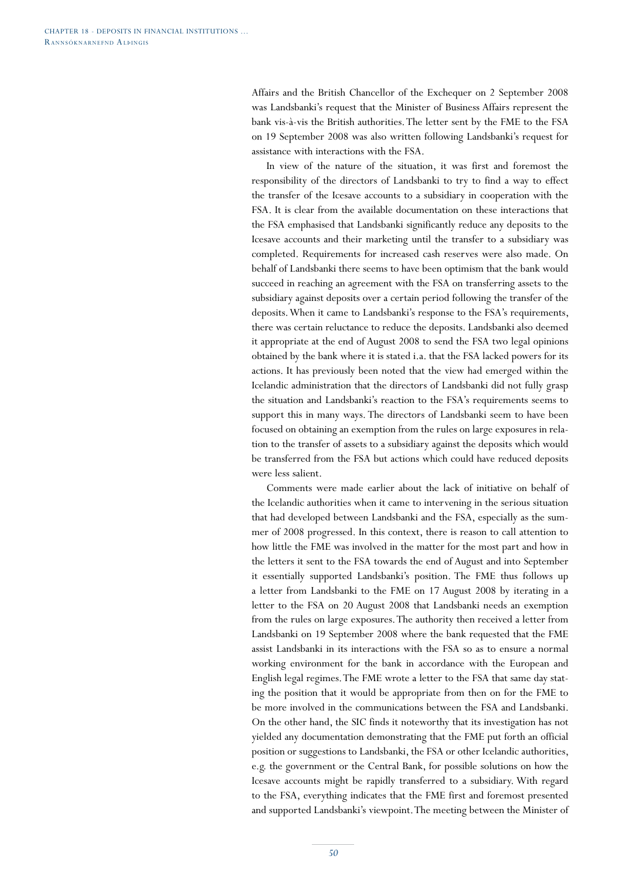Affairs and the British Chancellor of the Exchequer on 2 September 2008 was Landsbanki's request that the Minister of Business Affairs represent the bank vis-à-vis the British authorities. The letter sent by the FME to the FSA on 19 September 2008 was also written following Landsbanki's request for assistance with interactions with the FSA.

In view of the nature of the situation, it was first and foremost the responsibility of the directors of Landsbanki to try to find a way to effect the transfer of the Icesave accounts to a subsidiary in cooperation with the FSA. It is clear from the available documentation on these interactions that the FSA emphasised that Landsbanki significantly reduce any deposits to the Icesave accounts and their marketing until the transfer to a subsidiary was completed. Requirements for increased cash reserves were also made. On behalf of Landsbanki there seems to have been optimism that the bank would succeed in reaching an agreement with the FSA on transferring assets to the subsidiary against deposits over a certain period following the transfer of the deposits. When it came to Landsbanki's response to the FSA's requirements, there was certain reluctance to reduce the deposits. Landsbanki also deemed it appropriate at the end of August 2008 to send the FSA two legal opinions obtained by the bank where it is stated i.a. that the FSA lacked powers for its actions. It has previously been noted that the view had emerged within the Icelandic administration that the directors of Landsbanki did not fully grasp the situation and Landsbanki's reaction to the FSA's requirements seems to support this in many ways. The directors of Landsbanki seem to have been focused on obtaining an exemption from the rules on large exposures in relation to the transfer of assets to a subsidiary against the deposits which would be transferred from the FSA but actions which could have reduced deposits were less salient.

Comments were made earlier about the lack of initiative on behalf of the Icelandic authorities when it came to intervening in the serious situation that had developed between Landsbanki and the FSA, especially as the summer of 2008 progressed. In this context, there is reason to call attention to how little the FME was involved in the matter for the most part and how in the letters it sent to the FSA towards the end of August and into September it essentially supported Landsbanki's position. The FME thus follows up a letter from Landsbanki to the FME on 17 August 2008 by iterating in a letter to the FSA on 20 August 2008 that Landsbanki needs an exemption from the rules on large exposures. The authority then received a letter from Landsbanki on 19 September 2008 where the bank requested that the FME assist Landsbanki in its interactions with the FSA so as to ensure a normal working environment for the bank in accordance with the European and English legal regimes. The FME wrote a letter to the FSA that same day stating the position that it would be appropriate from then on for the FME to be more involved in the communications between the FSA and Landsbanki. On the other hand, the SIC finds it noteworthy that its investigation has not yielded any documentation demonstrating that the FME put forth an official position or suggestions to Landsbanki, the FSA or other Icelandic authorities, e.g. the government or the Central Bank, for possible solutions on how the Icesave accounts might be rapidly transferred to a subsidiary. With regard to the FSA, everything indicates that the FME first and foremost presented and supported Landsbanki's viewpoint. The meeting between the Minister of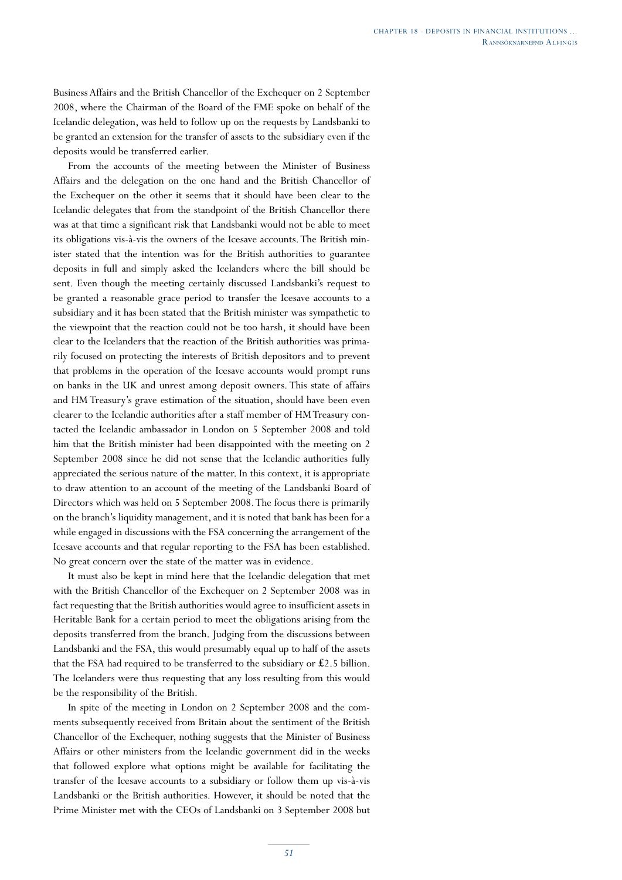Business Affairs and the British Chancellor of the Exchequer on 2 September 2008, where the Chairman of the Board of the FME spoke on behalf of the Icelandic delegation, was held to follow up on the requests by Landsbanki to be granted an extension for the transfer of assets to the subsidiary even if the deposits would be transferred earlier.

From the accounts of the meeting between the Minister of Business Affairs and the delegation on the one hand and the British Chancellor of the Exchequer on the other it seems that it should have been clear to the Icelandic delegates that from the standpoint of the British Chancellor there was at that time a significant risk that Landsbanki would not be able to meet its obligations vis-à-vis the owners of the Icesave accounts. The British minister stated that the intention was for the British authorities to guarantee deposits in full and simply asked the Icelanders where the bill should be sent. Even though the meeting certainly discussed Landsbanki's request to be granted a reasonable grace period to transfer the Icesave accounts to a subsidiary and it has been stated that the British minister was sympathetic to the viewpoint that the reaction could not be too harsh, it should have been clear to the Icelanders that the reaction of the British authorities was primarily focused on protecting the interests of British depositors and to prevent that problems in the operation of the Icesave accounts would prompt runs on banks in the UK and unrest among deposit owners. This state of affairs and HM Treasury's grave estimation of the situation, should have been even clearer to the Icelandic authorities after a staff member of HM Treasury contacted the Icelandic ambassador in London on 5 September 2008 and told him that the British minister had been disappointed with the meeting on 2 September 2008 since he did not sense that the Icelandic authorities fully appreciated the serious nature of the matter. In this context, it is appropriate to draw attention to an account of the meeting of the Landsbanki Board of Directors which was held on 5 September 2008. The focus there is primarily on the branch's liquidity management, and it is noted that bank has been for a while engaged in discussions with the FSA concerning the arrangement of the Icesave accounts and that regular reporting to the FSA has been established. No great concern over the state of the matter was in evidence.

It must also be kept in mind here that the Icelandic delegation that met with the British Chancellor of the Exchequer on 2 September 2008 was in fact requesting that the British authorities would agree to insufficient assets in Heritable Bank for a certain period to meet the obligations arising from the deposits transferred from the branch. Judging from the discussions between Landsbanki and the FSA, this would presumably equal up to half of the assets that the FSA had required to be transferred to the subsidiary or  $£2.5$  billion. The Icelanders were thus requesting that any loss resulting from this would be the responsibility of the British.

In spite of the meeting in London on 2 September 2008 and the comments subsequently received from Britain about the sentiment of the British Chancellor of the Exchequer, nothing suggests that the Minister of Business Affairs or other ministers from the Icelandic government did in the weeks that followed explore what options might be available for facilitating the transfer of the Icesave accounts to a subsidiary or follow them up vis-à-vis Landsbanki or the British authorities. However, it should be noted that the Prime Minister met with the CEOs of Landsbanki on 3 September 2008 but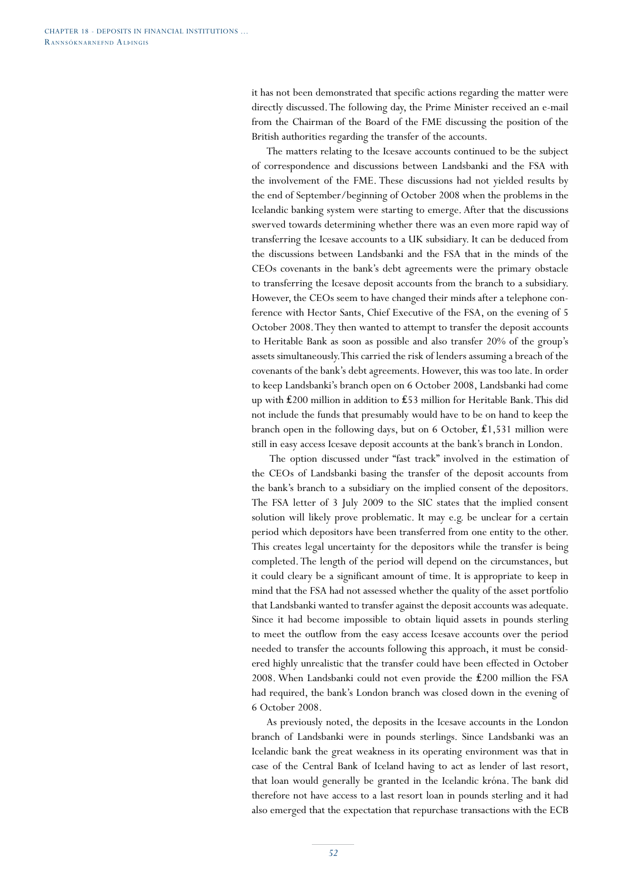it has not been demonstrated that specific actions regarding the matter were directly discussed. The following day, the Prime Minister received an e-mail from the Chairman of the Board of the FME discussing the position of the British authorities regarding the transfer of the accounts.

The matters relating to the Icesave accounts continued to be the subject of correspondence and discussions between Landsbanki and the FSA with the involvement of the FME. These discussions had not yielded results by the end of September/beginning of October 2008 when the problems in the Icelandic banking system were starting to emerge. After that the discussions swerved towards determining whether there was an even more rapid way of transferring the Icesave accounts to a UK subsidiary. It can be deduced from the discussions between Landsbanki and the FSA that in the minds of the CEOs covenants in the bank's debt agreements were the primary obstacle to transferring the Icesave deposit accounts from the branch to a subsidiary. However, the CEOs seem to have changed their minds after a telephone conference with Hector Sants, Chief Executive of the FSA, on the evening of 5 October 2008. They then wanted to attempt to transfer the deposit accounts to Heritable Bank as soon as possible and also transfer 20% of the group's assets simultaneously. This carried the risk of lenders assuming a breach of the covenants of the bank's debt agreements. However, this was too late. In order to keep Landsbanki's branch open on 6 October 2008, Landsbanki had come up with ₤200 million in addition to ₤53 million for Heritable Bank. This did not include the funds that presumably would have to be on hand to keep the branch open in the following days, but on 6 October, ₤1,531 million were still in easy access Icesave deposit accounts at the bank's branch in London.

 The option discussed under "fast track" involved in the estimation of the CEOs of Landsbanki basing the transfer of the deposit accounts from the bank's branch to a subsidiary on the implied consent of the depositors. The FSA letter of 3 July 2009 to the SIC states that the implied consent solution will likely prove problematic. It may e.g. be unclear for a certain period which depositors have been transferred from one entity to the other. This creates legal uncertainty for the depositors while the transfer is being completed. The length of the period will depend on the circumstances, but it could cleary be a significant amount of time. It is appropriate to keep in mind that the FSA had not assessed whether the quality of the asset portfolio that Landsbanki wanted to transfer against the deposit accounts was adequate. Since it had become impossible to obtain liquid assets in pounds sterling to meet the outflow from the easy access Icesave accounts over the period needed to transfer the accounts following this approach, it must be considered highly unrealistic that the transfer could have been effected in October 2008. When Landsbanki could not even provide the ₤200 million the FSA had required, the bank's London branch was closed down in the evening of 6 October 2008.

As previously noted, the deposits in the Icesave accounts in the London branch of Landsbanki were in pounds sterlings. Since Landsbanki was an Icelandic bank the great weakness in its operating environment was that in case of the Central Bank of Iceland having to act as lender of last resort, that loan would generally be granted in the Icelandic króna. The bank did therefore not have access to a last resort loan in pounds sterling and it had also emerged that the expectation that repurchase transactions with the ECB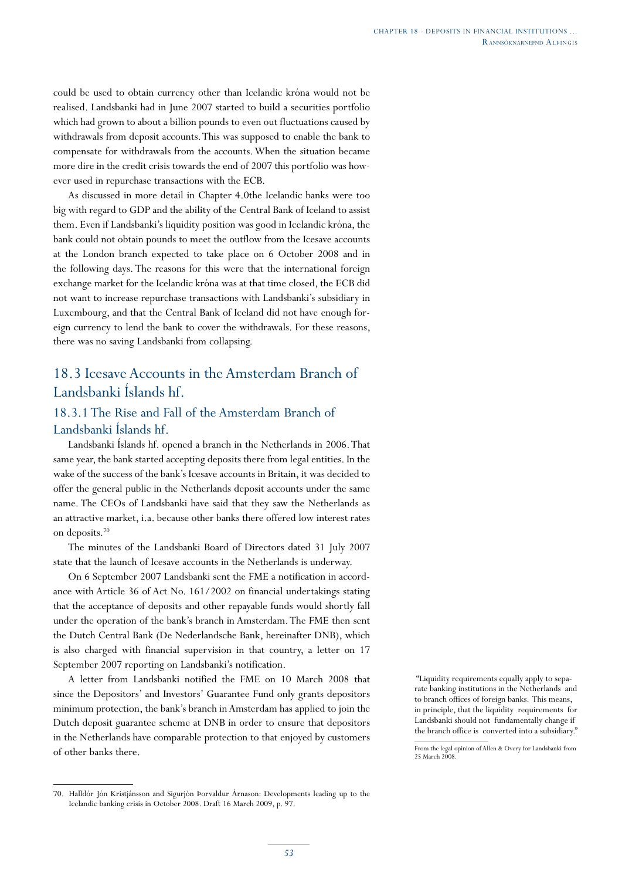could be used to obtain currency other than Icelandic króna would not be realised. Landsbanki had in June 2007 started to build a securities portfolio which had grown to about a billion pounds to even out fluctuations caused by withdrawals from deposit accounts. This was supposed to enable the bank to compensate for withdrawals from the accounts. When the situation became more dire in the credit crisis towards the end of 2007 this portfolio was however used in repurchase transactions with the ECB.

As discussed in more detail in Chapter 4.0the Icelandic banks were too big with regard to GDP and the ability of the Central Bank of Iceland to assist them. Even if Landsbanki's liquidity position was good in Icelandic króna, the bank could not obtain pounds to meet the outflow from the Icesave accounts at the London branch expected to take place on 6 October 2008 and in the following days. The reasons for this were that the international foreign exchange market for the Icelandic króna was at that time closed, the ECB did not want to increase repurchase transactions with Landsbanki's subsidiary in Luxembourg, and that the Central Bank of Iceland did not have enough foreign currency to lend the bank to cover the withdrawals. For these reasons, there was no saving Landsbanki from collapsing.

# 18.3 Icesave Accounts in the Amsterdam Branch of Landsbanki Íslands hf.

## 18.3.1 The Rise and Fall of the Amsterdam Branch of Landsbanki Íslands hf.

Landsbanki Íslands hf. opened a branch in the Netherlands in 2006. That same year, the bank started accepting deposits there from legal entities. In the wake of the success of the bank's Icesave accounts in Britain, it was decided to offer the general public in the Netherlands deposit accounts under the same name. The CEOs of Landsbanki have said that they saw the Netherlands as an attractive market, i.a. because other banks there offered low interest rates on deposits.70

The minutes of the Landsbanki Board of Directors dated 31 July 2007 state that the launch of Icesave accounts in the Netherlands is underway.

On 6 September 2007 Landsbanki sent the FME a notification in accordance with Article 36 of Act No. 161/2002 on financial undertakings stating that the acceptance of deposits and other repayable funds would shortly fall under the operation of the bank's branch in Amsterdam. The FME then sent the Dutch Central Bank (De Nederlandsche Bank, hereinafter DNB), which is also charged with financial supervision in that country, a letter on 17 September 2007 reporting on Landsbanki's notification.

A letter from Landsbanki notified the FME on 10 March 2008 that since the Depositors' and Investors' Guarantee Fund only grants depositors minimum protection, the bank's branch in Amsterdam has applied to join the Dutch deposit guarantee scheme at DNB in order to ensure that depositors in the Netherlands have comparable protection to that enjoyed by customers of other banks there.

 "Liquidity requirements equally apply to separate banking institutions in the Netherlands and to branch offices of foreign banks. This means, in principle, that the liquidity requirements for Landsbanki should not fundamentally change if the branch office is converted into a subsidiary."

<sup>70.</sup> Halldór Jón Kristjánsson and Sigurjón Þorvaldur Árnason: Developments leading up to the Icelandic banking crisis in October 2008. Draft 16 March 2009, p. 97.

From the legal opinion of Allen & Overy for Landsbanki from 25 March 2008.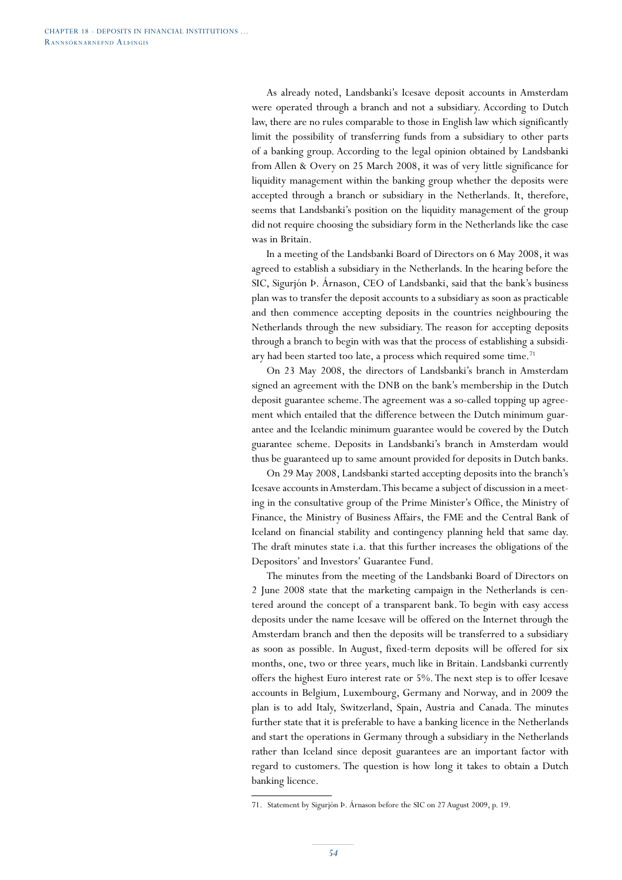As already noted, Landsbanki's Icesave deposit accounts in Amsterdam were operated through a branch and not a subsidiary. According to Dutch law, there are no rules comparable to those in English law which significantly limit the possibility of transferring funds from a subsidiary to other parts of a banking group. According to the legal opinion obtained by Landsbanki from Allen & Overy on 25 March 2008, it was of very little significance for liquidity management within the banking group whether the deposits were accepted through a branch or subsidiary in the Netherlands. It, therefore, seems that Landsbanki's position on the liquidity management of the group did not require choosing the subsidiary form in the Netherlands like the case was in Britain.

In a meeting of the Landsbanki Board of Directors on 6 May 2008, it was agreed to establish a subsidiary in the Netherlands. In the hearing before the SIC, Sigurjón Þ. Árnason, CEO of Landsbanki, said that the bank's business plan was to transfer the deposit accounts to a subsidiary as soon as practicable and then commence accepting deposits in the countries neighbouring the Netherlands through the new subsidiary. The reason for accepting deposits through a branch to begin with was that the process of establishing a subsidiary had been started too late, a process which required some time.<sup>71</sup>

On 23 May 2008, the directors of Landsbanki's branch in Amsterdam signed an agreement with the DNB on the bank's membership in the Dutch deposit guarantee scheme. The agreement was a so-called topping up agreement which entailed that the difference between the Dutch minimum guarantee and the Icelandic minimum guarantee would be covered by the Dutch guarantee scheme. Deposits in Landsbanki's branch in Amsterdam would thus be guaranteed up to same amount provided for deposits in Dutch banks.

On 29 May 2008, Landsbanki started accepting deposits into the branch's Icesave accounts in Amsterdam. This became a subject of discussion in a meeting in the consultative group of the Prime Minister's Office, the Ministry of Finance, the Ministry of Business Affairs, the FME and the Central Bank of Iceland on financial stability and contingency planning held that same day. The draft minutes state i.a. that this further increases the obligations of the Depositors' and Investors' Guarantee Fund.

The minutes from the meeting of the Landsbanki Board of Directors on 2 June 2008 state that the marketing campaign in the Netherlands is centered around the concept of a transparent bank. To begin with easy access deposits under the name Icesave will be offered on the Internet through the Amsterdam branch and then the deposits will be transferred to a subsidiary as soon as possible. In August, fixed-term deposits will be offered for six months, one, two or three years, much like in Britain. Landsbanki currently offers the highest Euro interest rate or 5%. The next step is to offer Icesave accounts in Belgium, Luxembourg, Germany and Norway, and in 2009 the plan is to add Italy, Switzerland, Spain, Austria and Canada. The minutes further state that it is preferable to have a banking licence in the Netherlands and start the operations in Germany through a subsidiary in the Netherlands rather than Iceland since deposit guarantees are an important factor with regard to customers. The question is how long it takes to obtain a Dutch banking licence.

<sup>71.</sup> Statement by Sigurjón Þ. Árnason before the SIC on 27 August 2009, p. 19.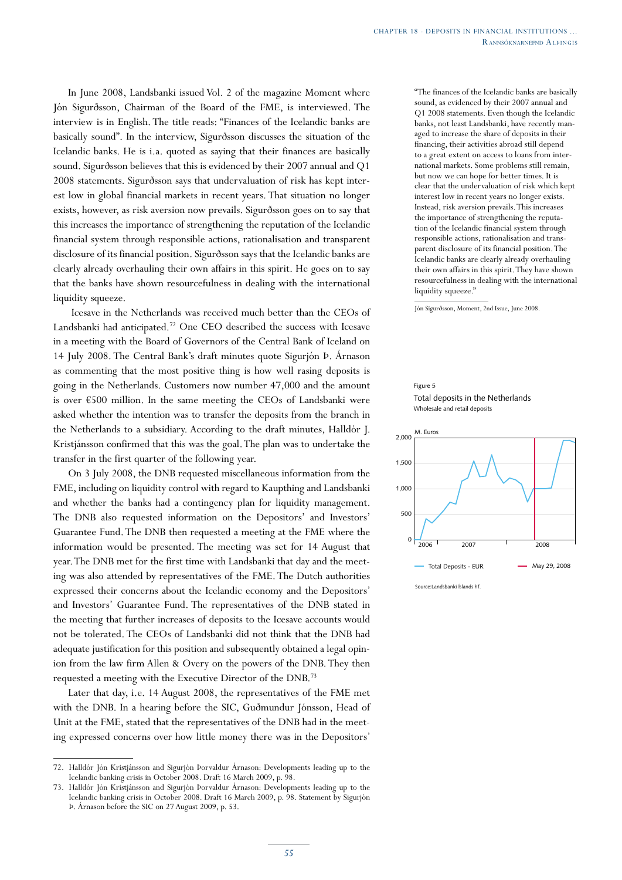In June 2008, Landsbanki issued Vol. 2 of the magazine Moment where Jón Sigurðsson, Chairman of the Board of the FME, is interviewed. The interview is in English. The title reads: "Finances of the Icelandic banks are basically sound". In the interview, Sigurðsson discusses the situation of the Icelandic banks. He is i.a. quoted as saying that their finances are basically sound. Sigurðsson believes that this is evidenced by their 2007 annual and Q1 2008 statements. Sigurðsson says that undervaluation of risk has kept interest low in global financial markets in recent years. That situation no longer exists, however, as risk aversion now prevails. Sigurðsson goes on to say that this increases the importance of strengthening the reputation of the Icelandic financial system through responsible actions, rationalisation and transparent disclosure of its financial position. Sigurðsson says that the Icelandic banks are clearly already overhauling their own affairs in this spirit. He goes on to say that the banks have shown resourcefulness in dealing with the international liquidity squeeze.

 Icesave in the Netherlands was received much better than the CEOs of Landsbanki had anticipated.72 One CEO described the success with Icesave in a meeting with the Board of Governors of the Central Bank of Iceland on 14 July 2008. The Central Bank's draft minutes quote Sigurjón Þ. Árnason as commenting that the most positive thing is how well rasing deposits is going in the Netherlands. Customers now number 47,000 and the amount is over €500 million. In the same meeting the CEOs of Landsbanki were asked whether the intention was to transfer the deposits from the branch in the Netherlands to a subsidiary. According to the draft minutes, Halldór J. Kristjánsson confirmed that this was the goal. The plan was to undertake the transfer in the first quarter of the following year.

On 3 July 2008, the DNB requested miscellaneous information from the FME, including on liquidity control with regard to Kaupthing and Landsbanki and whether the banks had a contingency plan for liquidity management. The DNB also requested information on the Depositors' and Investors' Guarantee Fund. The DNB then requested a meeting at the FME where the information would be presented. The meeting was set for 14 August that year. The DNB met for the first time with Landsbanki that day and the meeting was also attended by representatives of the FME. The Dutch authorities expressed their concerns about the Icelandic economy and the Depositors' and Investors' Guarantee Fund. The representatives of the DNB stated in the meeting that further increases of deposits to the Icesave accounts would not be tolerated. The CEOs of Landsbanki did not think that the DNB had adequate justification for this position and subsequently obtained a legal opinion from the law firm Allen & Overy on the powers of the DNB. They then requested a meeting with the Executive Director of the DNB.73

Later that day, i.e. 14 August 2008, the representatives of the FME met with the DNB. In a hearing before the SIC, Guðmundur Jónsson, Head of Unit at the FME, stated that the representatives of the DNB had in the meeting expressed concerns over how little money there was in the Depositors'

"The finances of the Icelandic banks are basically sound, as evidenced by their 2007 annual and Q1 2008 statements. Even though the Icelandic banks, not least Landsbanki, have recently managed to increase the share of deposits in their financing, their activities abroad still depend to a great extent on access to loans from international markets. Some problems still remain, but now we can hope for better times. It is clear that the undervaluation of risk which kept interest low in recent years no longer exists. Instead, risk aversion prevails. This increases the importance of strengthening the reputation of the Icelandic financial system through responsible actions, rationalisation and transparent disclosure of its financial position. The Icelandic banks are clearly already overhauling their own affairs in this spirit. They have shown resourcefulness in dealing with the international liquidity squeeze."

Jón Sigurðsson, Moment, 2nd Issue, June 2008.

#### Figure 5 Total deposits in the Netherlands Wholesale and retail deposits



<sup>72.</sup> Halldór Jón Kristjánsson and Sigurjón Þorvaldur Árnason: Developments leading up to the Icelandic banking crisis in October 2008. Draft 16 March 2009, p. 98.

<sup>73.</sup> Halldór Jón Kristjánsson and Sigurjón Þorvaldur Árnason: Developments leading up to the Icelandic banking crisis in October 2008. Draft 16 March 2009, p. 98. Statement by Sigurjón Þ. Árnason before the SIC on 27 August 2009, p. 53.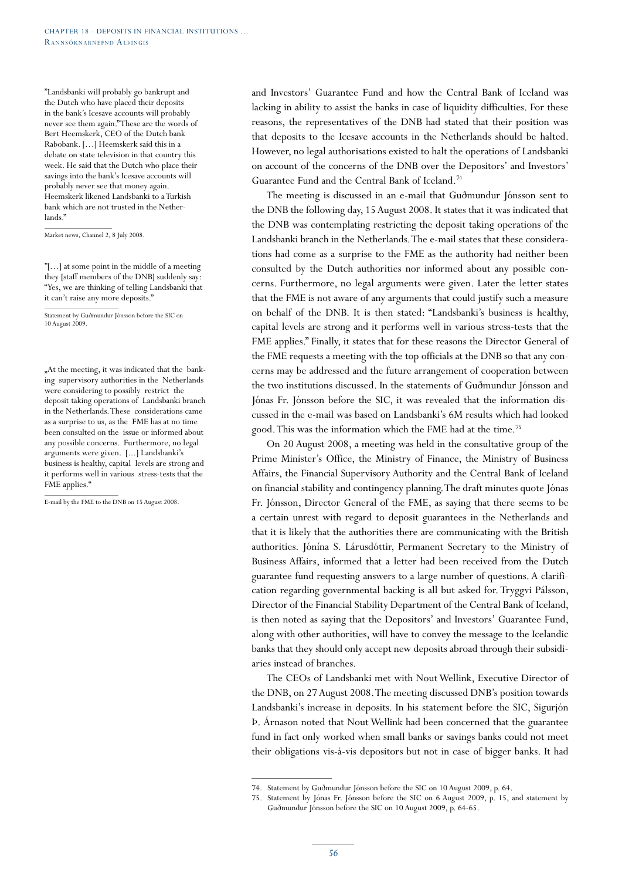"Landsbanki will probably go bankrupt and the Dutch who have placed their deposits in the bank's Icesave accounts will probably never see them again." These are the words of Bert Heemskerk, CEO of the Dutch bank Rabobank. […] Heemskerk said this in a debate on state television in that country this week. He said that the Dutch who place their savings into the bank's Icesave accounts will probably never see that money again. Heemskerk likened Landsbanki to a Turkish bank which are not trusted in the Netherlands."

Market news, Channel 2, 8 July 2008.

"[…] at some point in the middle of a meeting they [staff members of the DNB] suddenly say: "Yes, we are thinking of telling Landsbanki that it can't raise any more deposits."

Statement by Guðmundur Jónsson before the SIC on 10 August 2009.

"At the meeting, it was indicated that the banking supervisory authorities in the Netherlands were considering to possibly restrict the deposit taking operations of Landsbanki branch in the Netherlands. These considerations came as a surprise to us, as the FME has at no time been consulted on the issue or informed about any possible concerns. Furthermore, no legal arguments were given. [...] Landsbanki's business is healthy, capital levels are strong and it performs well in various stress-tests that the FME applies."

E-mail by the FME to the DNB on 15 August 2008.

and Investors' Guarantee Fund and how the Central Bank of Iceland was lacking in ability to assist the banks in case of liquidity difficulties. For these reasons, the representatives of the DNB had stated that their position was that deposits to the Icesave accounts in the Netherlands should be halted. However, no legal authorisations existed to halt the operations of Landsbanki on account of the concerns of the DNB over the Depositors' and Investors' Guarantee Fund and the Central Bank of Iceland.74

The meeting is discussed in an e-mail that Guðmundur Jónsson sent to the DNB the following day, 15 August 2008. It states that it was indicated that the DNB was contemplating restricting the deposit taking operations of the Landsbanki branch in the Netherlands. The e-mail states that these considerations had come as a surprise to the FME as the authority had neither been consulted by the Dutch authorities nor informed about any possible concerns. Furthermore, no legal arguments were given. Later the letter states that the FME is not aware of any arguments that could justify such a measure on behalf of the DNB. It is then stated: "Landsbanki's business is healthy, capital levels are strong and it performs well in various stress-tests that the FME applies." Finally, it states that for these reasons the Director General of the FME requests a meeting with the top officials at the DNB so that any concerns may be addressed and the future arrangement of cooperation between the two institutions discussed. In the statements of Guðmundur Jónsson and Jónas Fr. Jónsson before the SIC, it was revealed that the information discussed in the e-mail was based on Landsbanki's 6M results which had looked good. This was the information which the FME had at the time.75

On 20 August 2008, a meeting was held in the consultative group of the Prime Minister's Office, the Ministry of Finance, the Ministry of Business Affairs, the Financial Supervisory Authority and the Central Bank of Iceland on financial stability and contingency planning. The draft minutes quote Jónas Fr. Jónsson, Director General of the FME, as saying that there seems to be a certain unrest with regard to deposit guarantees in the Netherlands and that it is likely that the authorities there are communicating with the British authorities. Jónína S. Lárusdóttir, Permanent Secretary to the Ministry of Business Affairs, informed that a letter had been received from the Dutch guarantee fund requesting answers to a large number of questions. A clarification regarding governmental backing is all but asked for. Tryggvi Pálsson, Director of the Financial Stability Department of the Central Bank of Iceland, is then noted as saying that the Depositors' and Investors' Guarantee Fund, along with other authorities, will have to convey the message to the Icelandic banks that they should only accept new deposits abroad through their subsidiaries instead of branches.

The CEOs of Landsbanki met with Nout Wellink, Executive Director of the DNB, on 27 August 2008. The meeting discussed DNB's position towards Landsbanki's increase in deposits. In his statement before the SIC, Sigurjón Þ. Árnason noted that Nout Wellink had been concerned that the guarantee fund in fact only worked when small banks or savings banks could not meet their obligations vis-à-vis depositors but not in case of bigger banks. It had

<sup>74.</sup> Statement by Guðmundur Jónsson before the SIC on 10 August 2009, p. 64.

<sup>75.</sup> Statement by Jónas Fr. Jónsson before the SIC on 6 August 2009, p. 15, and statement by Guðmundur Jónsson before the SIC on 10 August 2009, p. 64-65.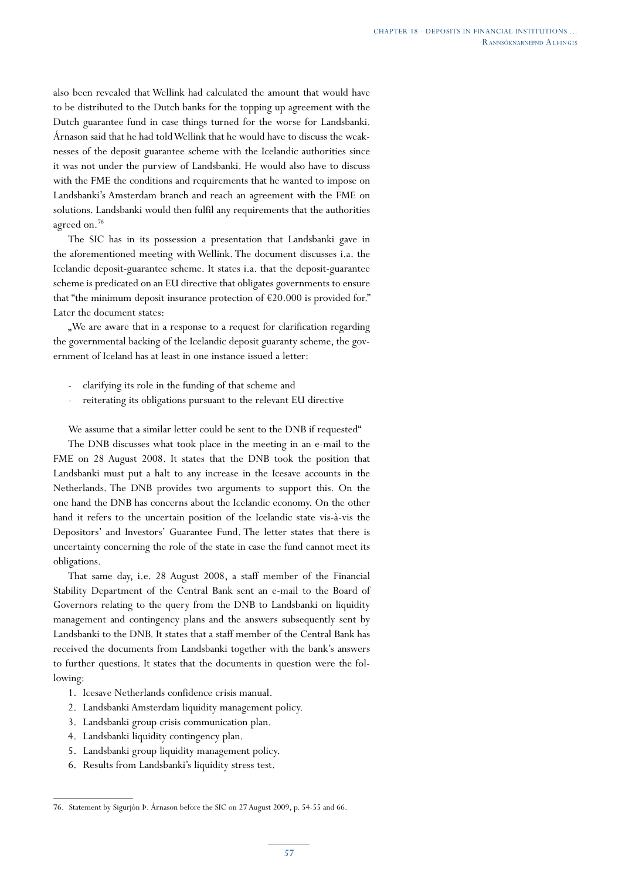also been revealed that Wellink had calculated the amount that would have to be distributed to the Dutch banks for the topping up agreement with the Dutch guarantee fund in case things turned for the worse for Landsbanki. Árnason said that he had told Wellink that he would have to discuss the weaknesses of the deposit guarantee scheme with the Icelandic authorities since it was not under the purview of Landsbanki. He would also have to discuss with the FME the conditions and requirements that he wanted to impose on Landsbanki's Amsterdam branch and reach an agreement with the FME on solutions. Landsbanki would then fulfil any requirements that the authorities agreed on.<sup>76</sup>

The SIC has in its possession a presentation that Landsbanki gave in the aforementioned meeting with Wellink. The document discusses i.a. the Icelandic deposit-guarantee scheme. It states i.a. that the deposit-guarantee scheme is predicated on an EU directive that obligates governments to ensure that "the minimum deposit insurance protection of  $E20.000$  is provided for." Later the document states:

. We are aware that in a response to a request for clarification regarding the governmental backing of the Icelandic deposit guaranty scheme, the government of Iceland has at least in one instance issued a letter:

- clarifying its role in the funding of that scheme and
- reiterating its obligations pursuant to the relevant EU directive

We assume that a similar letter could be sent to the DNB if requested"

The DNB discusses what took place in the meeting in an e-mail to the FME on 28 August 2008. It states that the DNB took the position that Landsbanki must put a halt to any increase in the Icesave accounts in the Netherlands. The DNB provides two arguments to support this. On the one hand the DNB has concerns about the Icelandic economy. On the other hand it refers to the uncertain position of the Icelandic state vis-à-vis the Depositors' and Investors' Guarantee Fund. The letter states that there is uncertainty concerning the role of the state in case the fund cannot meet its obligations.

That same day, i.e. 28 August 2008, a staff member of the Financial Stability Department of the Central Bank sent an e-mail to the Board of Governors relating to the query from the DNB to Landsbanki on liquidity management and contingency plans and the answers subsequently sent by Landsbanki to the DNB. It states that a staff member of the Central Bank has received the documents from Landsbanki together with the bank's answers to further questions. It states that the documents in question were the following:

- 1. Icesave Netherlands confidence crisis manual.
- 2. Landsbanki Amsterdam liquidity management policy.
- 3. Landsbanki group crisis communication plan.
- 4. Landsbanki liquidity contingency plan.
- 5. Landsbanki group liquidity management policy.
- 6. Results from Landsbanki's liquidity stress test.

<sup>76.</sup> Statement by Sigurjón Þ. Árnason before the SIC on 27 August 2009, p. 54-55 and 66.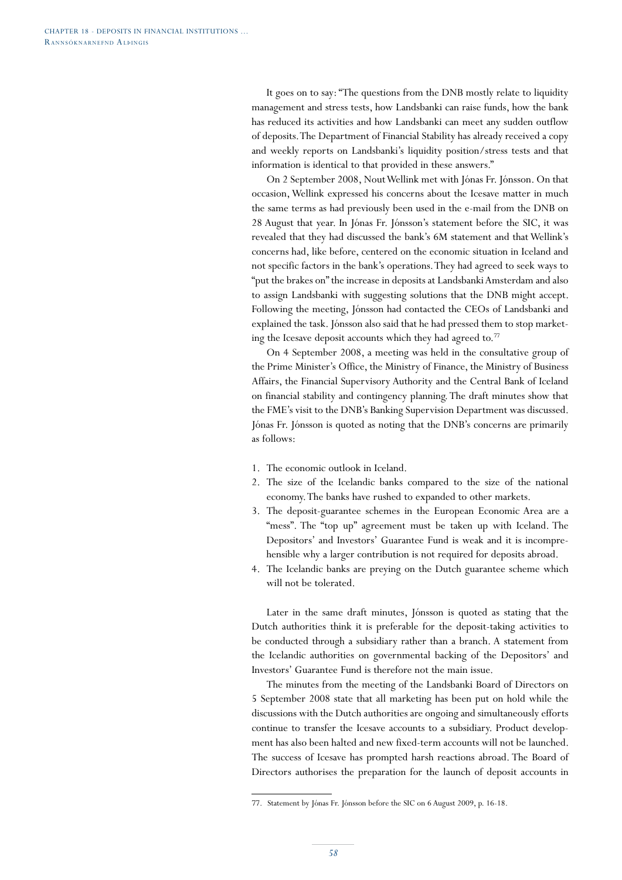It goes on to say: "The questions from the DNB mostly relate to liquidity management and stress tests, how Landsbanki can raise funds, how the bank has reduced its activities and how Landsbanki can meet any sudden outflow of deposits. The Department of Financial Stability has already received a copy and weekly reports on Landsbanki's liquidity position/stress tests and that information is identical to that provided in these answers."

On 2 September 2008, Nout Wellink met with Jónas Fr. Jónsson. On that occasion, Wellink expressed his concerns about the Icesave matter in much the same terms as had previously been used in the e-mail from the DNB on 28 August that year. In Jónas Fr. Jónsson's statement before the SIC, it was revealed that they had discussed the bank's 6M statement and that Wellink's concerns had, like before, centered on the economic situation in Iceland and not specific factors in the bank's operations. They had agreed to seek ways to "put the brakes on" the increase in deposits at Landsbanki Amsterdam and also to assign Landsbanki with suggesting solutions that the DNB might accept. Following the meeting, Jónsson had contacted the CEOs of Landsbanki and explained the task. Jónsson also said that he had pressed them to stop marketing the Icesave deposit accounts which they had agreed to.<sup>77</sup>

On 4 September 2008, a meeting was held in the consultative group of the Prime Minister's Office, the Ministry of Finance, the Ministry of Business Affairs, the Financial Supervisory Authority and the Central Bank of Iceland on financial stability and contingency planning. The draft minutes show that the FME's visit to the DNB's Banking Supervision Department was discussed. Jónas Fr. Jónsson is quoted as noting that the DNB's concerns are primarily as follows:

- 1. The economic outlook in Iceland.
- 2. The size of the Icelandic banks compared to the size of the national economy. The banks have rushed to expanded to other markets.
- 3. The deposit-guarantee schemes in the European Economic Area are a "mess". The "top up" agreement must be taken up with Iceland. The Depositors' and Investors' Guarantee Fund is weak and it is incomprehensible why a larger contribution is not required for deposits abroad.
- 4. The Icelandic banks are preying on the Dutch guarantee scheme which will not be tolerated.

Later in the same draft minutes, Jónsson is quoted as stating that the Dutch authorities think it is preferable for the deposit-taking activities to be conducted through a subsidiary rather than a branch. A statement from the Icelandic authorities on governmental backing of the Depositors' and Investors' Guarantee Fund is therefore not the main issue.

The minutes from the meeting of the Landsbanki Board of Directors on 5 September 2008 state that all marketing has been put on hold while the discussions with the Dutch authorities are ongoing and simultaneously efforts continue to transfer the Icesave accounts to a subsidiary. Product development has also been halted and new fixed-term accounts will not be launched. The success of Icesave has prompted harsh reactions abroad. The Board of Directors authorises the preparation for the launch of deposit accounts in

<sup>77.</sup> Statement by Jónas Fr. Jónsson before the SIC on 6 August 2009, p. 16-18.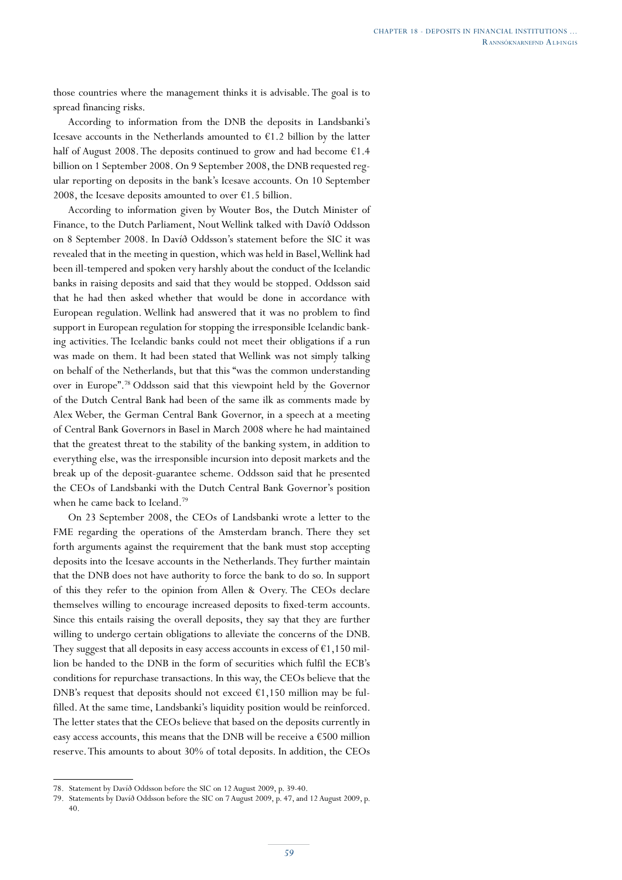those countries where the management thinks it is advisable. The goal is to spread financing risks.

According to information from the DNB the deposits in Landsbanki's Icesave accounts in the Netherlands amounted to  $\epsilon$ 1.2 billion by the latter half of August 2008. The deposits continued to grow and had become  $\epsilon$ 1.4 billion on 1 September 2008. On 9 September 2008, the DNB requested regular reporting on deposits in the bank's Icesave accounts. On 10 September 2008, the Icesave deposits amounted to over  $\epsilon$ 1.5 billion.

According to information given by Wouter Bos, the Dutch Minister of Finance, to the Dutch Parliament, Nout Wellink talked with Davíð Oddsson on 8 September 2008. In Davíð Oddsson's statement before the SIC it was revealed that in the meeting in question, which was held in Basel, Wellink had been ill-tempered and spoken very harshly about the conduct of the Icelandic banks in raising deposits and said that they would be stopped. Oddsson said that he had then asked whether that would be done in accordance with European regulation. Wellink had answered that it was no problem to find support in European regulation for stopping the irresponsible Icelandic banking activities. The Icelandic banks could not meet their obligations if a run was made on them. It had been stated that Wellink was not simply talking on behalf of the Netherlands, but that this "was the common understanding over in Europe".78 Oddsson said that this viewpoint held by the Governor of the Dutch Central Bank had been of the same ilk as comments made by Alex Weber, the German Central Bank Governor, in a speech at a meeting of Central Bank Governors in Basel in March 2008 where he had maintained that the greatest threat to the stability of the banking system, in addition to everything else, was the irresponsible incursion into deposit markets and the break up of the deposit-guarantee scheme. Oddsson said that he presented the CEOs of Landsbanki with the Dutch Central Bank Governor's position when he came back to Iceland.<sup>79</sup>

On 23 September 2008, the CEOs of Landsbanki wrote a letter to the FME regarding the operations of the Amsterdam branch. There they set forth arguments against the requirement that the bank must stop accepting deposits into the Icesave accounts in the Netherlands. They further maintain that the DNB does not have authority to force the bank to do so. In support of this they refer to the opinion from Allen & Overy. The CEOs declare themselves willing to encourage increased deposits to fixed-term accounts. Since this entails raising the overall deposits, they say that they are further willing to undergo certain obligations to alleviate the concerns of the DNB. They suggest that all deposits in easy access accounts in excess of  $\epsilon$ 1,150 million be handed to the DNB in the form of securities which fulfil the ECB's conditions for repurchase transactions. In this way, the CEOs believe that the DNB's request that deposits should not exceed  $£1,150$  million may be fulfilled. At the same time, Landsbanki's liquidity position would be reinforced. The letter states that the CEOs believe that based on the deposits currently in easy access accounts, this means that the DNB will be receive a  $€500$  million reserve. This amounts to about 30% of total deposits. In addition, the CEOs

<sup>78.</sup> Statement by Davíð Oddsson before the SIC on 12 August 2009, p. 39-40.

<sup>79.</sup> Statements by Davíð Oddsson before the SIC on 7 August 2009, p. 47, and 12 August 2009, p. 40.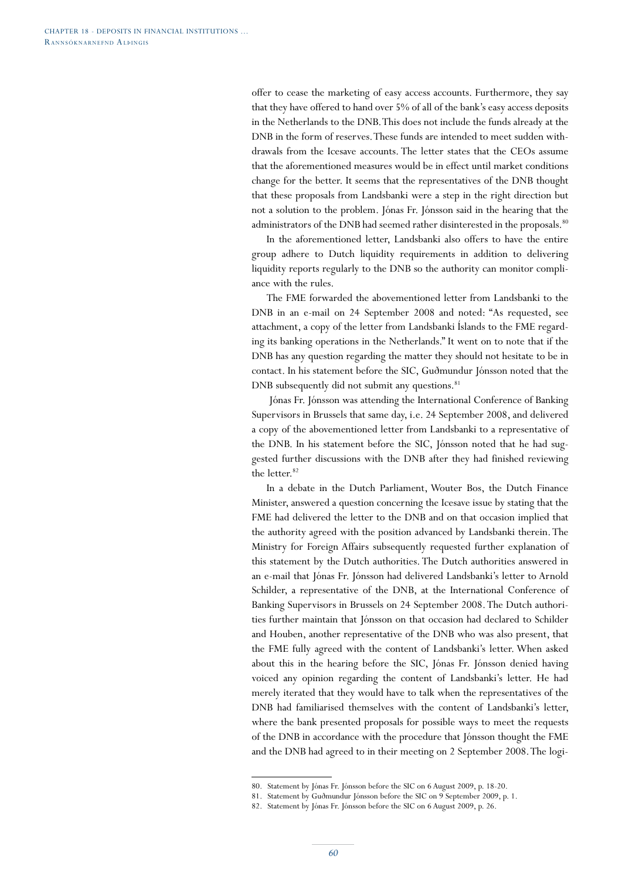offer to cease the marketing of easy access accounts. Furthermore, they say that they have offered to hand over 5% of all of the bank's easy access deposits in the Netherlands to the DNB. This does not include the funds already at the DNB in the form of reserves. These funds are intended to meet sudden withdrawals from the Icesave accounts. The letter states that the CEOs assume that the aforementioned measures would be in effect until market conditions change for the better. It seems that the representatives of the DNB thought that these proposals from Landsbanki were a step in the right direction but not a solution to the problem. Jónas Fr. Jónsson said in the hearing that the administrators of the DNB had seemed rather disinterested in the proposals.<sup>80</sup>

In the aforementioned letter, Landsbanki also offers to have the entire group adhere to Dutch liquidity requirements in addition to delivering liquidity reports regularly to the DNB so the authority can monitor compliance with the rules.

The FME forwarded the abovementioned letter from Landsbanki to the DNB in an e-mail on 24 September 2008 and noted: "As requested, see attachment, a copy of the letter from Landsbanki Íslands to the FME regarding its banking operations in the Netherlands." It went on to note that if the DNB has any question regarding the matter they should not hesitate to be in contact. In his statement before the SIC, Guðmundur Jónsson noted that the DNB subsequently did not submit any questions. $81$ 

 Jónas Fr. Jónsson was attending the International Conference of Banking Supervisors in Brussels that same day, i.e. 24 September 2008, and delivered a copy of the abovementioned letter from Landsbanki to a representative of the DNB. In his statement before the SIC, Jónsson noted that he had suggested further discussions with the DNB after they had finished reviewing the letter.<sup>82</sup>

In a debate in the Dutch Parliament, Wouter Bos, the Dutch Finance Minister, answered a question concerning the Icesave issue by stating that the FME had delivered the letter to the DNB and on that occasion implied that the authority agreed with the position advanced by Landsbanki therein. The Ministry for Foreign Affairs subsequently requested further explanation of this statement by the Dutch authorities. The Dutch authorities answered in an e-mail that Jónas Fr. Jónsson had delivered Landsbanki's letter to Arnold Schilder, a representative of the DNB, at the International Conference of Banking Supervisors in Brussels on 24 September 2008. The Dutch authorities further maintain that Jónsson on that occasion had declared to Schilder and Houben, another representative of the DNB who was also present, that the FME fully agreed with the content of Landsbanki's letter. When asked about this in the hearing before the SIC, Jónas Fr. Jónsson denied having voiced any opinion regarding the content of Landsbanki's letter. He had merely iterated that they would have to talk when the representatives of the DNB had familiarised themselves with the content of Landsbanki's letter, where the bank presented proposals for possible ways to meet the requests of the DNB in accordance with the procedure that Jónsson thought the FME and the DNB had agreed to in their meeting on 2 September 2008. The logi-

<sup>80.</sup> Statement by Jónas Fr. Jónsson before the SIC on 6 August 2009, p. 18-20.

<sup>81.</sup> Statement by Guðmundur Jónsson before the SIC on 9 September 2009, p. 1.

<sup>82.</sup> Statement by Jónas Fr. Jónsson before the SIC on 6 August 2009, p. 26.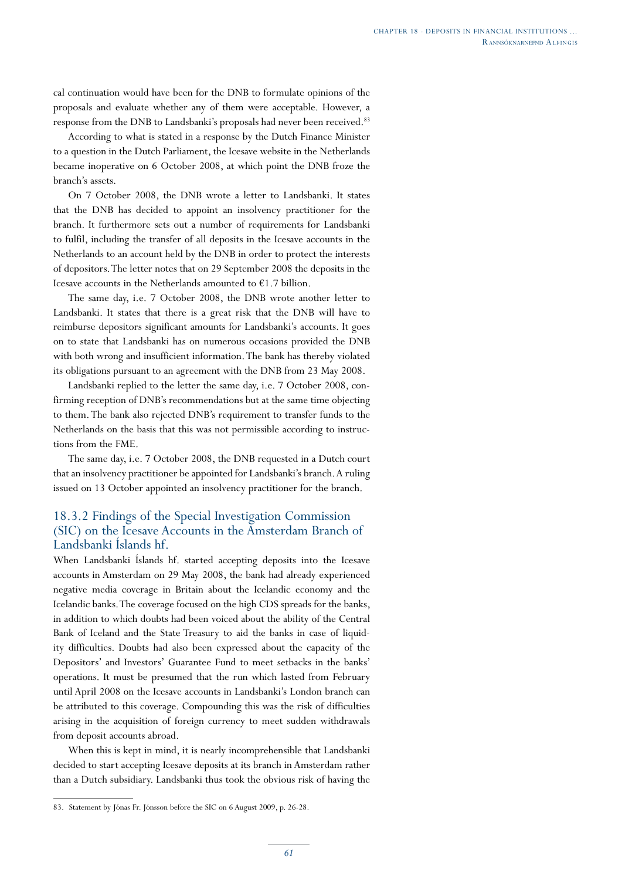cal continuation would have been for the DNB to formulate opinions of the proposals and evaluate whether any of them were acceptable. However, a response from the DNB to Landsbanki's proposals had never been received.<sup>83</sup>

According to what is stated in a response by the Dutch Finance Minister to a question in the Dutch Parliament, the Icesave website in the Netherlands became inoperative on 6 October 2008, at which point the DNB froze the branch's assets.

On 7 October 2008, the DNB wrote a letter to Landsbanki. It states that the DNB has decided to appoint an insolvency practitioner for the branch. It furthermore sets out a number of requirements for Landsbanki to fulfil, including the transfer of all deposits in the Icesave accounts in the Netherlands to an account held by the DNB in order to protect the interests of depositors. The letter notes that on 29 September 2008 the deposits in the Icesave accounts in the Netherlands amounted to  $€1.7$  billion.

The same day, i.e. 7 October 2008, the DNB wrote another letter to Landsbanki. It states that there is a great risk that the DNB will have to reimburse depositors significant amounts for Landsbanki's accounts. It goes on to state that Landsbanki has on numerous occasions provided the DNB with both wrong and insufficient information. The bank has thereby violated its obligations pursuant to an agreement with the DNB from 23 May 2008.

Landsbanki replied to the letter the same day, i.e. 7 October 2008, confirming reception of DNB's recommendations but at the same time objecting to them. The bank also rejected DNB's requirement to transfer funds to the Netherlands on the basis that this was not permissible according to instructions from the FME.

The same day, i.e. 7 October 2008, the DNB requested in a Dutch court that an insolvency practitioner be appointed for Landsbanki's branch. A ruling issued on 13 October appointed an insolvency practitioner for the branch.

### 18.3.2 Findings of the Special Investigation Commission (SIC) on the Icesave Accounts in the Amsterdam Branch of Landsbanki Íslands hf.

When Landsbanki Íslands hf. started accepting deposits into the Icesave accounts in Amsterdam on 29 May 2008, the bank had already experienced negative media coverage in Britain about the Icelandic economy and the Icelandic banks. The coverage focused on the high CDS spreads for the banks, in addition to which doubts had been voiced about the ability of the Central Bank of Iceland and the State Treasury to aid the banks in case of liquidity difficulties. Doubts had also been expressed about the capacity of the Depositors' and Investors' Guarantee Fund to meet setbacks in the banks' operations. It must be presumed that the run which lasted from February until April 2008 on the Icesave accounts in Landsbanki's London branch can be attributed to this coverage. Compounding this was the risk of difficulties arising in the acquisition of foreign currency to meet sudden withdrawals from deposit accounts abroad.

When this is kept in mind, it is nearly incomprehensible that Landsbanki decided to start accepting Icesave deposits at its branch in Amsterdam rather than a Dutch subsidiary. Landsbanki thus took the obvious risk of having the

<sup>83.</sup> Statement by Jónas Fr. Jónsson before the SIC on 6 August 2009, p. 26-28.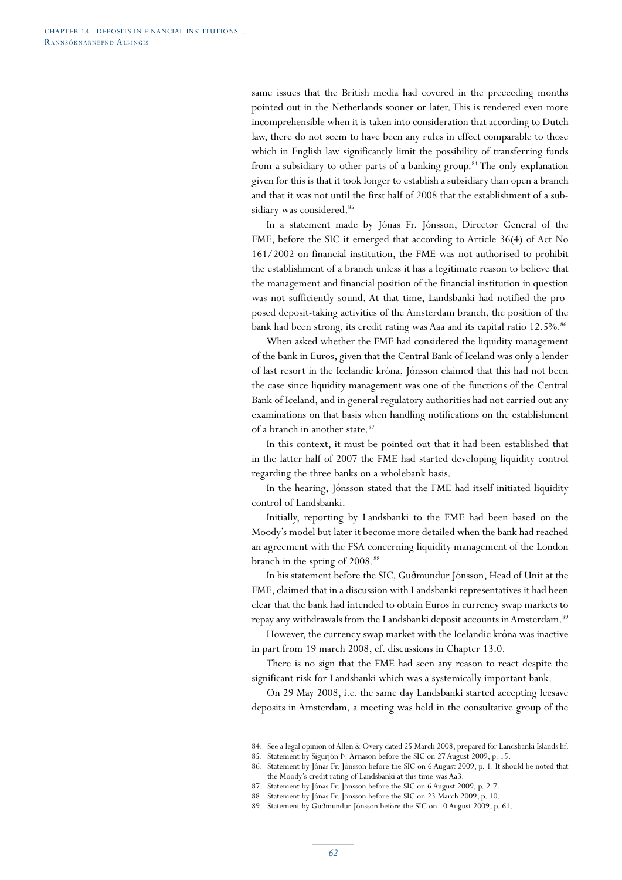same issues that the British media had covered in the preceeding months pointed out in the Netherlands sooner or later. This is rendered even more incomprehensible when it is taken into consideration that according to Dutch law, there do not seem to have been any rules in effect comparable to those which in English law significantly limit the possibility of transferring funds from a subsidiary to other parts of a banking group.<sup>84</sup> The only explanation given for this is that it took longer to establish a subsidiary than open a branch and that it was not until the first half of 2008 that the establishment of a subsidiary was considered.<sup>85</sup>

In a statement made by Jónas Fr. Jónsson, Director General of the FME, before the SIC it emerged that according to Article 36(4) of Act No 161/2002 on financial institution, the FME was not authorised to prohibit the establishment of a branch unless it has a legitimate reason to believe that the management and financial position of the financial institution in question was not sufficiently sound. At that time, Landsbanki had notified the proposed deposit-taking activities of the Amsterdam branch, the position of the bank had been strong, its credit rating was Aaa and its capital ratio 12.5%.<sup>86</sup>

When asked whether the FME had considered the liquidity management of the bank in Euros, given that the Central Bank of Iceland was only a lender of last resort in the Icelandic króna, Jónsson claimed that this had not been the case since liquidity management was one of the functions of the Central Bank of Iceland, and in general regulatory authorities had not carried out any examinations on that basis when handling notifications on the establishment of a branch in another state.<sup>87</sup>

In this context, it must be pointed out that it had been established that in the latter half of 2007 the FME had started developing liquidity control regarding the three banks on a wholebank basis.

In the hearing, Jónsson stated that the FME had itself initiated liquidity control of Landsbanki.

Initially, reporting by Landsbanki to the FME had been based on the Moody's model but later it become more detailed when the bank had reached an agreement with the FSA concerning liquidity management of the London branch in the spring of 2008.<sup>88</sup>

In his statement before the SIC, Guðmundur Jónsson, Head of Unit at the FME, claimed that in a discussion with Landsbanki representatives it had been clear that the bank had intended to obtain Euros in currency swap markets to repay any withdrawals from the Landsbanki deposit accounts in Amsterdam.<sup>89</sup>

However, the currency swap market with the Icelandic króna was inactive in part from 19 march 2008, cf. discussions in Chapter 13.0.

There is no sign that the FME had seen any reason to react despite the significant risk for Landsbanki which was a systemically important bank.

On 29 May 2008, i.e. the same day Landsbanki started accepting Icesave deposits in Amsterdam, a meeting was held in the consultative group of the

<sup>84.</sup> See a legal opinion of Allen & Overy dated 25 March 2008, prepared for Landsbanki Íslands hf.

<sup>85.</sup> Statement by Sigurjón Þ. Árnason before the SIC on 27 August 2009, p. 15.

<sup>86.</sup> Statement by Jónas Fr. Jónsson before the SIC on 6 August 2009, p. 1. It should be noted that the Moody's credit rating of Landsbanki at this time was Aa3.

<sup>87.</sup> Statement by Jónas Fr. Jónsson before the SIC on 6 August 2009, p. 2-7.

<sup>88.</sup> Statement by Jónas Fr. Jónsson before the SIC on 23 March 2009, p. 10.

<sup>89.</sup> Statement by Guðmundur Jónsson before the SIC on 10 August 2009, p. 61.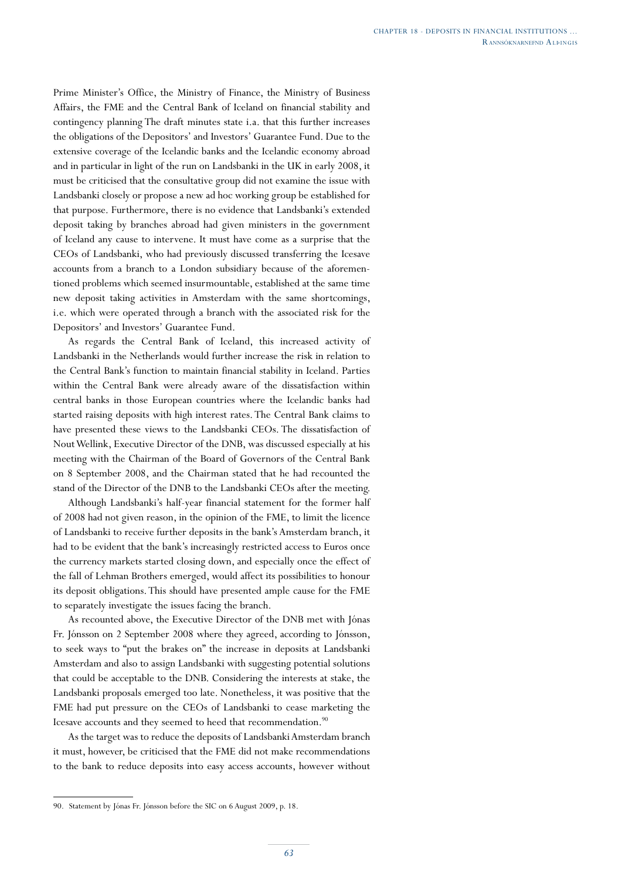Prime Minister's Office, the Ministry of Finance, the Ministry of Business Affairs, the FME and the Central Bank of Iceland on financial stability and contingency planning The draft minutes state i.a. that this further increases the obligations of the Depositors' and Investors' Guarantee Fund. Due to the extensive coverage of the Icelandic banks and the Icelandic economy abroad and in particular in light of the run on Landsbanki in the UK in early 2008, it must be criticised that the consultative group did not examine the issue with Landsbanki closely or propose a new ad hoc working group be established for that purpose. Furthermore, there is no evidence that Landsbanki's extended deposit taking by branches abroad had given ministers in the government of Iceland any cause to intervene. It must have come as a surprise that the CEOs of Landsbanki, who had previously discussed transferring the Icesave accounts from a branch to a London subsidiary because of the aforementioned problems which seemed insurmountable, established at the same time new deposit taking activities in Amsterdam with the same shortcomings, i.e. which were operated through a branch with the associated risk for the Depositors' and Investors' Guarantee Fund.

As regards the Central Bank of Iceland, this increased activity of Landsbanki in the Netherlands would further increase the risk in relation to the Central Bank's function to maintain financial stability in Iceland. Parties within the Central Bank were already aware of the dissatisfaction within central banks in those European countries where the Icelandic banks had started raising deposits with high interest rates. The Central Bank claims to have presented these views to the Landsbanki CEOs. The dissatisfaction of Nout Wellink, Executive Director of the DNB, was discussed especially at his meeting with the Chairman of the Board of Governors of the Central Bank on 8 September 2008, and the Chairman stated that he had recounted the stand of the Director of the DNB to the Landsbanki CEOs after the meeting.

Although Landsbanki's half-year financial statement for the former half of 2008 had not given reason, in the opinion of the FME, to limit the licence of Landsbanki to receive further deposits in the bank's Amsterdam branch, it had to be evident that the bank's increasingly restricted access to Euros once the currency markets started closing down, and especially once the effect of the fall of Lehman Brothers emerged, would affect its possibilities to honour its deposit obligations. This should have presented ample cause for the FME to separately investigate the issues facing the branch.

As recounted above, the Executive Director of the DNB met with Jónas Fr. Jónsson on 2 September 2008 where they agreed, according to Jónsson, to seek ways to "put the brakes on" the increase in deposits at Landsbanki Amsterdam and also to assign Landsbanki with suggesting potential solutions that could be acceptable to the DNB. Considering the interests at stake, the Landsbanki proposals emerged too late. Nonetheless, it was positive that the FME had put pressure on the CEOs of Landsbanki to cease marketing the Icesave accounts and they seemed to heed that recommendation.<sup>90</sup>

As the target was to reduce the deposits of Landsbanki Amsterdam branch it must, however, be criticised that the FME did not make recommendations to the bank to reduce deposits into easy access accounts, however without

<sup>90.</sup> Statement by Jónas Fr. Jónsson before the SIC on 6 August 2009, p. 18.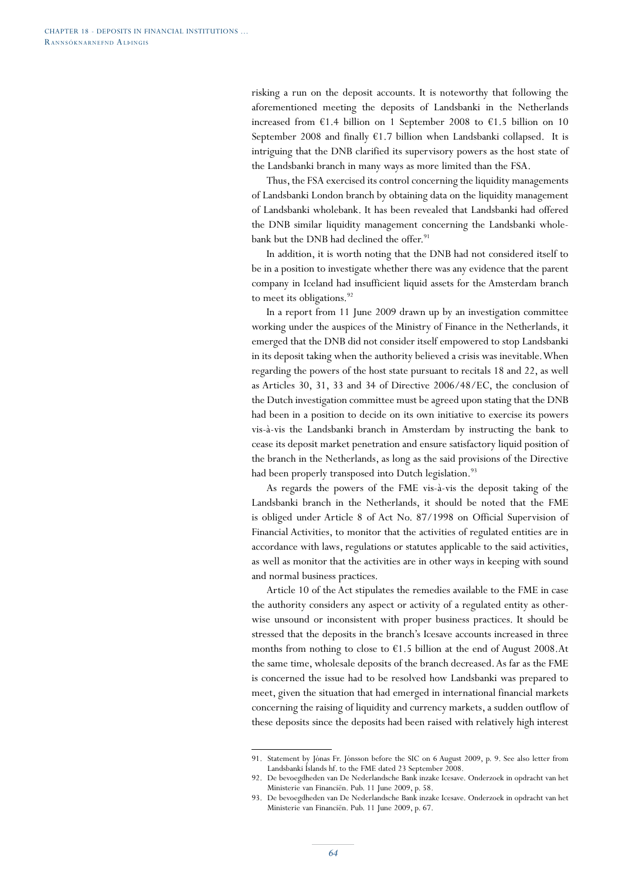risking a run on the deposit accounts. It is noteworthy that following the aforementioned meeting the deposits of Landsbanki in the Netherlands increased from  $£1.4$  billion on 1 September 2008 to  $£1.5$  billion on 10 September 2008 and finally  $\epsilon$ 1.7 billion when Landsbanki collapsed. It is intriguing that the DNB clarified its supervisory powers as the host state of the Landsbanki branch in many ways as more limited than the FSA.

Thus, the FSA exercised its control concerning the liquidity managements of Landsbanki London branch by obtaining data on the liquidity management of Landsbanki wholebank. It has been revealed that Landsbanki had offered the DNB similar liquidity management concerning the Landsbanki wholebank but the DNB had declined the offer.<sup>91</sup>

In addition, it is worth noting that the DNB had not considered itself to be in a position to investigate whether there was any evidence that the parent company in Iceland had insufficient liquid assets for the Amsterdam branch to meet its obligations.<sup>92</sup>

In a report from 11 June 2009 drawn up by an investigation committee working under the auspices of the Ministry of Finance in the Netherlands, it emerged that the DNB did not consider itself empowered to stop Landsbanki in its deposit taking when the authority believed a crisis was inevitable. When regarding the powers of the host state pursuant to recitals 18 and 22, as well as Articles 30, 31, 33 and 34 of Directive 2006/48/EC, the conclusion of the Dutch investigation committee must be agreed upon stating that the DNB had been in a position to decide on its own initiative to exercise its powers vis-à-vis the Landsbanki branch in Amsterdam by instructing the bank to cease its deposit market penetration and ensure satisfactory liquid position of the branch in the Netherlands, as long as the said provisions of the Directive had been properly transposed into Dutch legislation.<sup>93</sup>

As regards the powers of the FME vis-à-vis the deposit taking of the Landsbanki branch in the Netherlands, it should be noted that the FME is obliged under Article 8 of Act No. 87/1998 on Official Supervision of Financial Activities, to monitor that the activities of regulated entities are in accordance with laws, regulations or statutes applicable to the said activities, as well as monitor that the activities are in other ways in keeping with sound and normal business practices.

Article 10 of the Act stipulates the remedies available to the FME in case the authority considers any aspect or activity of a regulated entity as otherwise unsound or inconsistent with proper business practices. It should be stressed that the deposits in the branch's Icesave accounts increased in three months from nothing to close to  $\epsilon$ 1.5 billion at the end of August 2008.At the same time, wholesale deposits of the branch decreased. As far as the FME is concerned the issue had to be resolved how Landsbanki was prepared to meet, given the situation that had emerged in international financial markets concerning the raising of liquidity and currency markets, a sudden outflow of these deposits since the deposits had been raised with relatively high interest

<sup>91.</sup> Statement by Jónas Fr. Jónsson before the SIC on 6 August 2009, p. 9. See also letter from Landsbanki Íslands hf. to the FME dated 23 September 2008.

<sup>92.</sup> De bevoegdheden van De Nederlandsche Bank inzake Icesave. Onderzoek in opdracht van het Ministerie van Financiën. Pub. 11 June 2009, p. 58.

<sup>93.</sup> De bevoegdheden van De Nederlandsche Bank inzake Icesave. Onderzoek in opdracht van het Ministerie van Financiën. Pub. 11 June 2009, p. 67.